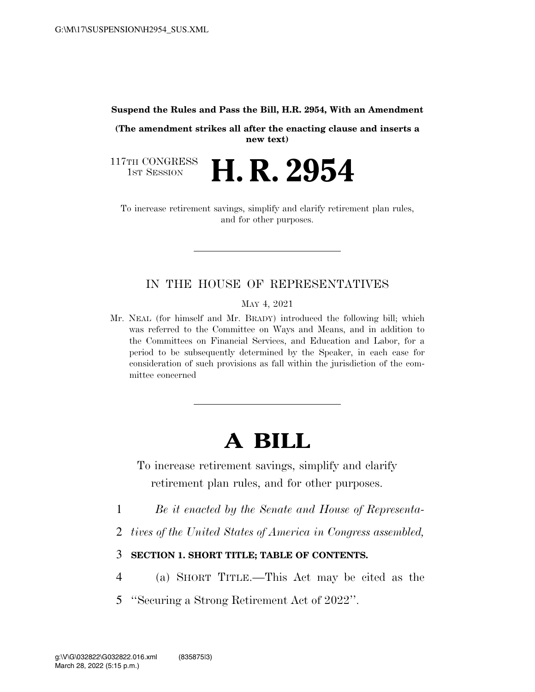#### **Suspend the Rules and Pass the Bill, H.R. 2954, With an Amendment**

**(The amendment strikes all after the enacting clause and inserts a new text)** 

117TH CONGRESS<br>1st Session **H. R. 2954** 

To increase retirement savings, simplify and clarify retirement plan rules, and for other purposes.

## IN THE HOUSE OF REPRESENTATIVES

MAY 4, 2021

Mr. NEAL (for himself and Mr. BRADY) introduced the following bill; which was referred to the Committee on Ways and Means, and in addition to the Committees on Financial Services, and Education and Labor, for a period to be subsequently determined by the Speaker, in each case for consideration of such provisions as fall within the jurisdiction of the committee concerned

# **A BILL**

To increase retirement savings, simplify and clarify retirement plan rules, and for other purposes.

- 1 *Be it enacted by the Senate and House of Representa-*
- 2 *tives of the United States of America in Congress assembled,*
- 3 **SECTION 1. SHORT TITLE; TABLE OF CONTENTS.**
- 4 (a) SHORT TITLE.—This Act may be cited as the
- 5 ''Securing a Strong Retirement Act of 2022''.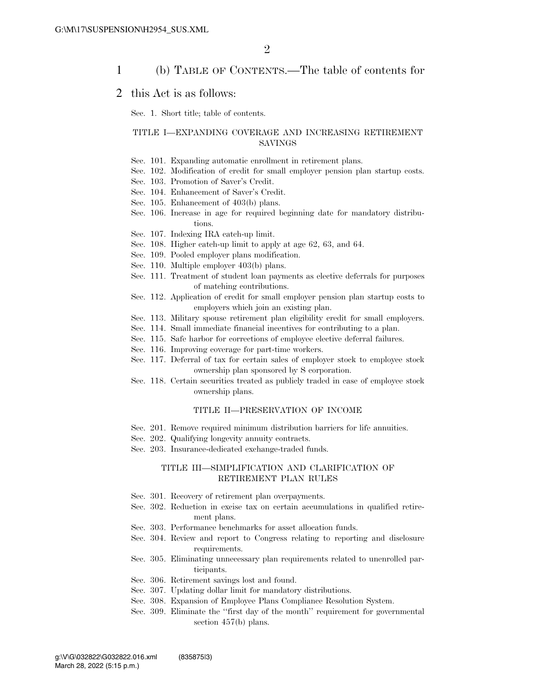### 1 (b) TABLE OF CONTENTS.—The table of contents for

### 2 this Act is as follows:

Sec. 1. Short title; table of contents.

#### TITLE I—EXPANDING COVERAGE AND INCREASING RETIREMENT SAVINGS

- Sec. 101. Expanding automatic enrollment in retirement plans.
- Sec. 102. Modification of credit for small employer pension plan startup costs.
- Sec. 103. Promotion of Saver's Credit.
- Sec. 104. Enhancement of Saver's Credit.
- Sec. 105. Enhancement of 403(b) plans.
- Sec. 106. Increase in age for required beginning date for mandatory distributions.
- Sec. 107. Indexing IRA catch-up limit.
- Sec. 108. Higher catch-up limit to apply at age 62, 63, and 64.
- Sec. 109. Pooled employer plans modification.
- Sec. 110. Multiple employer 403(b) plans.
- Sec. 111. Treatment of student loan payments as elective deferrals for purposes of matching contributions.
- Sec. 112. Application of credit for small employer pension plan startup costs to employers which join an existing plan.
- Sec. 113. Military spouse retirement plan eligibility credit for small employers.
- Sec. 114. Small immediate financial incentives for contributing to a plan.
- Sec. 115. Safe harbor for corrections of employee elective deferral failures.
- Sec. 116. Improving coverage for part-time workers.
- Sec. 117. Deferral of tax for certain sales of employer stock to employee stock ownership plan sponsored by S corporation.
- Sec. 118. Certain securities treated as publicly traded in case of employee stock ownership plans.

#### TITLE II—PRESERVATION OF INCOME

- Sec. 201. Remove required minimum distribution barriers for life annuities.
- Sec. 202. Qualifying longevity annuity contracts.
- Sec. 203. Insurance-dedicated exchange-traded funds.

#### TITLE III—SIMPLIFICATION AND CLARIFICATION OF RETIREMENT PLAN RULES

- Sec. 301. Recovery of retirement plan overpayments.
- Sec. 302. Reduction in excise tax on certain accumulations in qualified retirement plans.
- Sec. 303. Performance benchmarks for asset allocation funds.
- Sec. 304. Review and report to Congress relating to reporting and disclosure requirements.
- Sec. 305. Eliminating unnecessary plan requirements related to unenrolled participants.
- Sec. 306. Retirement savings lost and found.
- Sec. 307. Updating dollar limit for mandatory distributions.
- Sec. 308. Expansion of Employee Plans Compliance Resolution System.
- Sec. 309. Eliminate the ''first day of the month'' requirement for governmental section 457(b) plans.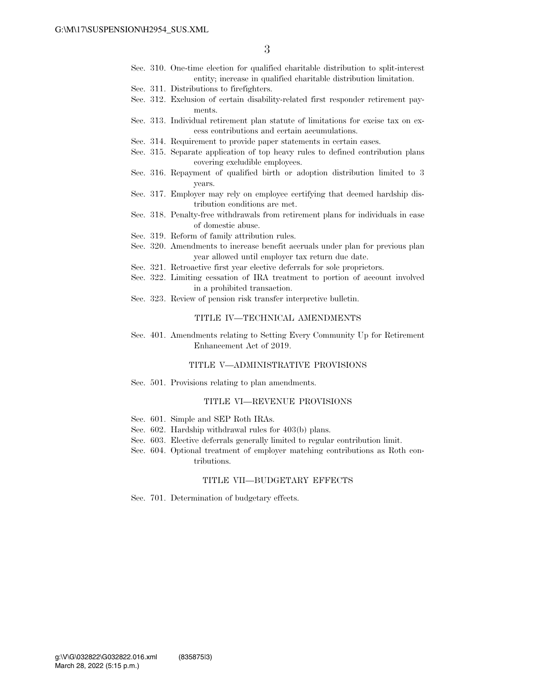- Sec. 310. One-time election for qualified charitable distribution to split-interest entity; increase in qualified charitable distribution limitation.
- Sec. 311. Distributions to firefighters.
- Sec. 312. Exclusion of certain disability-related first responder retirement payments.
- Sec. 313. Individual retirement plan statute of limitations for excise tax on excess contributions and certain accumulations.
- Sec. 314. Requirement to provide paper statements in certain cases.
- Sec. 315. Separate application of top heavy rules to defined contribution plans covering excludible employees.
- Sec. 316. Repayment of qualified birth or adoption distribution limited to 3 years.
- Sec. 317. Employer may rely on employee certifying that deemed hardship distribution conditions are met.
- Sec. 318. Penalty-free withdrawals from retirement plans for individuals in case of domestic abuse.
- Sec. 319. Reform of family attribution rules.
- Sec. 320. Amendments to increase benefit accruals under plan for previous plan year allowed until employer tax return due date.
- Sec. 321. Retroactive first year elective deferrals for sole proprietors.
- Sec. 322. Limiting cessation of IRA treatment to portion of account involved in a prohibited transaction.
- Sec. 323. Review of pension risk transfer interpretive bulletin.

#### TITLE IV—TECHNICAL AMENDMENTS

Sec. 401. Amendments relating to Setting Every Community Up for Retirement Enhancement Act of 2019.

#### TITLE V—ADMINISTRATIVE PROVISIONS

Sec. 501. Provisions relating to plan amendments.

#### TITLE VI—REVENUE PROVISIONS

- Sec. 601. Simple and SEP Roth IRAs.
- Sec. 602. Hardship withdrawal rules for 403(b) plans.
- Sec. 603. Elective deferrals generally limited to regular contribution limit.
- Sec. 604. Optional treatment of employer matching contributions as Roth contributions.

#### TITLE VII—BUDGETARY EFFECTS

Sec. 701. Determination of budgetary effects.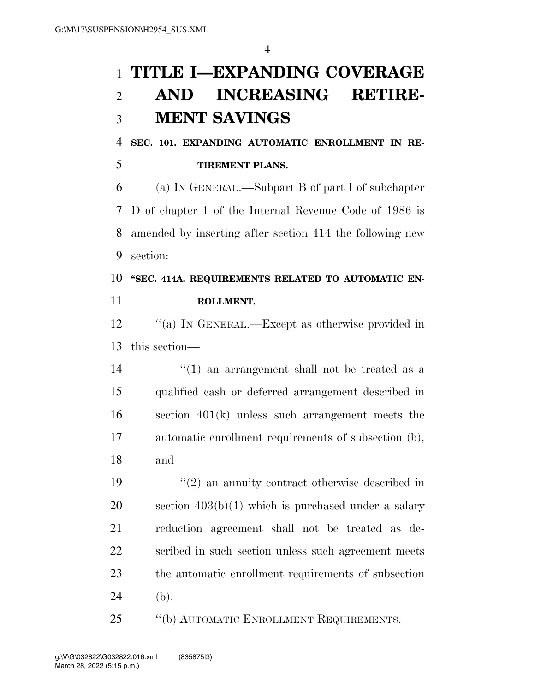# **TITLE I—EXPANDING COVERAGE AND INCREASING RETIRE-MENT SAVINGS**

 **SEC. 101. EXPANDING AUTOMATIC ENROLLMENT IN RE-TIREMENT PLANS.** 

 (a) IN GENERAL.—Subpart B of part I of subchapter D of chapter 1 of the Internal Revenue Code of 1986 is amended by inserting after section 414 the following new section:

# **''SEC. 414A. REQUIREMENTS RELATED TO AUTOMATIC EN-ROLLMENT.**

 ''(a) IN GENERAL.—Except as otherwise provided in this section—

 ''(1) an arrangement shall not be treated as a qualified cash or deferred arrangement described in section 401(k) unless such arrangement meets the automatic enrollment requirements of subsection (b), and

 ''(2) an annuity contract otherwise described in section 403(b)(1) which is purchased under a salary reduction agreement shall not be treated as de- scribed in such section unless such agreement meets the automatic enrollment requirements of subsection (b).

''(b) AUTOMATIC ENROLLMENT REQUIREMENTS.—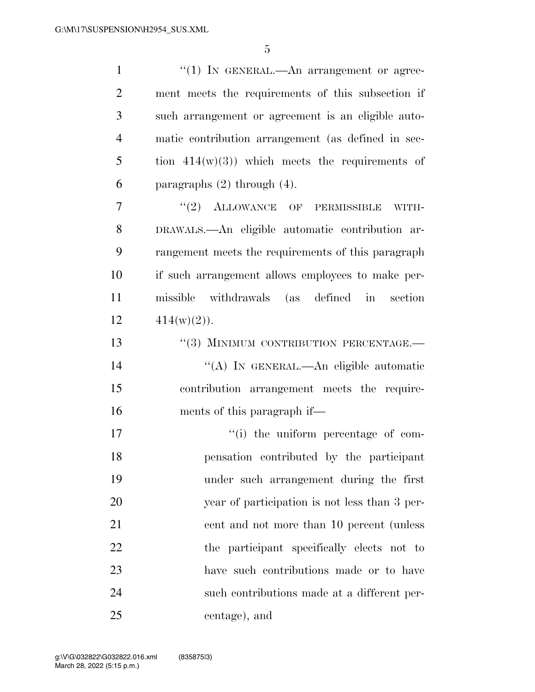| $\mathbf{1}$   | "(1) IN GENERAL.—An arrangement or agree-          |
|----------------|----------------------------------------------------|
| $\overline{2}$ | ment meets the requirements of this subsection if  |
| 3              | such arrangement or agreement is an eligible auto- |
| $\overline{4}$ | matic contribution arrangement (as defined in sec- |
| 5              | tion $414(w)(3)$ ) which meets the requirements of |
| 6              | paragraphs $(2)$ through $(4)$ .                   |
| 7              | $"(2)$ ALLOWANCE OF PERMISSIBLE<br>WITH-           |
| 8              | DRAWALS.- An eligible automatic contribution ar-   |
| 9              | rangement meets the requirements of this paragraph |
| 10             | if such arrangement allows employees to make per-  |
| 11             | missible withdrawals (as defined in section        |
| 12             | $414(w)(2)$ .                                      |
| 13             | "(3) MINIMUM CONTRIBUTION PERCENTAGE.-             |
| 14             | "(A) IN GENERAL.—An eligible automatic             |
| 15             | contribution arrangement meets the require-        |
| 16             | ments of this paragraph if—                        |
| 17             | "(i) the uniform percentage of com-                |
| 18             | pensation contributed by the participant           |
| 19             | under such arrangement during the first            |
| 20             | year of participation is not less than 3 per-      |
| 21             | cent and not more than 10 percent (unless          |
| 22             | the participant specifically elects not to         |
| 23             | have such contributions made or to have            |
| 24             | such contributions made at a different per-        |
| 25             | centage), and                                      |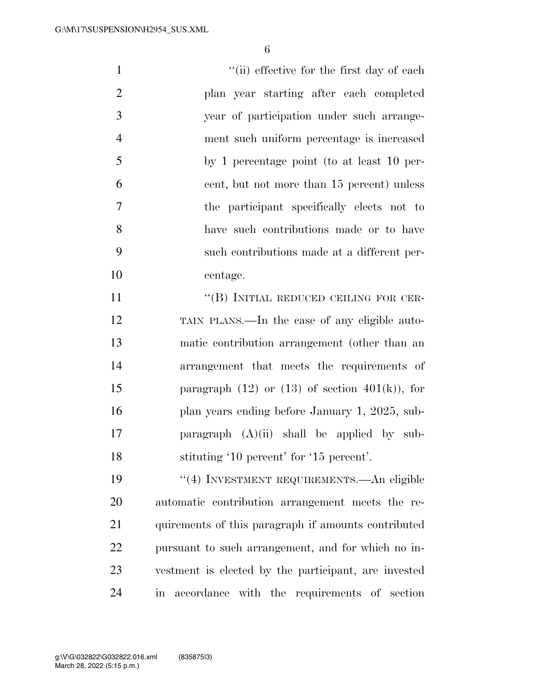1 ''(ii) effective for the first day of each plan year starting after each completed year of participation under such arrange- ment such uniform percentage is increased by 1 percentage point (to at least 10 per- cent, but not more than 15 percent) unless the participant specifically elects not to have such contributions made or to have such contributions made at a different per- centage. 11 "(B) INITIAL REDUCED CEILING FOR CER- TAIN PLANS.—In the case of any eligible auto- matic contribution arrangement (other than an arrangement that meets the requirements of 15 paragraph  $(12)$  or  $(13)$  of section  $401(k)$ , for 16 plan years ending before January 1, 2025, sub-

 paragraph (A)(ii) shall be applied by sub-stituting '10 percent' for '15 percent'.

 ''(4) INVESTMENT REQUIREMENTS.—An eligible automatic contribution arrangement meets the re-21 quirements of this paragraph if amounts contributed pursuant to such arrangement, and for which no in- vestment is elected by the participant, are invested in accordance with the requirements of section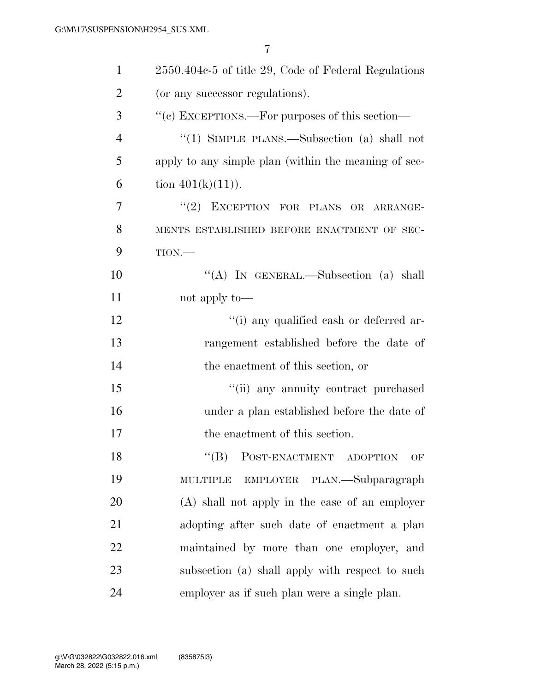| $\mathbf{1}$   | 2550.404c-5 of title 29, Code of Federal Regulations |
|----------------|------------------------------------------------------|
| $\overline{2}$ | (or any successor regulations).                      |
| 3              | "(c) EXCEPTIONS.—For purposes of this section—       |
| $\overline{4}$ | "(1) SIMPLE PLANS.—Subsection (a) shall not          |
| 5              | apply to any simple plan (within the meaning of sec- |
| 6              | tion $401(k)(11)$ .                                  |
| 7              | "(2) EXCEPTION FOR PLANS OR ARRANGE-                 |
| 8              | MENTS ESTABLISHED BEFORE ENACTMENT OF SEC-           |
| 9              | TION.                                                |
| 10             | "(A) IN GENERAL.—Subsection (a) shall                |
| 11             | not apply to—                                        |
| 12             | "(i) any qualified cash or deferred ar-              |
| 13             | rangement established before the date of             |
| 14             | the enactment of this section, or                    |
| 15             | "(ii) any annuity contract purchased                 |
| 16             | under a plan established before the date of          |
| 17             | the enactment of this section.                       |
| 18             | $\lq\lq (B)$<br>POST-ENACTMENT ADOPTION<br>OF        |
| 19             | EMPLOYER PLAN.—Subparagraph<br><b>MULTIPLE</b>       |
| 20             | (A) shall not apply in the case of an employer       |
| 21             | adopting after such date of enactment a plan         |
| 22             | maintained by more than one employer, and            |
| 23             | subsection (a) shall apply with respect to such      |
| 24             | employer as if such plan were a single plan.         |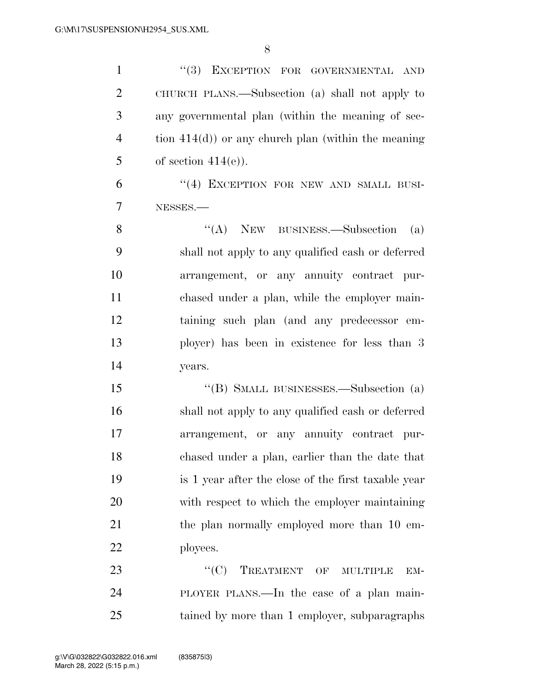1 ''(3) EXCEPTION FOR GOVERNMENTAL AND CHURCH PLANS.—Subsection (a) shall not apply to any governmental plan (within the meaning of sec- tion 414(d)) or any church plan (within the meaning 5 of section  $414(e)$ ). 6 "(4) EXCEPTION FOR NEW AND SMALL BUSI- NESSES.— 8 "(A) NEW BUSINESS.—Subsection (a) shall not apply to any qualified cash or deferred arrangement, or any annuity contract pur- chased under a plan, while the employer main- taining such plan (and any predecessor em- ployer) has been in existence for less than 3 years. ''(B) SMALL BUSINESSES.—Subsection (a) shall not apply to any qualified cash or deferred arrangement, or any annuity contract pur- chased under a plan, earlier than the date that is 1 year after the close of the first taxable year with respect to which the employer maintaining 21 the plan normally employed more than 10 em- ployees. 23 "C) TREATMENT OF MULTIPLE EM- PLOYER PLANS.—In the case of a plan main-tained by more than 1 employer, subparagraphs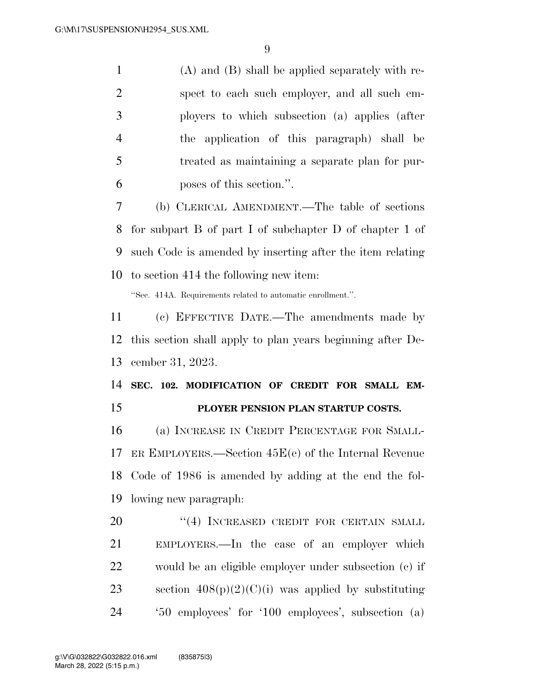(A) and (B) shall be applied separately with re- spect to each such employer, and all such em- ployers to which subsection (a) applies (after the application of this paragraph) shall be treated as maintaining a separate plan for pur-poses of this section.''.

 (b) CLERICAL AMENDMENT.—The table of sections for subpart B of part I of subchapter D of chapter 1 of such Code is amended by inserting after the item relating to section 414 the following new item:

''Sec. 414A. Requirements related to automatic enrollment.''.

 (c) EFFECTIVE DATE.—The amendments made by this section shall apply to plan years beginning after De-cember 31, 2023.

# **SEC. 102. MODIFICATION OF CREDIT FOR SMALL EM-PLOYER PENSION PLAN STARTUP COSTS.**

 (a) INCREASE IN CREDIT PERCENTAGE FOR SMALL- ER EMPLOYERS.—Section 45E(e) of the Internal Revenue Code of 1986 is amended by adding at the end the fol-lowing new paragraph:

20 "(4) INCREASED CREDIT FOR CERTAIN SMALL EMPLOYERS.—In the case of an employer which would be an eligible employer under subsection (c) if 23 section  $408(p)(2)(C)(i)$  was applied by substituting '50 employees' for '100 employees', subsection (a)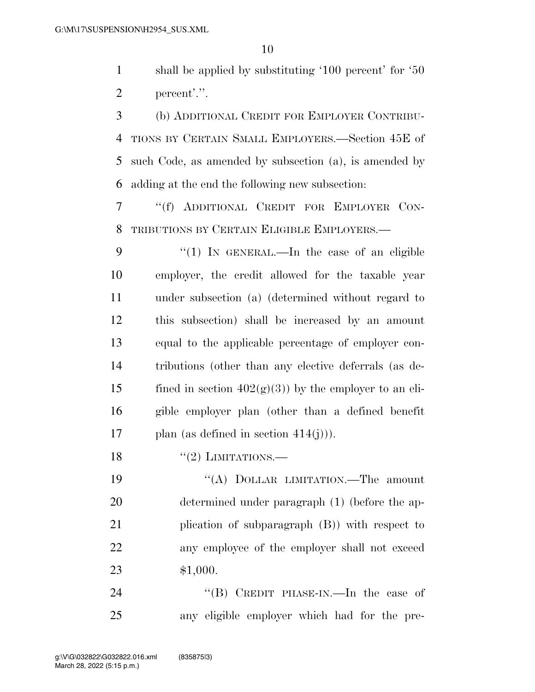shall be applied by substituting '100 percent' for '50 percent'.''.

 (b) ADDITIONAL CREDIT FOR EMPLOYER CONTRIBU- TIONS BY CERTAIN SMALL EMPLOYERS.—Section 45E of such Code, as amended by subsection (a), is amended by adding at the end the following new subsection:

 ''(f) ADDITIONAL CREDIT FOR EMPLOYER CON-TRIBUTIONS BY CERTAIN ELIGIBLE EMPLOYERS.—

9 "(1) IN GENERAL.—In the case of an eligible employer, the credit allowed for the taxable year under subsection (a) (determined without regard to this subsection) shall be increased by an amount equal to the applicable percentage of employer con- tributions (other than any elective deferrals (as de-15 fined in section  $402(g)(3)$  by the employer to an eli- gible employer plan (other than a defined benefit 17 plan (as defined in section  $414(i)$ )).

18  $\frac{12}{2}$  LIMITATIONS.

19 "(A) DOLLAR LIMITATION.—The amount determined under paragraph (1) (before the ap- plication of subparagraph (B)) with respect to any employee of the employer shall not exceed \$1,000.

24 "(B) CREDIT PHASE-IN.—In the case of any eligible employer which had for the pre-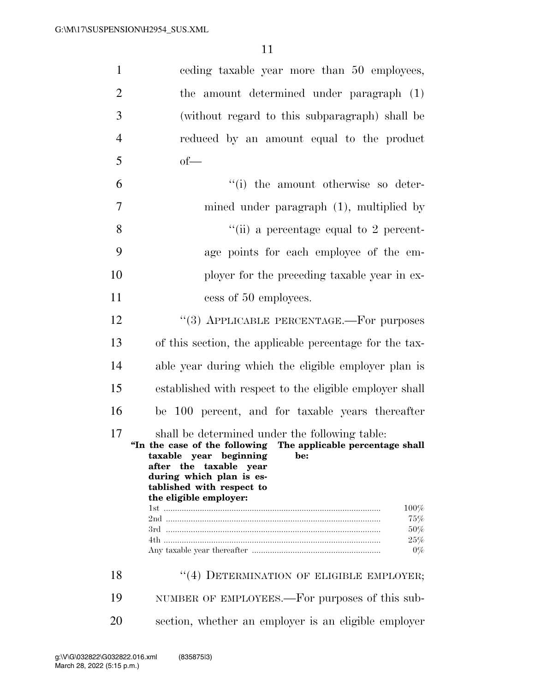| $\mathbf{1}$   | eeding taxable year more than 50 employees,                                                                                                                                                                                                                   |
|----------------|---------------------------------------------------------------------------------------------------------------------------------------------------------------------------------------------------------------------------------------------------------------|
| $\overline{2}$ | the amount determined under paragraph (1)                                                                                                                                                                                                                     |
| 3              | (without regard to this subparagraph) shall be                                                                                                                                                                                                                |
| $\overline{4}$ | reduced by an amount equal to the product                                                                                                                                                                                                                     |
| 5              | $of$ —                                                                                                                                                                                                                                                        |
| 6              | "(i) the amount otherwise so deter-                                                                                                                                                                                                                           |
| 7              | mined under paragraph $(1)$ , multiplied by                                                                                                                                                                                                                   |
| 8              | "(ii) a percentage equal to 2 percent-                                                                                                                                                                                                                        |
| 9              | age points for each employee of the em-                                                                                                                                                                                                                       |
| 10             | ployer for the preceding taxable year in ex-                                                                                                                                                                                                                  |
| 11             | cess of 50 employees.                                                                                                                                                                                                                                         |
| 12             | "(3) APPLICABLE PERCENTAGE.—For purposes                                                                                                                                                                                                                      |
| 13             | of this section, the applicable percentage for the tax-                                                                                                                                                                                                       |
| 14             | able year during which the eligible employer plan is                                                                                                                                                                                                          |
| 15             | established with respect to the eligible employer shall                                                                                                                                                                                                       |
| 16             | be 100 percent, and for taxable years thereafter                                                                                                                                                                                                              |
| 17             | shall be determined under the following table:<br>"In the case of the following The applicable percentage shall<br>taxable year beginning<br>be:<br>after the taxable year<br>during which plan is es-<br>tablished with respect to<br>the eligible employer: |
|                | 100%                                                                                                                                                                                                                                                          |
|                | 75%<br>50%                                                                                                                                                                                                                                                    |
|                | 25%<br>$0\%$                                                                                                                                                                                                                                                  |
| 18             | "(4) DETERMINATION OF ELIGIBLE EMPLOYER;                                                                                                                                                                                                                      |
| 19             | NUMBER OF EMPLOYEES.—For purposes of this sub-                                                                                                                                                                                                                |
| 20             | section, whether an employer is an eligible employer                                                                                                                                                                                                          |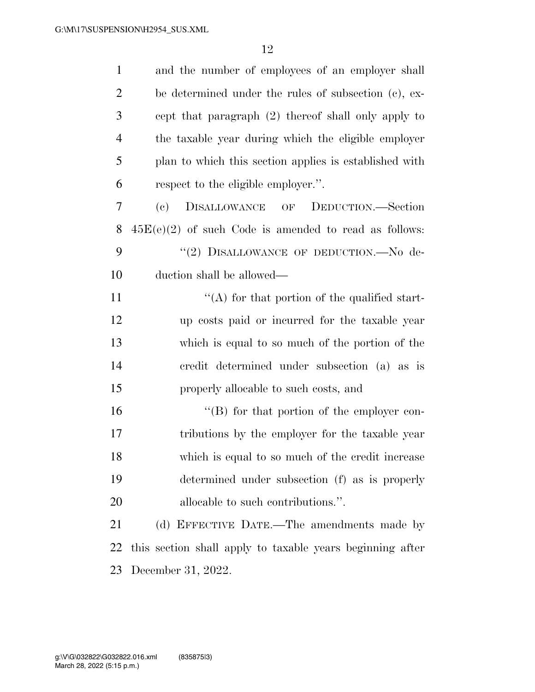| $\mathbf{1}$   | and the number of employees of an employer shall          |
|----------------|-----------------------------------------------------------|
| $\overline{2}$ | be determined under the rules of subsection (c), ex-      |
| 3              | cept that paragraph (2) thereof shall only apply to       |
| $\overline{4}$ | the taxable year during which the eligible employer       |
| 5              | plan to which this section applies is established with    |
| 6              | respect to the eligible employer.".                       |
| 7              | DISALLOWANCE OF DEDUCTION.-Section<br>(e)                 |
| 8              | $45E(e)(2)$ of such Code is amended to read as follows:   |
| 9              | "(2) DISALLOWANCE OF DEDUCTION.-No de-                    |
| 10             | duction shall be allowed—                                 |
| 11             | $\lq\lq$ for that portion of the qualified start-         |
| 12             | up costs paid or incurred for the taxable year            |
| 13             | which is equal to so much of the portion of the           |
| 14             | credit determined under subsection (a) as is              |
| 15             | properly allocable to such costs, and                     |
| 16             | $\lq\lq (B)$ for that portion of the employer con-        |
| 17             | tributions by the employer for the taxable year           |
| 18             | which is equal to so much of the credit increase          |
| 19             | determined under subsection (f) as is properly            |
| 20             | allocable to such contributions.".                        |
| 21             | (d) EFFECTIVE DATE.—The amendments made by                |
| 22             | this section shall apply to taxable years beginning after |
| 23             | December 31, 2022.                                        |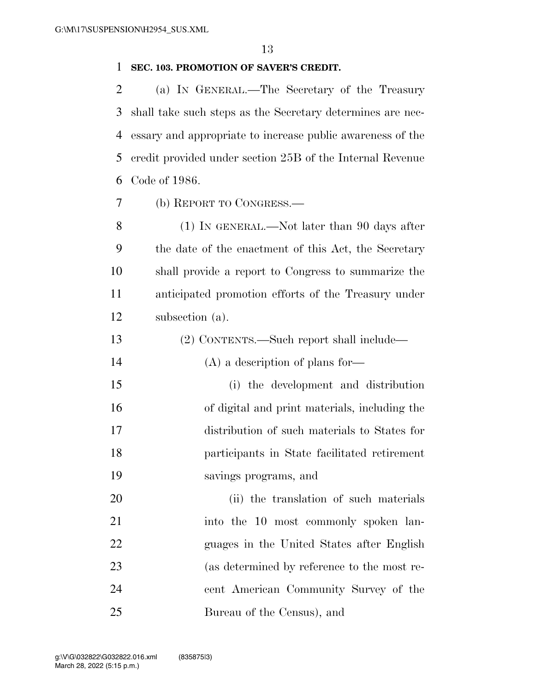### **SEC. 103. PROMOTION OF SAVER'S CREDIT.**

 (a) IN GENERAL.—The Secretary of the Treasury shall take such steps as the Secretary determines are nec- essary and appropriate to increase public awareness of the credit provided under section 25B of the Internal Revenue Code of 1986.

(b) REPORT TO CONGRESS.—

 (1) IN GENERAL.—Not later than 90 days after the date of the enactment of this Act, the Secretary shall provide a report to Congress to summarize the anticipated promotion efforts of the Treasury under subsection (a).

- (2) CONTENTS.—Such report shall include— 14 (A) a description of plans for— (i) the development and distribution of digital and print materials, including the distribution of such materials to States for participants in State facilitated retirement savings programs, and 20 (ii) the translation of such materials 21 into the 10 most commonly spoken lan- guages in the United States after English (as determined by reference to the most re-cent American Community Survey of the
- Bureau of the Census), and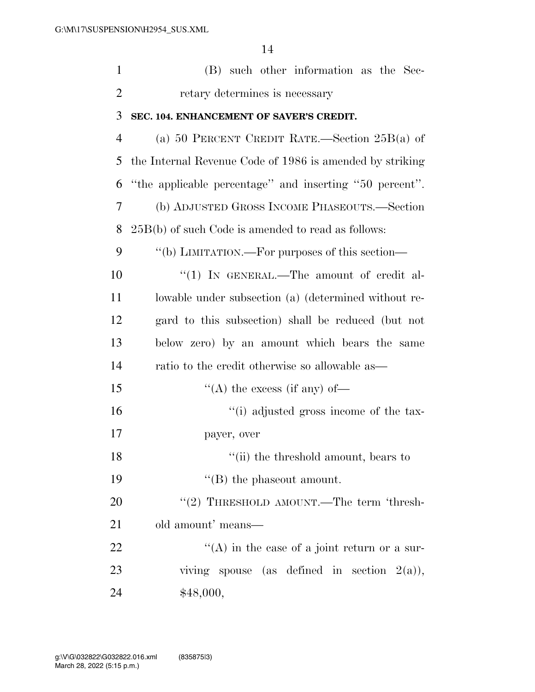| $\mathbf{1}$   | (B) such other information as the Sec-                   |
|----------------|----------------------------------------------------------|
| $\overline{2}$ | retary determines is necessary                           |
| 3              | SEC. 104. ENHANCEMENT OF SAVER'S CREDIT.                 |
| $\overline{4}$ | (a) 50 PERCENT CREDIT RATE.—Section $25B(a)$ of          |
| 5              | the Internal Revenue Code of 1986 is amended by striking |
| 6              | "the applicable percentage" and inserting "50 percent".  |
| 7              | (b) ADJUSTED GROSS INCOME PHASEOUTS.—Section             |
| 8              | $25B(b)$ of such Code is amended to read as follows:     |
| 9              | "(b) LIMITATION.—For purposes of this section—           |
| 10             | "(1) IN GENERAL.—The amount of credit al-                |
| 11             | lowable under subsection (a) (determined without re-     |
| 12             | gard to this subsection) shall be reduced (but not       |
| 13             | below zero) by an amount which bears the same            |
| 14             | ratio to the credit otherwise so allowable as—           |
| 15             | "(A) the excess (if any) of-                             |
| 16             | "(i) adjusted gross income of the tax-                   |
| 17             | payer, over                                              |
| 18             | "(ii) the threshold amount, bears to                     |
| 19             | $\lq\lq$ (B) the phase out amount.                       |
| 20             | "(2) THRESHOLD AMOUNT.—The term 'thresh-                 |
| 21             | old amount' means—                                       |
| 22             | $\lq\lq$ in the case of a joint return or a sur-         |
| 23             | viving spouse (as defined in section $2(a)$ ),           |
| 24             | \$48,000,                                                |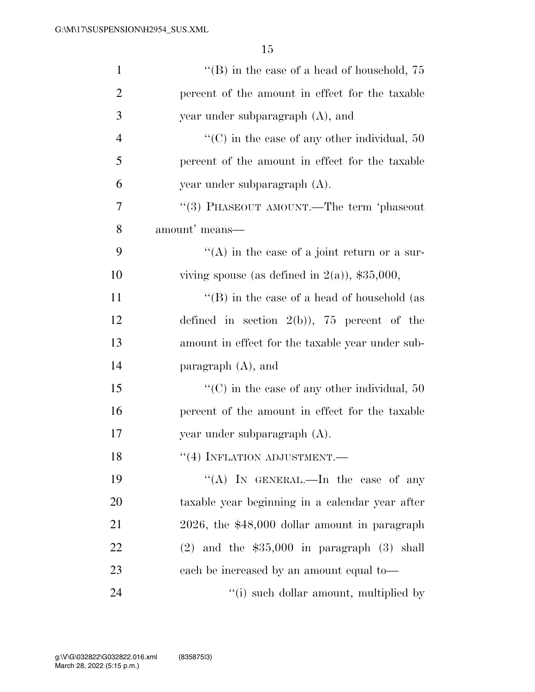| $\mathbf{1}$   | "(B) in the case of a head of household, $75$            |
|----------------|----------------------------------------------------------|
| 2              | percent of the amount in effect for the taxable          |
| 3              | year under subparagraph $(A)$ , and                      |
| $\overline{4}$ | $\lq\lq$ (C) in the case of any other individual, 50     |
| 5              | percent of the amount in effect for the taxable          |
| 6              | year under subparagraph (A).                             |
| 7              | "(3) PHASEOUT AMOUNT.—The term 'phaseout                 |
| 8              | amount' means-                                           |
| 9              | $\lq\lq$ in the case of a joint return or a sur-         |
| 10             | viving spouse (as defined in $2(a)$ ), \$35,000,         |
| 11             | $\lq\lq$ (B) in the case of a head of household (as      |
| 12             | defined in section $2(b)$ , 75 percent of the            |
| 13             | amount in effect for the taxable year under sub-         |
| 14             | paragraph $(A)$ , and                                    |
| 15             | $\cdot\cdot$ (C) in the case of any other individual, 50 |
| 16             | percent of the amount in effect for the taxable          |
| 17             | year under subparagraph (A).                             |
| 18             | $``(4)$ INFLATION ADJUSTMENT.—                           |
| 19             | "(A) IN GENERAL.—In the case of any                      |
| 20             | taxable year beginning in a calendar year after          |
| 21             | 2026, the \$48,000 dollar amount in paragraph            |
| 22             | $(2)$ and the \$35,000 in paragraph $(3)$ shall          |
| 23             | each be increased by an amount equal to—                 |
| 24             | "(i) such dollar amount, multiplied by                   |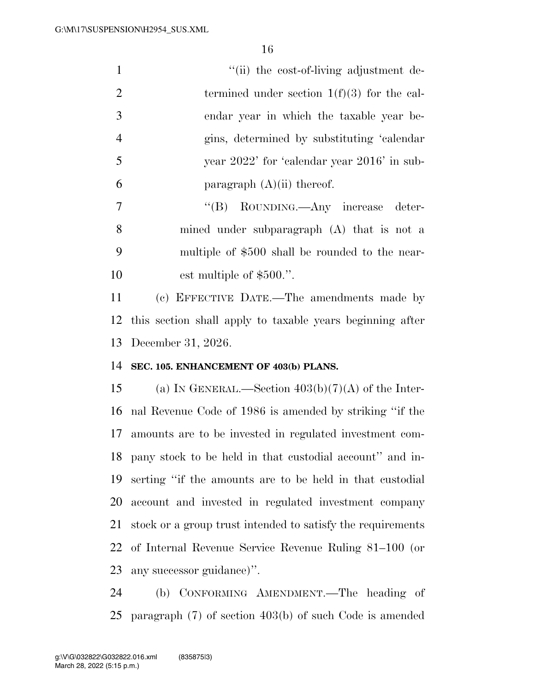| $\mathbf{1}$   | "(ii) the cost-of-living adjustment de-                     |
|----------------|-------------------------------------------------------------|
| $\overline{2}$ | termined under section $1(f)(3)$ for the cal-               |
| 3              | endar year in which the taxable year be-                    |
| $\overline{4}$ | gins, determined by substituting 'calendar                  |
| 5              | year 2022' for 'calendar year 2016' in sub-                 |
| 6              | paragraph $(A)(ii)$ thereof.                                |
| $\overline{7}$ | "(B) ROUNDING.—Any increase<br>deter-                       |
| 8              | mined under subparagraph (A) that is not a                  |
| 9              | multiple of \$500 shall be rounded to the near-             |
| 10             | est multiple of \$500.".                                    |
| 11             | (c) EFFECTIVE DATE.—The amendments made by                  |
| 12             | this section shall apply to taxable years beginning after   |
| 13             | December 31, 2026.                                          |
| 14             | SEC. 105. ENHANCEMENT OF 403(b) PLANS.                      |
| 15             | (a) IN GENERAL.—Section $403(b)(7)(A)$ of the Inter-        |
| 16             | nal Revenue Code of 1986 is amended by striking "if the     |
| 17             | amounts are to be invested in regulated investment com-     |
| 18             | pany stock to be held in that custodial account" and in-    |
| 19             | serting "if the amounts are to be held in that custodial    |
| 20             | account and invested in regulated investment company        |
| 21             | stock or a group trust intended to satisfy the requirements |
| 22             | of Internal Revenue Service Revenue Ruling 81-100 (or       |
| 23             | any successor guidance)".                                   |

 (b) CONFORMING AMENDMENT.—The heading of paragraph (7) of section 403(b) of such Code is amended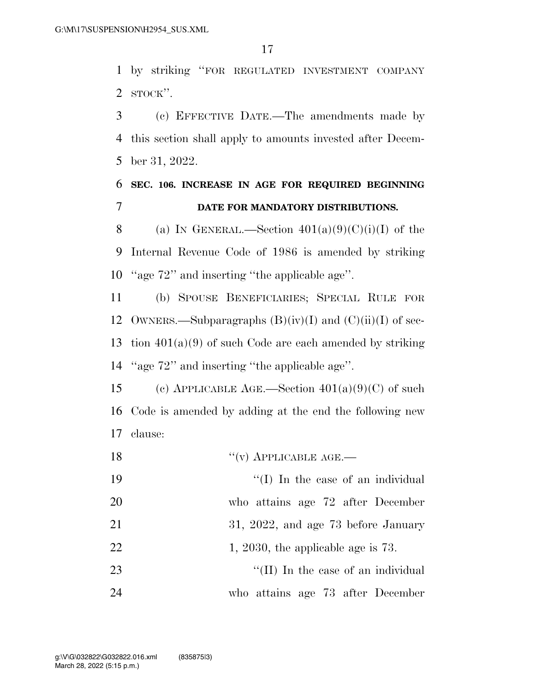by striking ''FOR REGULATED INVESTMENT COMPANY STOCK''.

 (c) EFFECTIVE DATE.—The amendments made by this section shall apply to amounts invested after Decem-ber 31, 2022.

# **SEC. 106. INCREASE IN AGE FOR REQUIRED BEGINNING DATE FOR MANDATORY DISTRIBUTIONS.**

8 (a) IN GENERAL.—Section  $401(a)(9)(C)(i)(I)$  of the Internal Revenue Code of 1986 is amended by striking ''age 72'' and inserting ''the applicable age''.

 (b) SPOUSE BENEFICIARIES; SPECIAL RULE FOR 12 OWNERS.—Subparagraphs  $(B)(iv)(I)$  and  $(C)(ii)(I)$  of sec-13 tion  $401(a)(9)$  of such Code are each amended by striking ''age 72'' and inserting ''the applicable age''.

15 (c) APPLICABLE AGE.—Section  $401(a)(9)(C)$  of such Code is amended by adding at the end the following new clause:

18 "(v) APPLICABLE AGE.— 19  $\frac{1}{2}$  The case of an individual who attains age 72 after December 21 31, 2022, and age 73 before January 22 1, 2030, the applicable age is . 23 ''(II) In the case of an individual who attains age 73 after December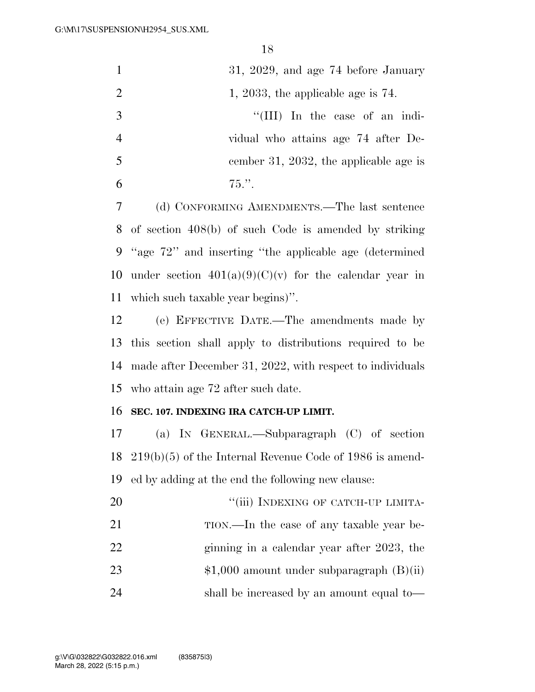| $\mathbf{1}$   | $31, 2029,$ and age $74$ before January                  |
|----------------|----------------------------------------------------------|
| 2              | 1, 2033, the applicable age is $74$ .                    |
| 3              | "(III) In the case of an indi-                           |
| $\overline{4}$ | vidual who attains age 74 after De-                      |
| 5              | cember 31, 2032, the applicable age is                   |
| 6              | $75.$ "                                                  |
| 7              | (d) CONFORMING AMENDMENTS.—The last sentence             |
|                | 8 of section 408(b) of such Code is amended by striking  |
|                | 9 "age 72" and inserting "the applicable age (determined |

10 under section  $401(a)(9)(C)(v)$  for the calendar year in which such taxable year begins)''.

 (e) EFFECTIVE DATE.—The amendments made by this section shall apply to distributions required to be made after December 31, 2022, with respect to individuals who attain age 72 after such date.

## **SEC. 107. INDEXING IRA CATCH-UP LIMIT.**

 (a) IN GENERAL.—Subparagraph (C) of section 219(b)(5) of the Internal Revenue Code of 1986 is amend-ed by adding at the end the following new clause:

| 20 | "(iii) INDEXING OF CATCH-UP LIMITA-        |
|----|--------------------------------------------|
| 21 | TION.—In the case of any taxable year be-  |
| 22 | ginning in a calendar year after 2023, the |
| 23 | $$1,000$ amount under subparagraph (B)(ii) |
| 24 | shall be increased by an amount equal to—  |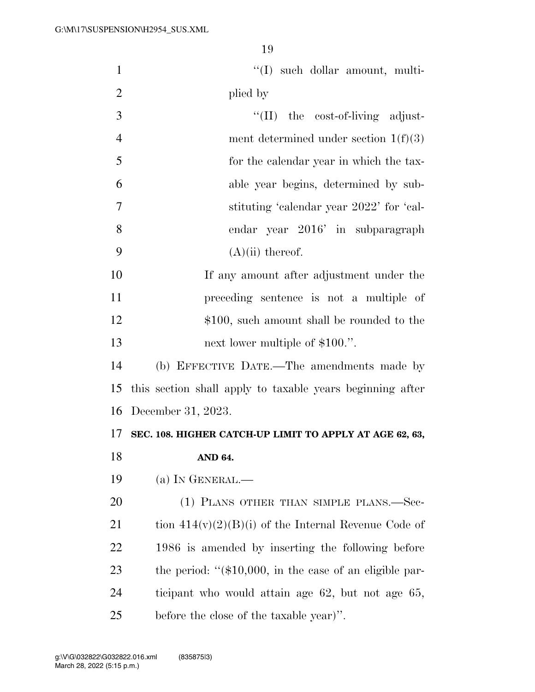| $\mathbf{1}$   | "(I) such dollar amount, multi-                            |
|----------------|------------------------------------------------------------|
| $\overline{2}$ | plied by                                                   |
| 3              | $\lq\lq$ (II) the cost-of-living adjust-                   |
| $\overline{4}$ | ment determined under section $1(f)(3)$                    |
| 5              | for the calendar year in which the tax-                    |
| 6              | able year begins, determined by sub-                       |
| $\tau$         | stituting 'calendar year 2022' for 'cal-                   |
| 8              | endar year 2016' in subparagraph                           |
| 9              | $(A)(ii)$ thereof.                                         |
| 10             | If any amount after adjustment under the                   |
| 11             | preceding sentence is not a multiple of                    |
| 12             | \$100, such amount shall be rounded to the                 |
| 13             | next lower multiple of \$100.".                            |
| 14             | (b) EFFECTIVE DATE.-The amendments made by                 |
| 15             | this section shall apply to taxable years beginning after  |
| 16             | December 31, 2023.                                         |
| 17             | SEC. 108. HIGHER CATCH-UP LIMIT TO APPLY AT AGE 62, 63,    |
| 18             | AND 64.                                                    |
| 19             | (a) IN GENERAL.—                                           |
| 20             | (1) PLANS OTHER THAN SIMPLE PLANS.—Sec-                    |
| 21             | tion $414(v)(2)(B)(i)$ of the Internal Revenue Code of     |
| 22             | 1986 is amended by inserting the following before          |
| 23             | the period: " $(\$10,000,$ in the case of an eligible par- |
| 24             | ticipant who would attain age 62, but not age 65,          |
| 25             | before the close of the taxable year)".                    |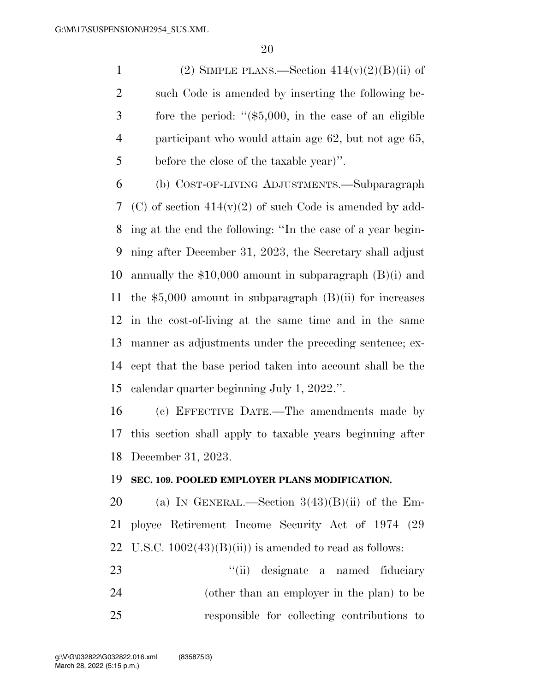1 (2) SIMPLE PLANS.—Section  $414(v)(2)(B)(ii)$  of such Code is amended by inserting the following be- fore the period: ''(\$5,000, in the case of an eligible participant who would attain age 62, but not age 65, before the close of the taxable year)''.

 (b) COST-OF-LIVING ADJUSTMENTS.—Subparagraph (C) of section 414(v)(2) of such Code is amended by add- ing at the end the following: ''In the case of a year begin- ning after December 31, 2023, the Secretary shall adjust annually the \$10,000 amount in subparagraph (B)(i) and 11 the  $$5,000$  amount in subparagraph (B)(ii) for increases in the cost-of-living at the same time and in the same manner as adjustments under the preceding sentence; ex- cept that the base period taken into account shall be the calendar quarter beginning July 1, 2022.''.

 (c) EFFECTIVE DATE.—The amendments made by this section shall apply to taxable years beginning after December 31, 2023.

#### **SEC. 109. POOLED EMPLOYER PLANS MODIFICATION.**

20 (a) IN GENERAL.—Section  $3(43)(B)(ii)$  of the Em- ployee Retirement Income Security Act of 1974 (29 22 U.S.C.  $1002(43)(B)(ii)$  is amended to read as follows:

23 ''(ii) designate a named fiduciary (other than an employer in the plan) to be responsible for collecting contributions to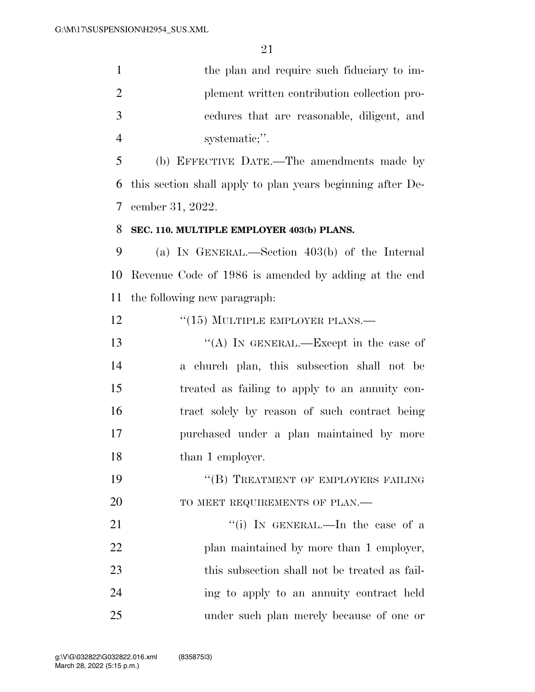1 the plan and require such fiduciary to im- plement written contribution collection pro- cedures that are reasonable, diligent, and systematic;''.

 (b) EFFECTIVE DATE.—The amendments made by this section shall apply to plan years beginning after De-cember 31, 2022.

# **SEC. 110. MULTIPLE EMPLOYER 403(b) PLANS.**

 (a) IN GENERAL.—Section 403(b) of the Internal Revenue Code of 1986 is amended by adding at the end the following new paragraph:

12 "(15) MULTIPLE EMPLOYER PLANS.—

13 "(A) IN GENERAL.—Except in the case of a church plan, this subsection shall not be treated as failing to apply to an annuity con- tract solely by reason of such contract being purchased under a plan maintained by more 18 than 1 employer.

19 "(B) TREATMENT OF EMPLOYERS FAILING 20 TO MEET REQUIREMENTS OF PLAN.—

21 ''(i) In GENERAL.—In the case of a 22 plan maintained by more than 1 employer, this subsection shall not be treated as fail- ing to apply to an annuity contract held under such plan merely because of one or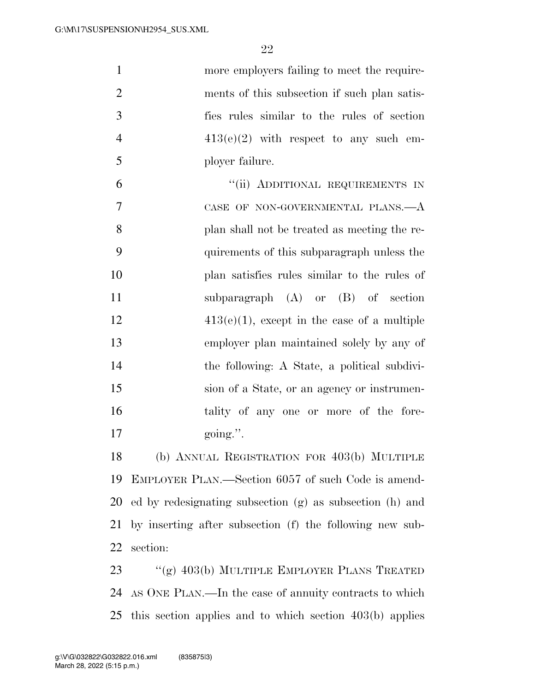| $\mathbf{1}$   | more employers failing to meet the require-              |
|----------------|----------------------------------------------------------|
| $\overline{2}$ | ments of this subsection if such plan satis-             |
| 3              | fies rules similar to the rules of section               |
| $\overline{4}$ | $413(e)(2)$ with respect to any such em-                 |
| 5              | ployer failure.                                          |
| 6              | "(ii) ADDITIONAL REQUIREMENTS IN                         |
| 7              | CASE OF NON-GOVERNMENTAL PLANS.—A                        |
| 8              | plan shall not be treated as meeting the re-             |
| 9              | quirements of this subparagraph unless the               |
| 10             | plan satisfies rules similar to the rules of             |
| 11             | subparagraph $(A)$ or $(B)$ of section                   |
| 12             | $413(e)(1)$ , except in the case of a multiple           |
| 13             | employer plan maintained solely by any of                |
| 14             | the following: A State, a political subdivi-             |
| 15             | sion of a State, or an agency or instrumen-              |
| 16             | tality of any one or more of the fore-                   |
| 17             | going.".                                                 |
| 18             | (b) ANNUAL REGISTRATION FOR 403(b) MULTIPLE              |
| 19             | EMPLOYER PLAN.—Section 6057 of such Code is amend-       |
| 20             | ed by redesignating subsection (g) as subsection (h) and |
| 21             | by inserting after subsection (f) the following new sub- |
| 22             | section:                                                 |
| 23             | "(g) $403(b)$ MULTIPLE EMPLOYER PLANS TREATED            |
| 24             | AS ONE PLAN.—In the case of annuity contracts to which   |
| 25             | this section applies and to which section 403(b) applies |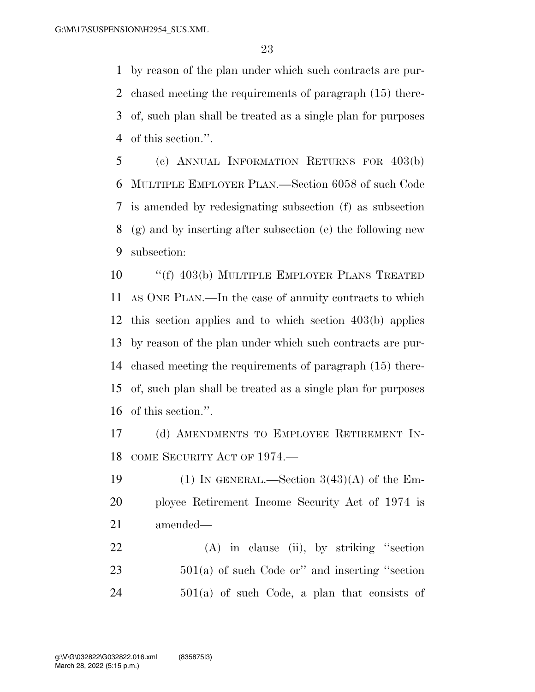by reason of the plan under which such contracts are pur- chased meeting the requirements of paragraph (15) there- of, such plan shall be treated as a single plan for purposes of this section.''.

 (c) ANNUAL INFORMATION RETURNS FOR 403(b) MULTIPLE EMPLOYER PLAN.—Section 6058 of such Code is amended by redesignating subsection (f) as subsection (g) and by inserting after subsection (e) the following new subsection:

 ''(f) 403(b) MULTIPLE EMPLOYER PLANS TREATED AS ONE PLAN.—In the case of annuity contracts to which this section applies and to which section 403(b) applies by reason of the plan under which such contracts are pur- chased meeting the requirements of paragraph (15) there- of, such plan shall be treated as a single plan for purposes of this section.''.

 (d) AMENDMENTS TO EMPLOYEE RETIREMENT IN-COME SECURITY ACT OF 1974.—

19 (1) IN GENERAL.—Section  $3(43)(A)$  of the Em- ployee Retirement Income Security Act of 1974 is amended—

 (A) in clause (ii), by striking ''section 501(a) of such Code or'' and inserting ''section  $501(a)$  of such Code, a plan that consists of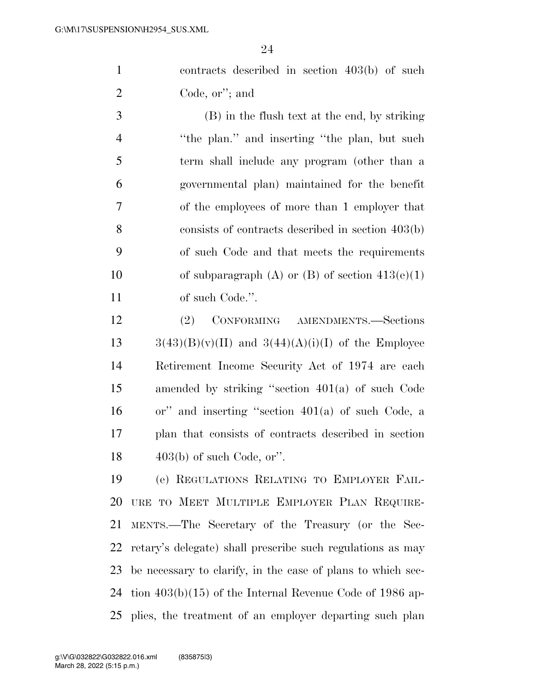contracts described in section 403(b) of such Code, or''; and

 (B) in the flush text at the end, by striking 4 "the plan." and inserting "the plan, but such term shall include any program (other than a governmental plan) maintained for the benefit of the employees of more than 1 employer that consists of contracts described in section 403(b) of such Code and that meets the requirements 10 of subparagraph (A) or (B) of section  $413(e)(1)$ 11 of such Code.".

 (2) CONFORMING AMENDMENTS.—Sections  $3(43)(B)(v)(II)$  and  $3(44)(A)(i)(I)$  of the Employee Retirement Income Security Act of 1974 are each amended by striking ''section 401(a) of such Code or'' and inserting ''section 401(a) of such Code, a plan that consists of contracts described in section  $403(b)$  of such Code, or".

 (e) REGULATIONS RELATING TO EMPLOYER FAIL- URE TO MEET MULTIPLE EMPLOYER PLAN REQUIRE- MENTS.—The Secretary of the Treasury (or the Sec- retary's delegate) shall prescribe such regulations as may be necessary to clarify, in the case of plans to which sec- tion 403(b)(15) of the Internal Revenue Code of 1986 ap-plies, the treatment of an employer departing such plan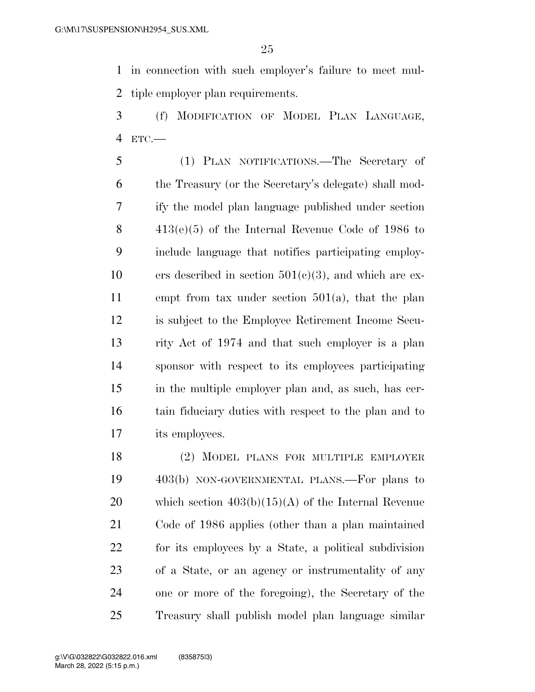in connection with such employer's failure to meet mul-tiple employer plan requirements.

 (f) MODIFICATION OF MODEL PLAN LANGUAGE, ETC.—

 (1) PLAN NOTIFICATIONS.—The Secretary of the Treasury (or the Secretary's delegate) shall mod- ify the model plan language published under section 413(e)(5) of the Internal Revenue Code of 1986 to include language that notifies participating employ-10 ers described in section  $501(c)(3)$ , and which are ex- empt from tax under section 501(a), that the plan is subject to the Employee Retirement Income Secu- rity Act of 1974 and that such employer is a plan sponsor with respect to its employees participating in the multiple employer plan and, as such, has cer- tain fiduciary duties with respect to the plan and to its employees.

 (2) MODEL PLANS FOR MULTIPLE EMPLOYER 403(b) NON-GOVERNMENTAL PLANS.—For plans to 20 which section  $403(b)(15)(A)$  of the Internal Revenue Code of 1986 applies (other than a plan maintained for its employees by a State, a political subdivision of a State, or an agency or instrumentality of any one or more of the foregoing), the Secretary of the Treasury shall publish model plan language similar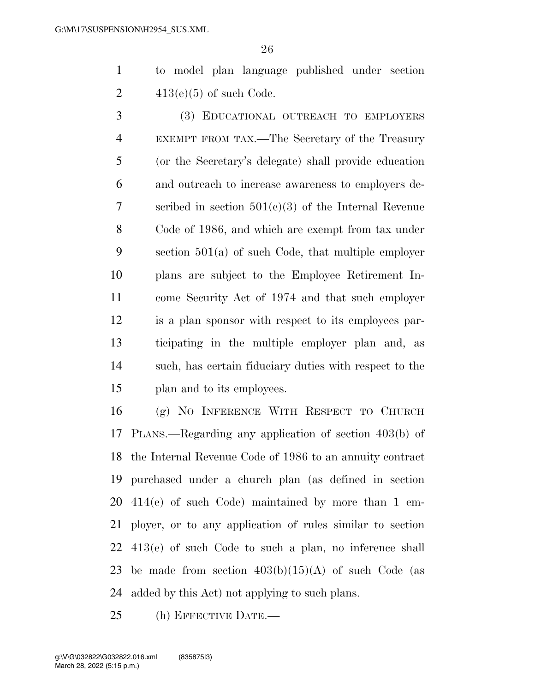to model plan language published under section 2  $413(e)(5)$  of such Code.

 (3) EDUCATIONAL OUTREACH TO EMPLOYERS EXEMPT FROM TAX.—The Secretary of the Treasury (or the Secretary's delegate) shall provide education and outreach to increase awareness to employers de- scribed in section 501(c)(3) of the Internal Revenue Code of 1986, and which are exempt from tax under section 501(a) of such Code, that multiple employer plans are subject to the Employee Retirement In- come Security Act of 1974 and that such employer is a plan sponsor with respect to its employees par- ticipating in the multiple employer plan and, as such, has certain fiduciary duties with respect to the plan and to its employees.

 (g) NO INFERENCE WITH RESPECT TO CHURCH PLANS.—Regarding any application of section 403(b) of the Internal Revenue Code of 1986 to an annuity contract purchased under a church plan (as defined in section 414(e) of such Code) maintained by more than 1 em- ployer, or to any application of rules similar to section 413(e) of such Code to such a plan, no inference shall 23 be made from section  $403(b)(15)(A)$  of such Code (as added by this Act) not applying to such plans.

(h) EFFECTIVE DATE.—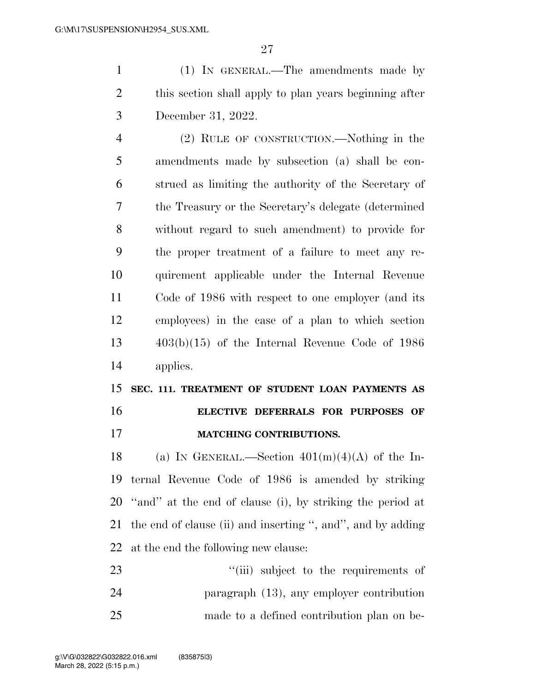(1) IN GENERAL.—The amendments made by this section shall apply to plan years beginning after December 31, 2022.

 (2) RULE OF CONSTRUCTION.—Nothing in the amendments made by subsection (a) shall be con- strued as limiting the authority of the Secretary of the Treasury or the Secretary's delegate (determined without regard to such amendment) to provide for the proper treatment of a failure to meet any re- quirement applicable under the Internal Revenue Code of 1986 with respect to one employer (and its employees) in the case of a plan to which section 403(b)(15) of the Internal Revenue Code of 1986 applies.

 **SEC. 111. TREATMENT OF STUDENT LOAN PAYMENTS AS ELECTIVE DEFERRALS FOR PURPOSES OF MATCHING CONTRIBUTIONS.** 

18 (a) IN GENERAL.—Section  $401(m)(4)(A)$  of the In- ternal Revenue Code of 1986 is amended by striking ''and'' at the end of clause (i), by striking the period at the end of clause (ii) and inserting '', and'', and by adding at the end the following new clause:

23  $\frac{1}{2}$   $\frac{1}{2}$   $\frac{1}{2}$  subject to the requirements of paragraph (13), any employer contribution made to a defined contribution plan on be-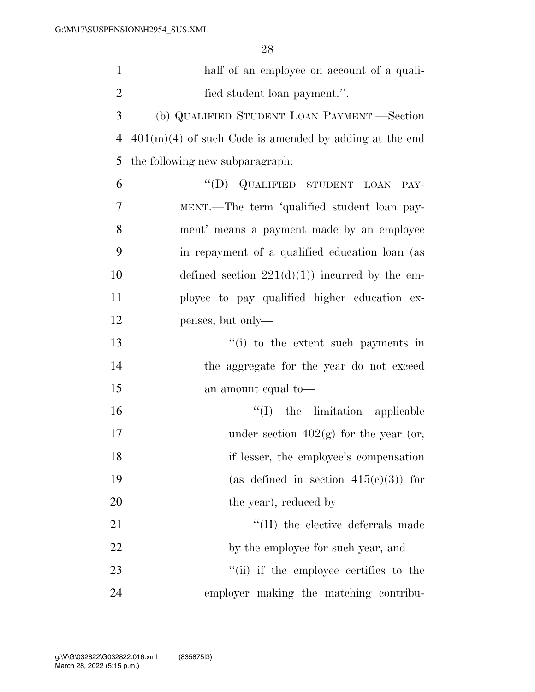| $\mathbf{1}$   | half of an employee on account of a quali-               |
|----------------|----------------------------------------------------------|
| $\overline{2}$ | fied student loan payment.".                             |
| 3              | (b) QUALIFIED STUDENT LOAN PAYMENT.—Section              |
| 4              | $401(m)(4)$ of such Code is amended by adding at the end |
| 5              | the following new subparagraph:                          |
| 6              | "(D) QUALIFIED STUDENT LOAN<br>PAY-                      |
| 7              | MENT.—The term 'qualified student loan pay-              |
| 8              | ment' means a payment made by an employee                |
| 9              | in repayment of a qualified education loan (as           |
| 10             | defined section $221(d)(1)$ incurred by the em-          |
| 11             | ployee to pay qualified higher education ex-             |
| 12             | penses, but only—                                        |
| 13             | $f'(i)$ to the extent such payments in                   |
| 14             | the aggregate for the year do not exceed                 |
| 15             | an amount equal to-                                      |
| 16             | $\lq\lq$ (I) the limitation applicable                   |
| 17             | under section $402(g)$ for the year (or,                 |
| 18             | if lesser, the employee's compensation                   |
| 19             | (as defined in section $415(c)(3)$ ) for                 |
| 20             | the year), reduced by                                    |
| 21             | "(II) the elective deferrals made                        |
| 22             | by the employee for such year, and                       |
| 23             | "(ii) if the employee certifies to the                   |
| 24             | employer making the matching contribu-                   |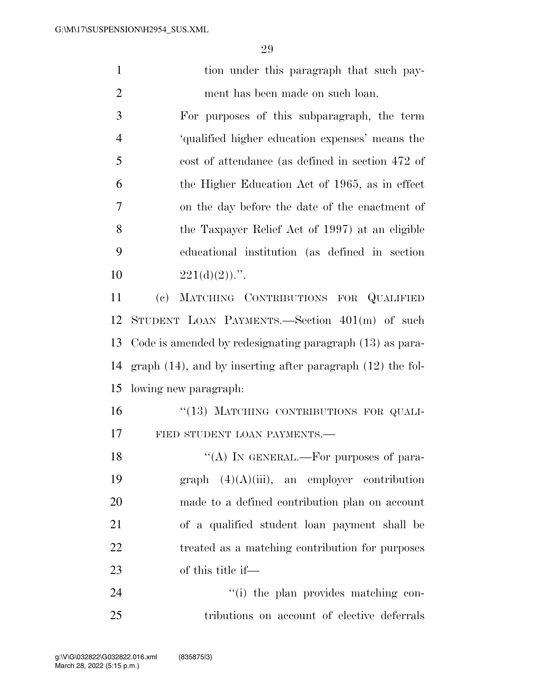| $\mathbf{1}$   | tion under this paragraph that such pay-                           |
|----------------|--------------------------------------------------------------------|
| $\overline{2}$ | ment has been made on such loan.                                   |
| 3              | For purposes of this subparagraph, the term                        |
| $\overline{4}$ | 'qualified higher education expenses' means the                    |
| 5              | cost of attendance (as defined in section 472 of                   |
| 6              | the Higher Education Act of 1965, as in effect                     |
| 7              | on the day before the date of the enactment of                     |
| 8              | the Taxpayer Relief Act of 1997) at an eligible                    |
| 9              | educational institution (as defined in section                     |
| 10             | $221(d)(2)$ .".                                                    |
| 11             | MATCHING CONTRIBUTIONS FOR QUALIFIED<br>$\left( \mathrm{e}\right)$ |
| 12             | STUDENT LOAN PAYMENTS.-Section 401(m) of such                      |
| 13             | Code is amended by redesignating paragraph (13) as para-           |
| 14             | graph $(14)$ , and by inserting after paragraph $(12)$ the fol-    |
| 15             | lowing new paragraph:                                              |
| 16             | "(13) MATCHING CONTRIBUTIONS FOR QUALI-                            |
| 17             | FIED STUDENT LOAN PAYMENTS.-                                       |
| 18             | "(A) IN GENERAL.—For purposes of para-                             |
| 19             | $graph (4)(A)(iii)$ , an employer contribution                     |
| 20             | made to a defined contribution plan on account                     |
| 21             | of a qualified student loan payment shall be                       |
| 22             | treated as a matching contribution for purposes                    |
| 23             | of this title if—                                                  |
| 24             | "(i) the plan provides matching con-                               |
| 25             | tributions on account of elective deferrals                        |
|                |                                                                    |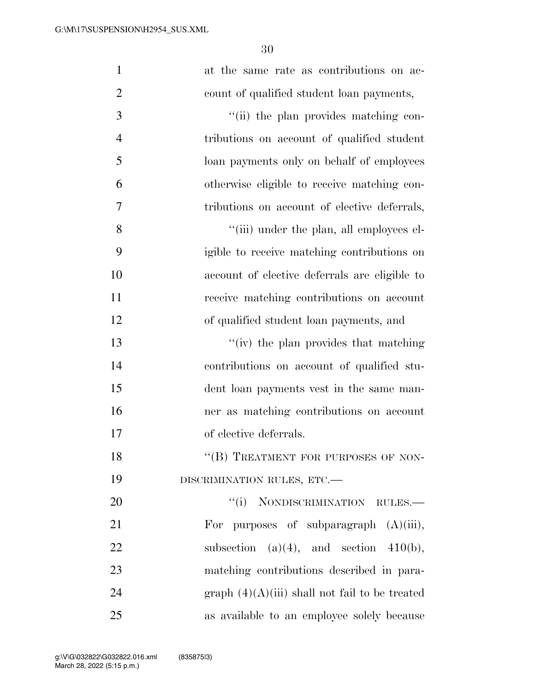| $\mathbf{1}$   | at the same rate as contributions on ac-         |
|----------------|--------------------------------------------------|
| $\overline{2}$ | count of qualified student loan payments,        |
| 3              | "(ii) the plan provides matching con-            |
| $\overline{4}$ | tributions on account of qualified student       |
| 5              | loan payments only on behalf of employees        |
| 6              | otherwise eligible to receive matching con-      |
| 7              | tributions on account of elective deferrals,     |
| 8              | "(iii) under the plan, all employees el-         |
| 9              | igible to receive matching contributions on      |
| 10             | account of elective deferrals are eligible to    |
| 11             | receive matching contributions on account        |
| 12             | of qualified student loan payments, and          |
| 13             | "(iv) the plan provides that matching            |
| 14             | contributions on account of qualified stu-       |
| 15             | dent loan payments vest in the same man-         |
| 16             | ner as matching contributions on account         |
| 17             | of elective deferrals.                           |
| 18             | "(B) TREATMENT FOR PURPOSES OF NON-              |
| 19             | DISCRIMINATION RULES, ETC.-                      |
| 20             | "(i) NONDISCRIMINATION RULES.-                   |
| 21             | For purposes of subparagraph $(A)(iii)$ ,        |
| 22             | subsection $(a)(4)$ , and section $410(b)$ ,     |
| 23             | matching contributions described in para-        |
| 24             | graph $(4)(A)(iii)$ shall not fail to be treated |
| 25             | as available to an employee solely because       |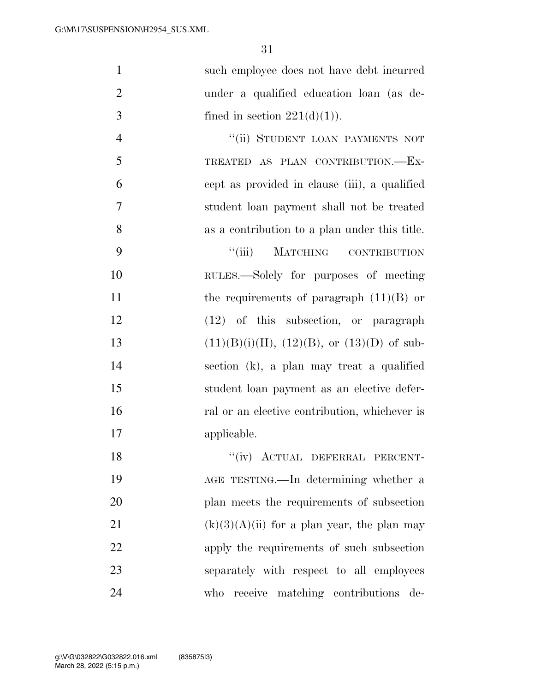| $\mathbf{1}$   | such employee does not have debt incurred     |
|----------------|-----------------------------------------------|
| $\overline{2}$ | under a qualified education loan (as de-      |
| 3              | fined in section $221(d)(1)$ .                |
| $\overline{4}$ | "(ii) STUDENT LOAN PAYMENTS NOT               |
| 5              | TREATED AS PLAN CONTRIBUTION.-EX-             |
| 6              | cept as provided in clause (iii), a qualified |
| 7              | student loan payment shall not be treated     |
| 8              | as a contribution to a plan under this title. |
| 9              | ``(iii)<br>MATCHING CONTRIBUTION              |
| 10             | RULES.—Solely for purposes of meeting         |
| 11             | the requirements of paragraph $(11)(B)$ or    |
| 12             | $(12)$ of this subsection, or paragraph       |
| 13             | $(11)(B)(i)(II), (12)(B), or (13)(D)$ of sub- |
| 14             | section (k), a plan may treat a qualified     |
| 15             | student loan payment as an elective defer-    |
| 16             | ral or an elective contribution, whichever is |
| 17             | applicable.                                   |
| 18             | "(iv) ACTUAL DEFERRAL PERCENT-                |
| 19             | AGE TESTING.—In determining whether a         |
| 20             | plan meets the requirements of subsection     |
| 21             | $(k)(3)(A)(ii)$ for a plan year, the plan may |
| 22             | apply the requirements of such subsection     |
| 23             | separately with respect to all employees      |
| 24             | receive matching contributions<br>who<br>de-  |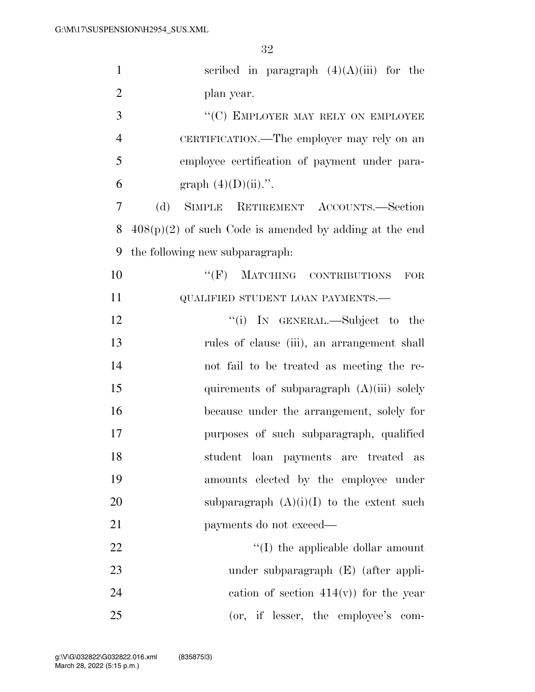| $\mathbf{1}$   | scribed in paragraph $(4)(A)(iii)$ for the               |
|----------------|----------------------------------------------------------|
| $\overline{2}$ | plan year.                                               |
| 3              | "(C) EMPLOYER MAY RELY ON EMPLOYEE                       |
| $\overline{4}$ | CERTIFICATION.—The employer may rely on an               |
| 5              | employee certification of payment under para-            |
| 6              | graph $(4)(D)(ii)$ .".                                   |
| 7              | (d)<br>SIMPLE RETIREMENT ACCOUNTS.-Section               |
| 8              | $408(p)(2)$ of such Code is amended by adding at the end |
| 9              | the following new subparagraph:                          |
| 10             | "(F) MATCHING CONTRIBUTIONS<br>FOR                       |
| 11             | QUALIFIED STUDENT LOAN PAYMENTS.-                        |
| 12             | "(i) IN GENERAL.—Subject to the                          |
| 13             | rules of clause (iii), an arrangement shall              |
| 14             | not fail to be treated as meeting the re-                |
| 15             | quirements of subparagraph $(A)(iii)$ solely             |
| 16             | because under the arrangement, solely for                |
| 17             | purposes of such subparagraph, qualified                 |
| 18             | student loan payments are treated as                     |
| 19             | amounts elected by the employee under                    |
| 20             | subparagraph $(A)(i)(I)$ to the extent such              |
| 21             | payments do not exceed—                                  |
| 22             | $\lq\lq$ the applicable dollar amount                    |
| 23             | under subparagraph (E) (after appli-                     |
| 24             | eation of section $414(v)$ for the year                  |
| 25             | (or, if lesser, the employee's com-                      |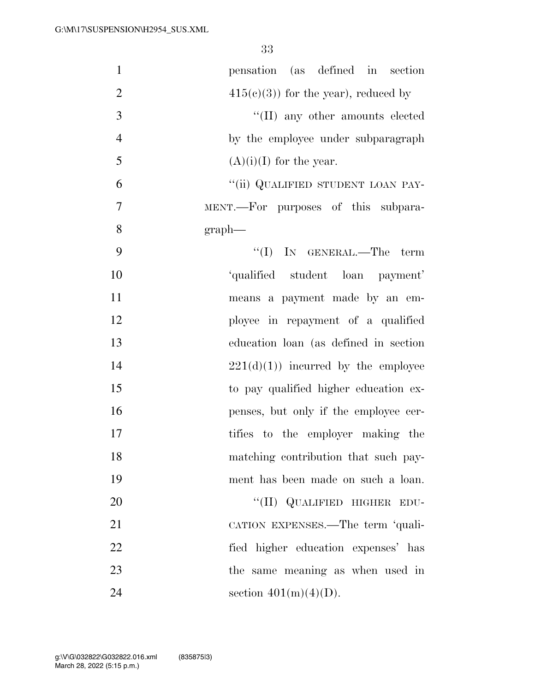| $\mathbf{1}$   | pensation (as defined in section      |
|----------------|---------------------------------------|
| $\overline{2}$ | $415(c)(3)$ for the year), reduced by |
| 3              | "(II) any other amounts elected       |
| $\overline{4}$ | by the employee under subparagraph    |
| 5              | $(A)(i)(I)$ for the year.             |
| 6              | "(ii) QUALIFIED STUDENT LOAN PAY-     |
| 7              | MENT.—For purposes of this subpara-   |
| 8              | $graph$ —                             |
| 9              | "(I) IN GENERAL.—The term             |
| 10             | 'qualified student loan payment'      |
| 11             | means a payment made by an em-        |
| 12             | ployee in repayment of a qualified    |
| 13             | education loan (as defined in section |
| 14             | $221(d)(1)$ incurred by the employee  |
| 15             | to pay qualified higher education ex- |
| 16             | penses, but only if the employee cer- |
| 17             | tifies to the employer making the     |
| 18             | matching contribution that such pay-  |
| 19             | ment has been made on such a loan.    |
| 20             | "(II) QUALIFIED HIGHER EDU-           |
| 21             | CATION EXPENSES.—The term 'quali-     |
| 22             | fied higher education expenses' has   |
| 23             | the same meaning as when used in      |
| 24             | section $401(m)(4)(D)$ .              |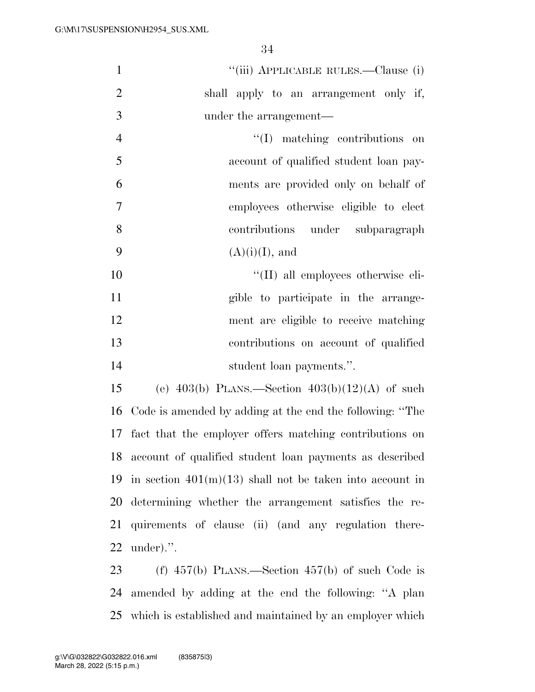|                | U±                                                       |
|----------------|----------------------------------------------------------|
| $\mathbf{1}$   | "(iii) APPLICABLE RULES.—Clause (i)                      |
| $\overline{2}$ | shall apply to an arrangement only if,                   |
| 3              | under the arrangement—                                   |
| $\overline{4}$ | $\lq\lq$ matching contributions<br>on                    |
| 5              | account of qualified student loan pay-                   |
| 6              | ments are provided only on behalf of                     |
| $\tau$         | employees otherwise eligible to elect                    |
| 8              | under subparagraph<br>contributions                      |
| 9              | $(A)(i)(I)$ , and                                        |
| 10             | "(II) all employees otherwise eli-                       |
| 11             | gible to participate in the arrange-                     |
| 12             | ment are eligible to receive matching                    |
| 13             | contributions on account of qualified                    |
| 14             | student loan payments.".                                 |
| 15             | (e) $403(b)$ PLANS.—Section $403(b)(12)(A)$ of such      |
| 16             | Code is amended by adding at the end the following: "The |
|                |                                                          |

 fact that the employer offers matching contributions on account of qualified student loan payments as described 19 in section  $401(m)(13)$  shall not be taken into account in determining whether the arrangement satisfies the re- quirements of clause (ii) (and any regulation there-under).''.

 (f) 457(b) PLANS.—Section 457(b) of such Code is amended by adding at the end the following: ''A plan which is established and maintained by an employer which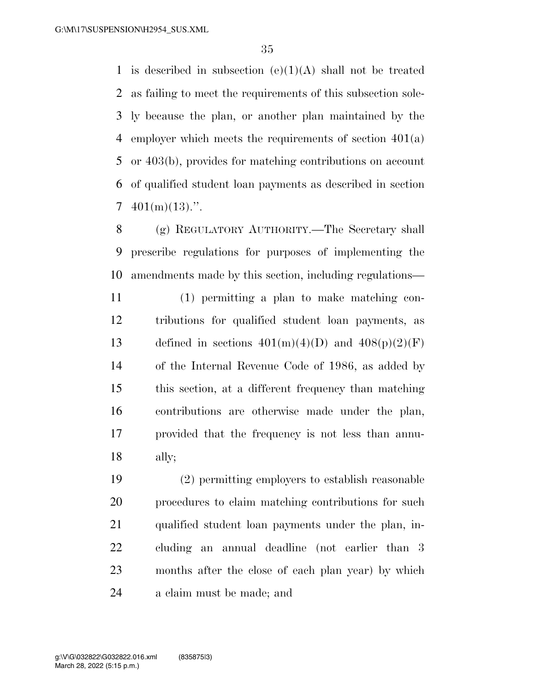1 is described in subsection  $(e)(1)(A)$  shall not be treated as failing to meet the requirements of this subsection sole- ly because the plan, or another plan maintained by the employer which meets the requirements of section 401(a) or 403(b), provides for matching contributions on account of qualified student loan payments as described in section  $7 \quad 401(m)(13)$ .".

 (g) REGULATORY AUTHORITY.—The Secretary shall prescribe regulations for purposes of implementing the amendments made by this section, including regulations—

 (1) permitting a plan to make matching con- tributions for qualified student loan payments, as 13 defined in sections  $401(m)(4)(D)$  and  $408(p)(2)(F)$  of the Internal Revenue Code of 1986, as added by this section, at a different frequency than matching contributions are otherwise made under the plan, provided that the frequency is not less than annu-ally;

 (2) permitting employers to establish reasonable procedures to claim matching contributions for such qualified student loan payments under the plan, in- cluding an annual deadline (not earlier than 3 months after the close of each plan year) by which a claim must be made; and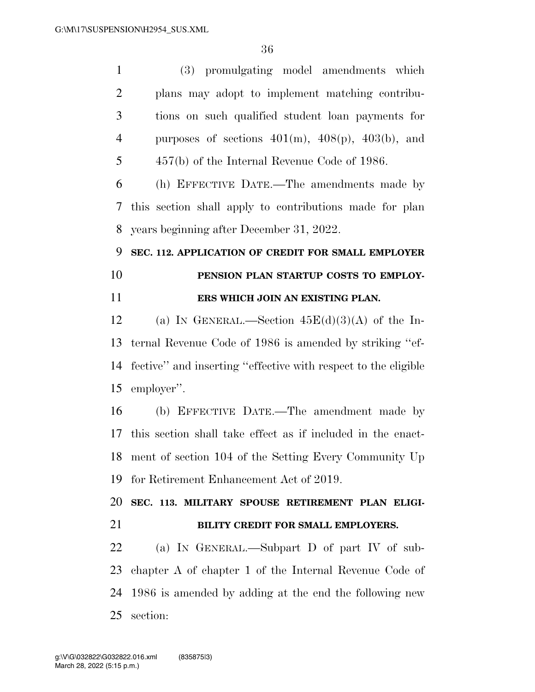(3) promulgating model amendments which plans may adopt to implement matching contribu- tions on such qualified student loan payments for 4 purposes of sections  $401(m)$ ,  $408(p)$ ,  $403(b)$ , and 457(b) of the Internal Revenue Code of 1986. (h) EFFECTIVE DATE.—The amendments made by this section shall apply to contributions made for plan years beginning after December 31, 2022. **SEC. 112. APPLICATION OF CREDIT FOR SMALL EMPLOYER PENSION PLAN STARTUP COSTS TO EMPLOY- ERS WHICH JOIN AN EXISTING PLAN.**  12 (a) IN GENERAL.—Section  $45E(d)(3)(A)$  of the In- ternal Revenue Code of 1986 is amended by striking ''ef- fective'' and inserting ''effective with respect to the eligible employer''. (b) EFFECTIVE DATE.—The amendment made by this section shall take effect as if included in the enact- ment of section 104 of the Setting Every Community Up for Retirement Enhancement Act of 2019. **SEC. 113. MILITARY SPOUSE RETIREMENT PLAN ELIGI- BILITY CREDIT FOR SMALL EMPLOYERS.**  (a) IN GENERAL.—Subpart D of part IV of sub- chapter A of chapter 1 of the Internal Revenue Code of 1986 is amended by adding at the end the following new section: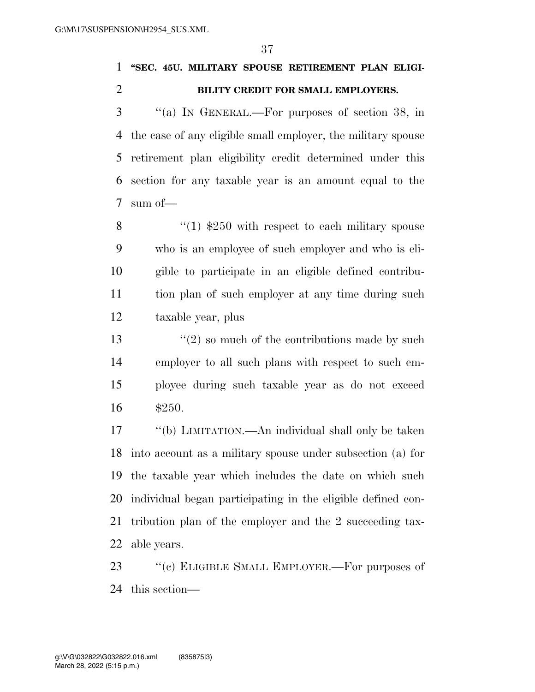### **''SEC. 45U. MILITARY SPOUSE RETIREMENT PLAN ELIGI-BILITY CREDIT FOR SMALL EMPLOYERS.**

 ''(a) IN GENERAL.—For purposes of section 38, in the case of any eligible small employer, the military spouse retirement plan eligibility credit determined under this section for any taxable year is an amount equal to the sum of—

 $\frac{1}{250}$  with respect to each military spouse who is an employee of such employer and who is eli- gible to participate in an eligible defined contribu- tion plan of such employer at any time during such taxable year, plus

 $\frac{13}{2}$  so much of the contributions made by such employer to all such plans with respect to such em- ployee during such taxable year as do not exceed \$250.

 ''(b) LIMITATION.—An individual shall only be taken into account as a military spouse under subsection (a) for the taxable year which includes the date on which such individual began participating in the eligible defined con- tribution plan of the employer and the 2 succeeding tax-able years.

23 "(c) ELIGIBLE SMALL EMPLOYER.—For purposes of this section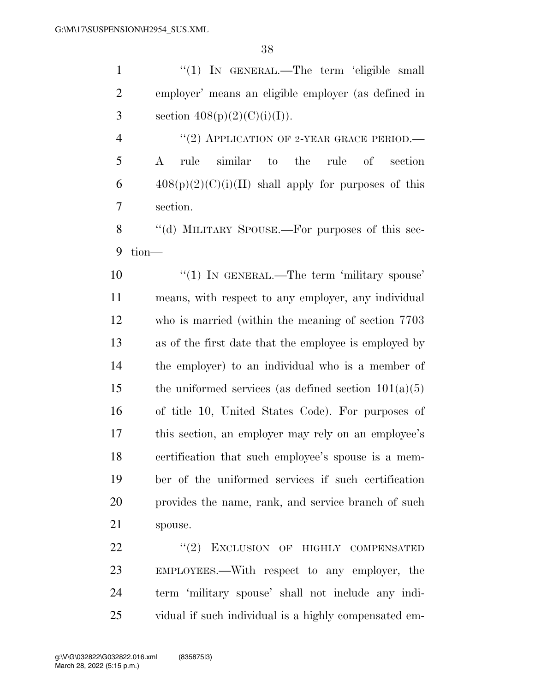1 "(1) IN GENERAL.—The term 'eligible small employer' means an eligible employer (as defined in 3 section  $408(p)(2)(C)(i)(I)).$ 

4 "(2) APPLICATION OF 2-YEAR GRACE PERIOD.— A rule similar to the rule of section  $408(p)(2)(C)(i)(II)$  shall apply for purposes of this section.

8 "(d) MILITARY SPOUSE.—For purposes of this sec-tion—

 $\frac{10}{10}$  IN GENERAL.—The term 'military spouse' means, with respect to any employer, any individual who is married (within the meaning of section 7703 as of the first date that the employee is employed by the employer) to an individual who is a member of 15 the uniformed services (as defined section  $101(a)(5)$  of title 10, United States Code). For purposes of this section, an employer may rely on an employee's certification that such employee's spouse is a mem- ber of the uniformed services if such certification provides the name, rank, and service branch of such spouse.

22 "(2) EXCLUSION OF HIGHLY COMPENSATED EMPLOYEES.—With respect to any employer, the term 'military spouse' shall not include any indi-vidual if such individual is a highly compensated em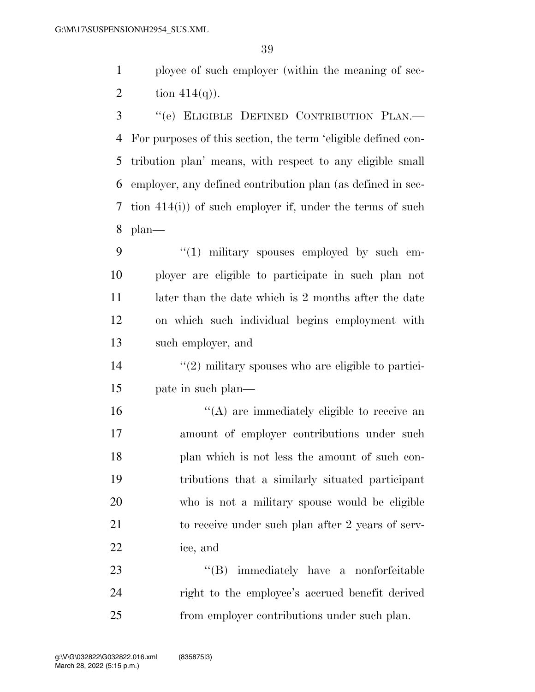ployee of such employer (within the meaning of sec-2 tion  $414(q)$ ).

 ''(e) ELIGIBLE DEFINED CONTRIBUTION PLAN.— For purposes of this section, the term 'eligible defined con- tribution plan' means, with respect to any eligible small employer, any defined contribution plan (as defined in sec- tion 414(i)) of such employer if, under the terms of such plan—

9 "(1) military spouses employed by such em- ployer are eligible to participate in such plan not 11 later than the date which is 2 months after the date on which such individual begins employment with such employer, and

 $\frac{14}{2}$  ''(2) military spouses who are eligible to partici-pate in such plan—

 $\langle (A) \rangle$  are immediately eligible to receive an amount of employer contributions under such plan which is not less the amount of such con- tributions that a similarly situated participant who is not a military spouse would be eligible to receive under such plan after 2 years of serv-ice, and

23 ''(B) immediately have a nonforfeitable right to the employee's accrued benefit derived from employer contributions under such plan.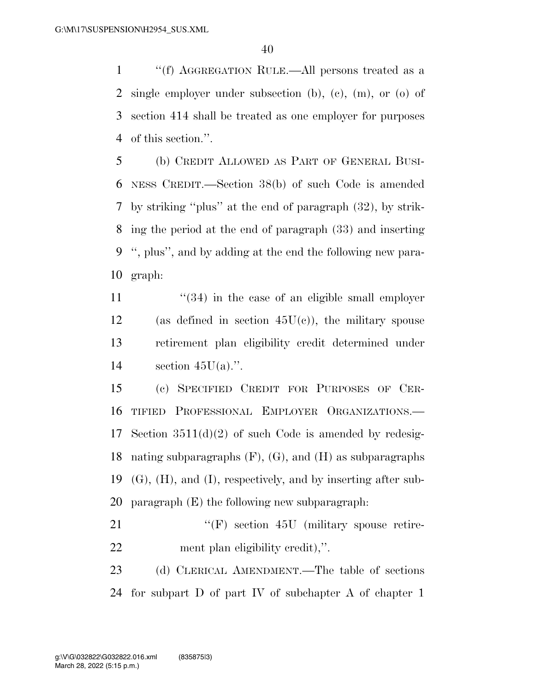''(f) AGGREGATION RULE.—All persons treated as a single employer under subsection (b), (c), (m), or (o) of section 414 shall be treated as one employer for purposes of this section.''.

 (b) CREDIT ALLOWED AS PART OF GENERAL BUSI- NESS CREDIT.—Section 38(b) of such Code is amended by striking ''plus'' at the end of paragraph (32), by strik- ing the period at the end of paragraph (33) and inserting '', plus'', and by adding at the end the following new para-graph:

11  $\frac{4}{34}$  in the case of an eligible small employer 12 (as defined in section  $45U(c)$ ), the military spouse retirement plan eligibility credit determined under 14 section  $45U(a)$ .".

 (c) SPECIFIED CREDIT FOR PURPOSES OF CER- TIFIED PROFESSIONAL EMPLOYER ORGANIZATIONS.— Section 3511(d)(2) of such Code is amended by redesig- nating subparagraphs (F), (G), and (H) as subparagraphs (G), (H), and (I), respectively, and by inserting after sub-paragraph (E) the following new subparagraph:

21 ''(F) section 45U (military spouse retire-ment plan eligibility credit),''.

 (d) CLERICAL AMENDMENT.—The table of sections for subpart D of part IV of subchapter A of chapter 1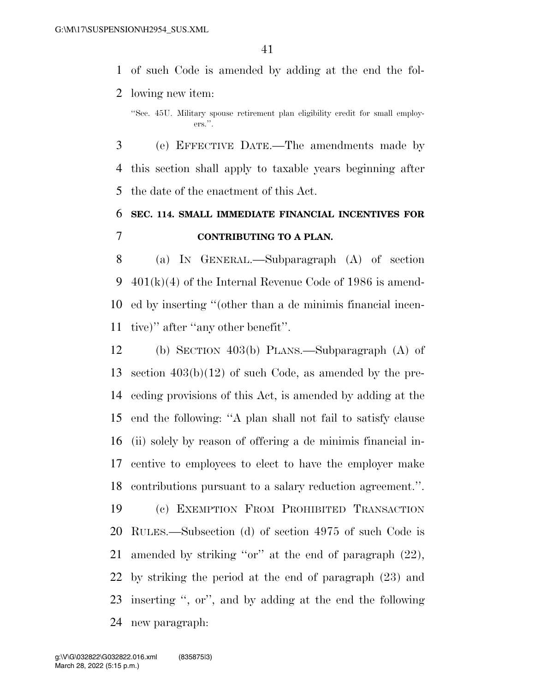of such Code is amended by adding at the end the fol-lowing new item:

 (e) EFFECTIVE DATE.—The amendments made by this section shall apply to taxable years beginning after the date of the enactment of this Act.

## **SEC. 114. SMALL IMMEDIATE FINANCIAL INCENTIVES FOR CONTRIBUTING TO A PLAN.**

 (a) IN GENERAL.—Subparagraph (A) of section 401(k)(4) of the Internal Revenue Code of 1986 is amend- ed by inserting ''(other than a de minimis financial incen-tive)'' after ''any other benefit''.

 (b) SECTION 403(b) PLANS.—Subparagraph (A) of section 403(b)(12) of such Code, as amended by the pre- ceding provisions of this Act, is amended by adding at the end the following: ''A plan shall not fail to satisfy clause (ii) solely by reason of offering a de minimis financial in- centive to employees to elect to have the employer make contributions pursuant to a salary reduction agreement.''.

 (c) EXEMPTION FROM PROHIBITED TRANSACTION RULES.—Subsection (d) of section 4975 of such Code is amended by striking ''or'' at the end of paragraph (22), by striking the period at the end of paragraph (23) and inserting '', or'', and by adding at the end the following new paragraph:

<sup>&#</sup>x27;'Sec. 45U. Military spouse retirement plan eligibility credit for small employers.''.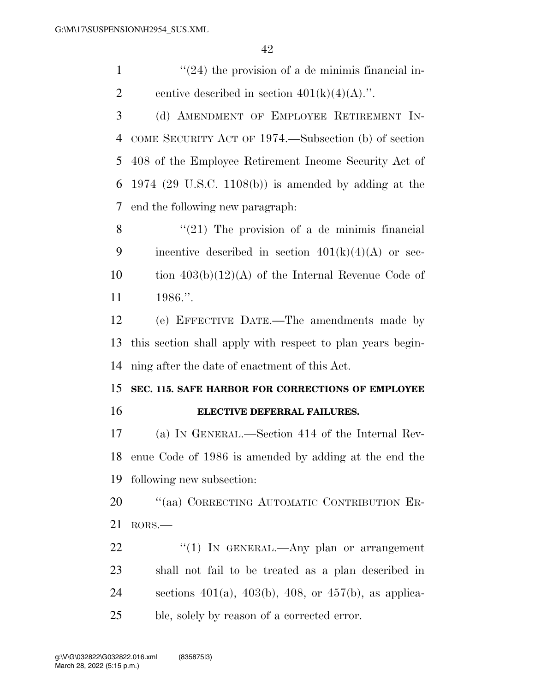$\frac{1}{24}$  the provision of a de minimis financial in-2 centive described in section  $401(k)(4)(A)$ .".

 (d) AMENDMENT OF EMPLOYEE RETIREMENT IN- COME SECURITY ACT OF 1974.—Subsection (b) of section 408 of the Employee Retirement Income Security Act of 1974 (29 U.S.C. 1108(b)) is amended by adding at the end the following new paragraph:

8  $\frac{1}{21}$  The provision of a de minimis financial 9 incentive described in section  $401(k)(4)(A)$  or sec-10 tion  $403(b)(12)(A)$  of the Internal Revenue Code of 1986.''.

 (e) EFFECTIVE DATE.—The amendments made by this section shall apply with respect to plan years begin-ning after the date of enactment of this Act.

#### **SEC. 115. SAFE HARBOR FOR CORRECTIONS OF EMPLOYEE ELECTIVE DEFERRAL FAILURES.**

 (a) IN GENERAL.—Section 414 of the Internal Rev- enue Code of 1986 is amended by adding at the end the following new subsection:

 ''(aa) CORRECTING AUTOMATIC CONTRIBUTION ER-RORS.—

22 "(1) In GENERAL.—Any plan or arrangement shall not fail to be treated as a plan described in sections 401(a), 403(b), 408, or 457(b), as applica-ble, solely by reason of a corrected error.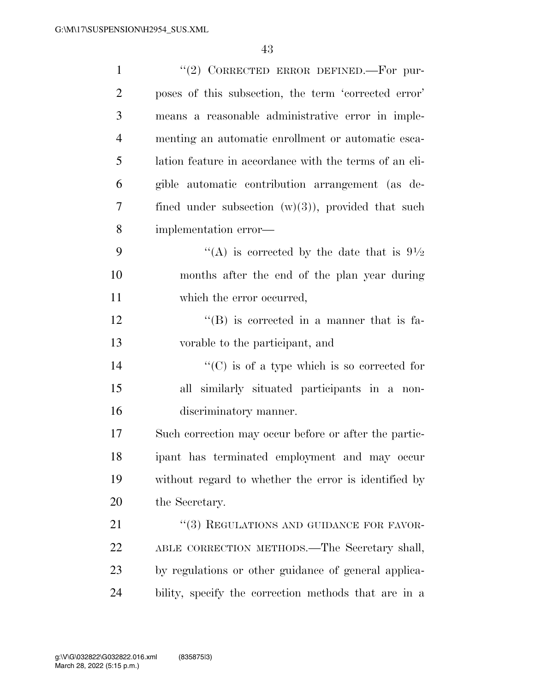| $\mathbf{1}$   | "(2) CORRECTED ERROR DEFINED. For pur-                 |
|----------------|--------------------------------------------------------|
| $\overline{2}$ | poses of this subsection, the term 'corrected error'   |
| 3              | means a reasonable administrative error in imple-      |
| $\overline{4}$ | menting an automatic enrollment or automatic esca-     |
| 5              | lation feature in accordance with the terms of an eli- |
| 6              | gible automatic contribution arrangement (as de-       |
| $\overline{7}$ | fined under subsection $(w)(3)$ , provided that such   |
| 8              | implementation error—                                  |
| 9              | "(A) is corrected by the date that is $9\frac{1}{2}$   |
| 10             | months after the end of the plan year during           |
| 11             | which the error occurred,                              |
| 12             | $\lq\lq (B)$ is corrected in a manner that is fa-      |
| 13             | vorable to the participant, and                        |
| 14             | $\lq\lq$ (C) is of a type which is so corrected for    |
| 15             | all similarly situated participants in a non-          |
| 16             | discriminatory manner.                                 |
| 17             | Such correction may occur before or after the partic-  |
| 18             | ipant has terminated employment and may occur          |
| 19             | without regard to whether the error is identified by   |
| 20             | the Secretary.                                         |
| 21             | "(3) REGULATIONS AND GUIDANCE FOR FAVOR-               |
| 22             | ABLE CORRECTION METHODS.—The Secretary shall,          |
| 23             | by regulations or other guidance of general applica-   |
| 24             | bility, specify the correction methods that are in a   |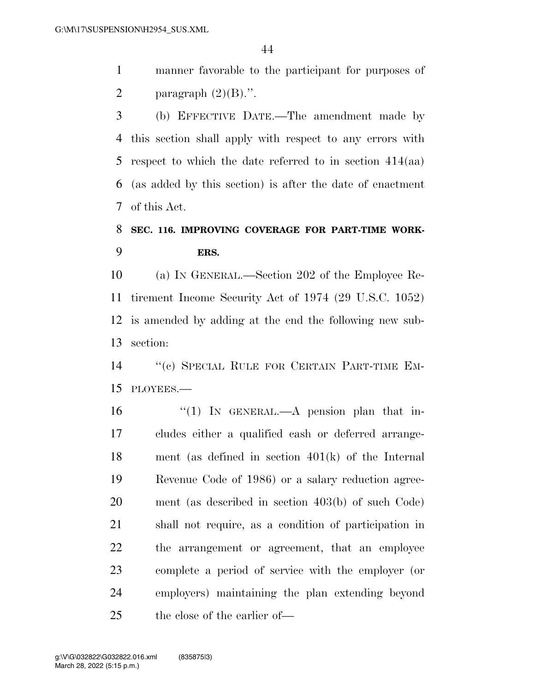manner favorable to the participant for purposes of 2 paragraph  $(2)(B)$ .".

 (b) EFFECTIVE DATE.—The amendment made by this section shall apply with respect to any errors with respect to which the date referred to in section 414(aa) (as added by this section) is after the date of enactment of this Act.

#### **SEC. 116. IMPROVING COVERAGE FOR PART-TIME WORK-ERS.**

 (a) IN GENERAL.—Section 202 of the Employee Re- tirement Income Security Act of 1974 (29 U.S.C. 1052) is amended by adding at the end the following new sub-section:

 ''(c) SPECIAL RULE FOR CERTAIN PART-TIME EM-PLOYEES.—

16 "(1) In GENERAL.—A pension plan that in- cludes either a qualified cash or deferred arrange- ment (as defined in section 401(k) of the Internal Revenue Code of 1986) or a salary reduction agree- ment (as described in section 403(b) of such Code) shall not require, as a condition of participation in the arrangement or agreement, that an employee complete a period of service with the employer (or employers) maintaining the plan extending beyond the close of the earlier of—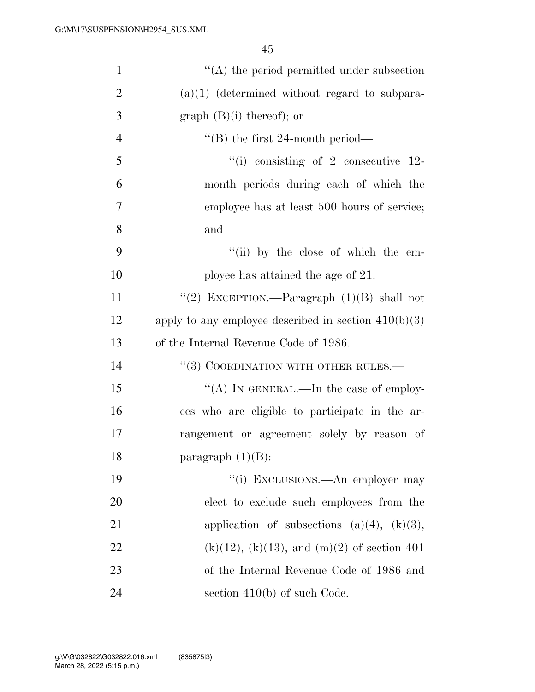| $\mathbf{1}$   | $\lq\lq$ the period permitted under subsection         |
|----------------|--------------------------------------------------------|
| $\overline{2}$ | $(a)(1)$ (determined without regard to subpara-        |
| 3              | graph $(B)(i)$ thereof); or                            |
| $\overline{4}$ | $\lq$ (B) the first 24-month period—                   |
| 5              | $\lq\lq$ consisting of 2 consecutive 12-               |
| 6              | month periods during each of which the                 |
| 7              | employee has at least 500 hours of service;            |
| 8              | and                                                    |
| 9              | "(ii) by the close of which the em-                    |
| 10             | ployee has attained the age of 21.                     |
| 11             | "(2) EXCEPTION.—Paragraph $(1)(B)$ shall not           |
| 12             | apply to any employee described in section $410(b)(3)$ |
| 13             | of the Internal Revenue Code of 1986.                  |
| 14             | $``(3)$ COORDINATION WITH OTHER RULES.—                |
| 15             | "(A) IN GENERAL.—In the case of employ-                |
| 16             | ees who are eligible to participate in the ar-         |
| 17             | rangement or agreement solely by reason of             |
| 18             | paragraph $(1)(B)$ :                                   |
| 19             | "(i) EXCLUSIONS.—An employer may                       |
| <b>20</b>      | elect to exclude such employees from the               |
| 21             | application of subsections $(a)(4)$ , $(k)(3)$ ,       |
| 22             | $(k)(12)$ , $(k)(13)$ , and $(m)(2)$ of section 401    |
| 23             | of the Internal Revenue Code of 1986 and               |
| 24             | section $410(b)$ of such Code.                         |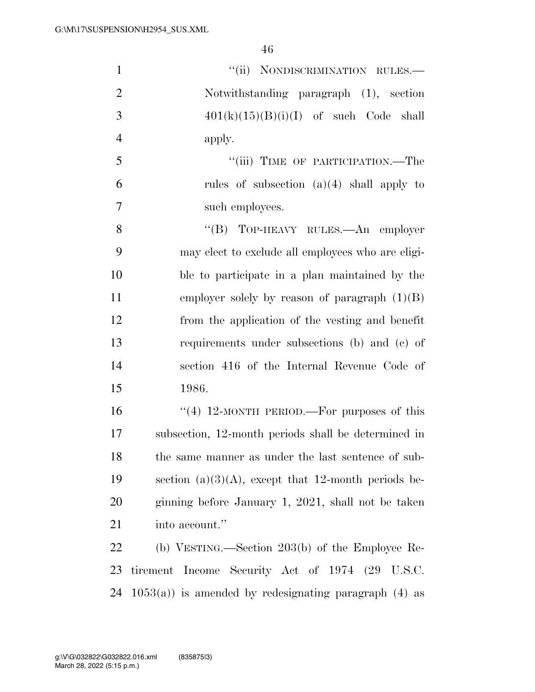| $\mathbf{1}$   | "(ii) NONDISCRIMINATION RULES.-                          |
|----------------|----------------------------------------------------------|
| $\overline{2}$ | Notwithstanding paragraph (1), section                   |
| 3              | $401(k)(15)(B)(i)(I)$ of such Code shall                 |
| $\overline{4}$ | apply.                                                   |
| 5              | "(iii) TIME OF PARTICIPATION.—The                        |
| 6              | rules of subsection $(a)(4)$ shall apply to              |
| $\overline{7}$ | such employees.                                          |
| 8              | "(B) TOP-HEAVY RULES.—An employer                        |
| 9              | may elect to exclude all employees who are eligi-        |
| 10             | ble to participate in a plan maintained by the           |
| 11             | employer solely by reason of paragraph $(1)(B)$          |
| 12             | from the application of the vesting and benefit          |
| 13             | requirements under subsections (b) and (c) of            |
| 14             | section 416 of the Internal Revenue Code of              |
| 15             | 1986.                                                    |
| 16             | "(4) 12-MONTH PERIOD.—For purposes of this               |
| 17             | subsection, 12-month periods shall be determined in      |
| 18             | the same manner as under the last sentence of sub-       |
| 19             | section (a)(3)(A), except that 12-month periods be-      |
| 20             | ginning before January 1, 2021, shall not be taken       |
| 21             | into account."                                           |
| 22             | (b) VESTING.—Section $203(b)$ of the Employee Re-        |
| 23             | tirement Income Security Act of 1974 (29 U.S.C.          |
| 24             | $1053(a)$ ) is amended by redesignating paragraph (4) as |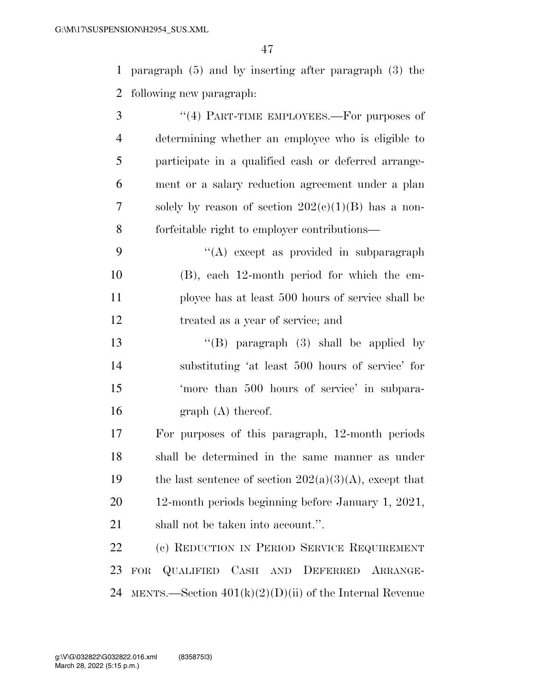paragraph (5) and by inserting after paragraph (3) the following new paragraph:

- 3 "(4) PART-TIME EMPLOYEES.—For purposes of determining whether an employee who is eligible to participate in a qualified cash or deferred arrange- ment or a salary reduction agreement under a plan 7 solely by reason of section  $202(c)(1)(B)$  has a non-forfeitable right to employer contributions—
- ''(A) except as provided in subparagraph (B), each 12-month period for which the em- ployee has at least 500 hours of service shall be treated as a year of service; and
- ''(B) paragraph (3) shall be applied by substituting 'at least 500 hours of service' for 'more than 500 hours of service' in subpara-16 graph (A) thereof.
- For purposes of this paragraph, 12-month periods shall be determined in the same manner as under 19 the last sentence of section  $202(a)(3)(A)$ , except that 12-month periods beginning before January 1, 2021, shall not be taken into account.''.

 (c) REDUCTION IN PERIOD SERVICE REQUIREMENT FOR QUALIFIED CASH AND DEFERRED ARRANGE-24 MENTS.—Section  $401(k)(2)(D)(ii)$  of the Internal Revenue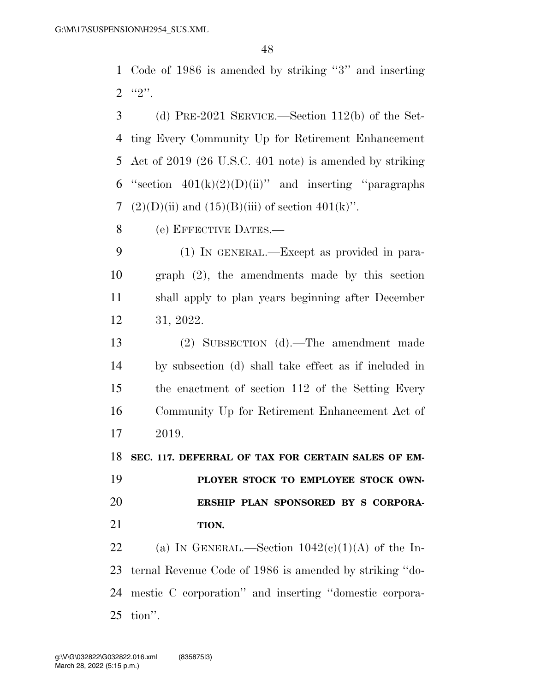Code of 1986 is amended by striking ''3'' and inserting  $2 \t\t\t\t\t\t``2".$ 

 (d) PRE-2021 SERVICE.—Section 112(b) of the Set- ting Every Community Up for Retirement Enhancement Act of 2019 (26 U.S.C. 401 note) is amended by striking 6 "section  $401(k)(2)(D)(ii)$ " and inserting "paragraphs"  $(2)(D)(ii)$  and  $(15)(B)(iii)$  of section  $401(k)$ ".

(e) EFFECTIVE DATES.—

 (1) IN GENERAL.—Except as provided in para- graph (2), the amendments made by this section shall apply to plan years beginning after December 31, 2022.

 (2) SUBSECTION (d).—The amendment made by subsection (d) shall take effect as if included in the enactment of section 112 of the Setting Every Community Up for Retirement Enhancement Act of 2019.

**SEC. 117. DEFERRAL OF TAX FOR CERTAIN SALES OF EM-**

 **PLOYER STOCK TO EMPLOYEE STOCK OWN- ERSHIP PLAN SPONSORED BY S CORPORA-TION.** 

22 (a) IN GENERAL.—Section  $1042(c)(1)(A)$  of the In- ternal Revenue Code of 1986 is amended by striking ''do- mestic C corporation'' and inserting ''domestic corpora-tion''.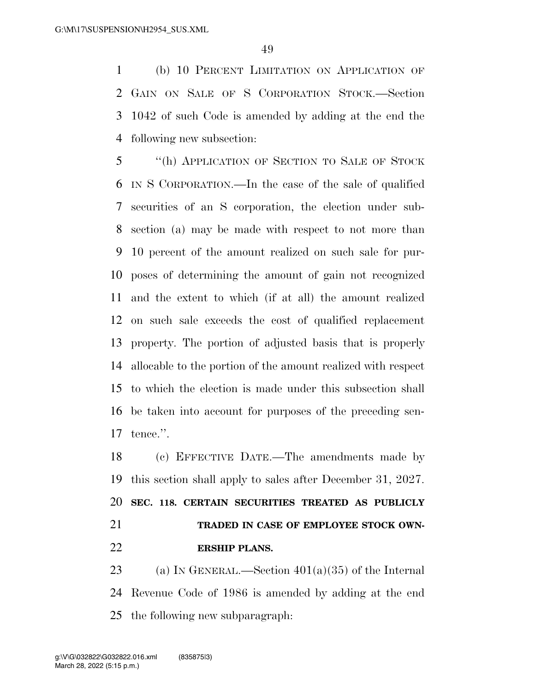(b) 10 PERCENT LIMITATION ON APPLICATION OF GAIN ON SALE OF S CORPORATION STOCK.—Section 1042 of such Code is amended by adding at the end the following new subsection:

 ''(h) APPLICATION OF SECTION TO SALE OF STOCK IN S CORPORATION.—In the case of the sale of qualified securities of an S corporation, the election under sub- section (a) may be made with respect to not more than 10 percent of the amount realized on such sale for pur- poses of determining the amount of gain not recognized and the extent to which (if at all) the amount realized on such sale exceeds the cost of qualified replacement property. The portion of adjusted basis that is properly allocable to the portion of the amount realized with respect to which the election is made under this subsection shall be taken into account for purposes of the preceding sen-tence.''.

 (c) EFFECTIVE DATE.—The amendments made by this section shall apply to sales after December 31, 2027. **SEC. 118. CERTAIN SECURITIES TREATED AS PUBLICLY TRADED IN CASE OF EMPLOYEE STOCK OWN-ERSHIP PLANS.** 

23 (a) IN GENERAL.—Section  $401(a)(35)$  of the Internal Revenue Code of 1986 is amended by adding at the end the following new subparagraph: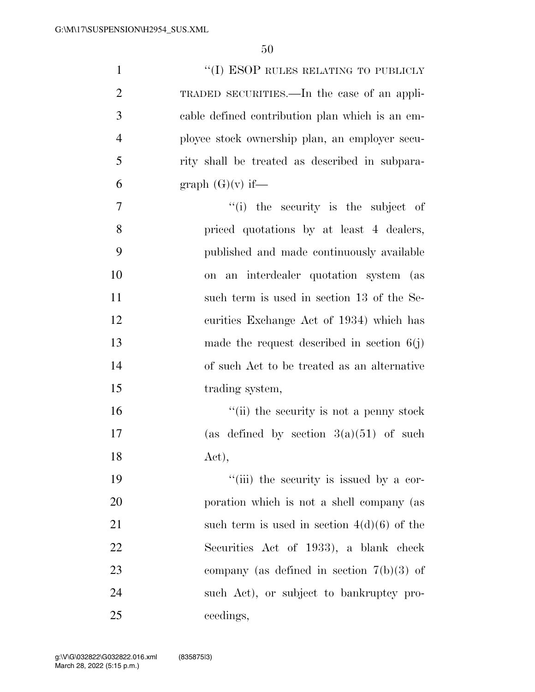| $\mathbf{1}$   | $\lq\lq(\mathrm{I})$ ESOP RULES RELATING TO PUBLICLY |
|----------------|------------------------------------------------------|
| $\overline{2}$ | TRADED SECURITIES.—In the case of an appli-          |
| 3              | cable defined contribution plan which is an em-      |
| $\overline{4}$ | ployee stock ownership plan, an employer secu-       |
| 5              | rity shall be treated as described in subpara-       |
| 6              | graph $(G)(v)$ if—                                   |
| 7              | "(i) the security is the subject of                  |
| 8              | priced quotations by at least 4 dealers,             |
| 9              | published and made continuously available            |
| 10             | on an interdealer quotation system (as               |
| 11             | such term is used in section 13 of the Se-           |
| 12             | curities Exchange Act of 1934) which has             |
| 13             | made the request described in section $6(j)$         |
| 14             | of such Act to be treated as an alternative          |
| 15             | trading system,                                      |
| 16             | "(ii) the security is not a penny stock              |
| 17             | (as defined by section $3(a)(51)$ of such            |
| 18             | Act),                                                |
| 19             | "(iii) the security is issued by a cor-              |
| 20             | poration which is not a shell company (as            |
| 21             | such term is used in section $4(d)(6)$ of the        |
| 22             | Securities Act of 1933), a blank check               |
| 23             | company (as defined in section $7(b)(3)$ of          |
| 24             | such Act), or subject to bankruptcy pro-             |
| 25             | ceedings,                                            |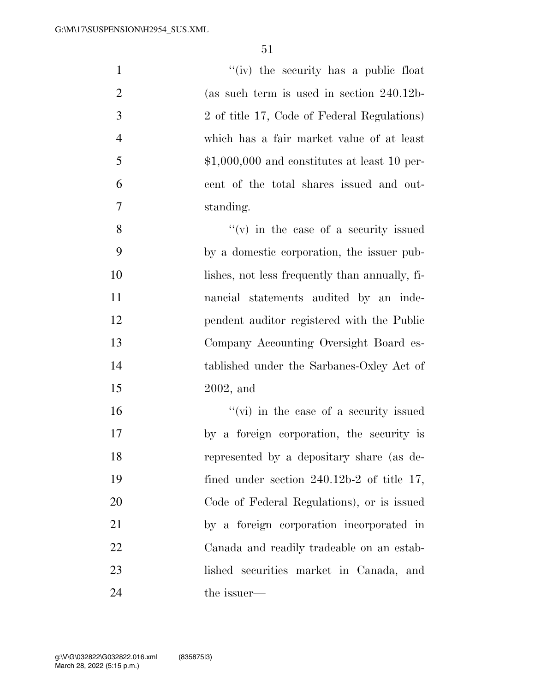| $\mathbf{1}$   | "(iv) the security has a public float          |
|----------------|------------------------------------------------|
| $\overline{2}$ | (as such term is used in section $240.12b$     |
| 3              | 2 of title 17, Code of Federal Regulations)    |
| $\overline{4}$ | which has a fair market value of at least      |
| 5              | $$1,000,000$ and constitutes at least 10 per-  |
| 6              | cent of the total shares issued and out-       |
| $\tau$         | standing.                                      |
| 8              | $f'(v)$ in the case of a security issued       |
| 9              | by a domestic corporation, the issuer pub-     |
| 10             | lishes, not less frequently than annually, fi- |
| 11             | nancial statements audited by an inde-         |
| 12             | pendent auditor registered with the Public     |
| 13             | Company Accounting Oversight Board es-         |
| 14             | tablished under the Sarbanes-Oxley Act of      |
| 15             | $2002$ , and                                   |
| 16             | "(vi) in the case of a security issued         |
| 17             | by a foreign corporation, the security is      |
| 18             | represented by a depositary share (as de-      |
| 19             | fined under section $240.12b-2$ of title 17,   |
| 20             | Code of Federal Regulations), or is issued     |
| 21             | by a foreign corporation incorporated in       |
| 22             | Canada and readily tradeable on an estab-      |
| 23             | lished securities market in Canada, and        |
| 24             | the issuer—                                    |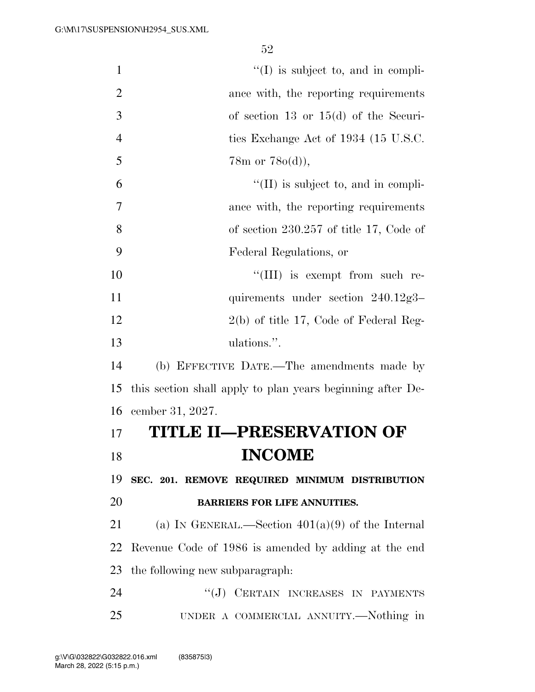$''(I)$  is subject to, and in compli- ance with, the reporting requirements of section 13 or 15(d) of the Securi-4 ties Exchange Act of 1934 (15 U.S.C. 5 78m or  $78o(d)$ ,  $^{\circ}$  (II) is subject to, and in compli- ance with, the reporting requirements of section 230.257 of title 17, Code of Federal Regulations, or  $\frac{10}{10}$  is exempt from such re-11 quirements under section 240.12g3– 12 2(b) of title 17, Code of Federal Reg- ulations.''. (b) EFFECTIVE DATE.—The amendments made by this section shall apply to plan years beginning after De- cember 31, 2027. **TITLE II—PRESERVATION OF**  18 **INCOME SEC. 201. REMOVE REQUIRED MINIMUM DISTRIBUTION BARRIERS FOR LIFE ANNUITIES.**  21 (a) IN GENERAL.—Section  $401(a)(9)$  of the Internal Revenue Code of 1986 is amended by adding at the end the following new subparagraph: 24 "(J) CERTAIN INCREASES IN PAYMENTS UNDER A COMMERCIAL ANNUITY.—Nothing in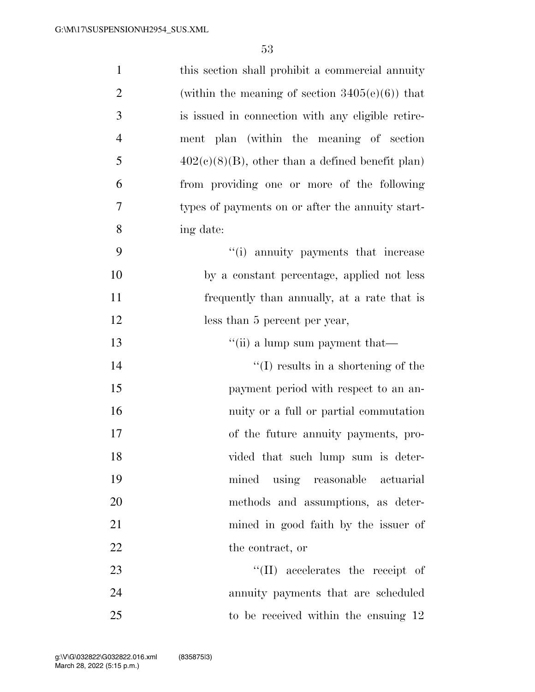| $\mathbf{1}$   | this section shall prohibit a commercial annuity    |
|----------------|-----------------------------------------------------|
| $\overline{2}$ | (within the meaning of section $3405(e)(6)$ ) that  |
| 3              | is issued in connection with any eligible retire-   |
| $\overline{4}$ | ment plan (within the meaning of section            |
| 5              | $402(c)(8)(B)$ , other than a defined benefit plan) |
| 6              | from providing one or more of the following         |
| 7              | types of payments on or after the annuity start-    |
| 8              | ing date:                                           |
| 9              | "(i) annuity payments that increase                 |
| 10             | by a constant percentage, applied not less          |
| 11             | frequently than annually, at a rate that is         |
| 12             | less than 5 percent per year,                       |
| 13             | "(ii) a lump sum payment that—                      |
| 14             | $\lq\lq$ results in a shortening of the             |
| 15             | payment period with respect to an an-               |
| 16             | nuity or a full or partial commutation              |
| 17             | of the future annuity payments, pro-                |
| 18             | vided that such lump sum is deter-                  |
| 19             | mined using reasonable actuarial                    |
| 20             | methods and assumptions, as deter-                  |
| 21             | mined in good faith by the issuer of                |
| 22             | the contract, or                                    |
| 23             | $\lq\lq$ (II) accelerates the receipt of            |
| 24             | annuity payments that are scheduled                 |
| 25             | to be received within the ensuing 12                |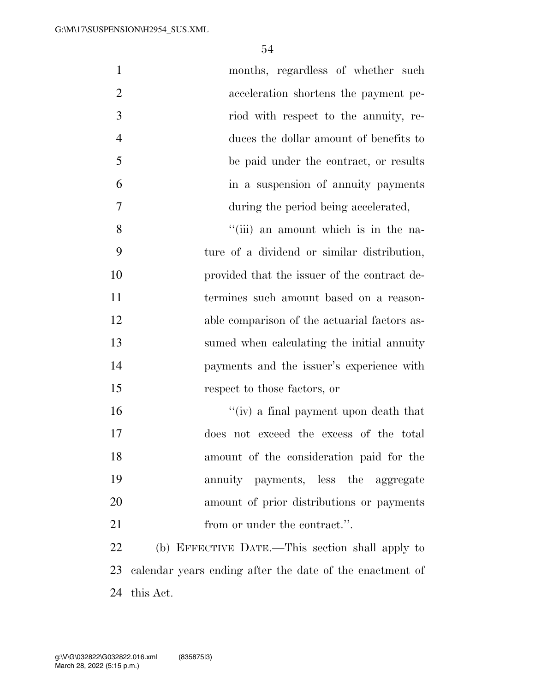| $\mathbf{1}$   | months, regardless of whether such                       |
|----------------|----------------------------------------------------------|
| $\overline{2}$ | acceleration shortens the payment pe-                    |
| 3              | riod with respect to the annuity, re-                    |
| $\overline{4}$ | duces the dollar amount of benefits to                   |
| 5              | be paid under the contract, or results                   |
| 6              | in a suspension of annuity payments                      |
| $\overline{7}$ | during the period being accelerated,                     |
| 8              | "(iii) an amount which is in the na-                     |
| 9              | ture of a dividend or similar distribution,              |
| 10             | provided that the issuer of the contract de-             |
| 11             | termines such amount based on a reason-                  |
| 12             | able comparison of the actuarial factors as-             |
| 13             | sumed when calculating the initial annuity               |
| 14             | payments and the issuer's experience with                |
| 15             | respect to those factors, or                             |
| 16             | "(iv) a final payment upon death that                    |
| 17             | does not exceed the excess of the total                  |
| 18             | amount of the consideration paid for the                 |
| 19             | annuity payments, less the aggregate                     |
| 20             | amount of prior distributions or payments                |
| 21             | from or under the contract.".                            |
| 22             | (b) EFFECTIVE DATE.—This section shall apply to          |
| 23             | calendar years ending after the date of the enactment of |
| 24             | this Act.                                                |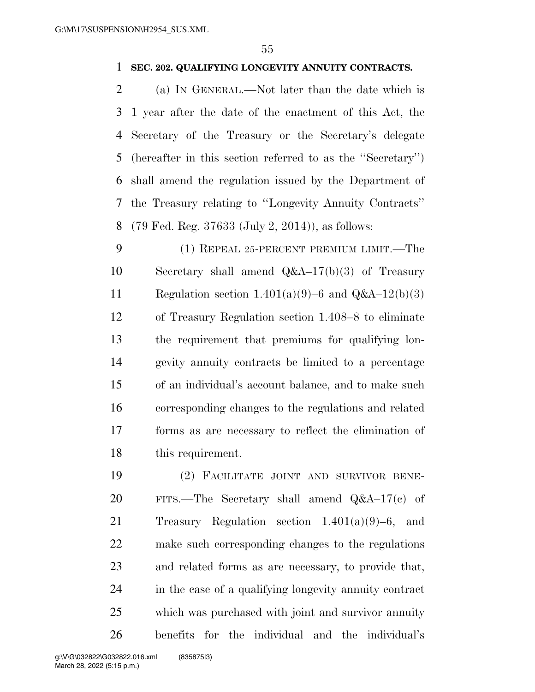#### **SEC. 202. QUALIFYING LONGEVITY ANNUITY CONTRACTS.**

 (a) IN GENERAL.—Not later than the date which is 1 year after the date of the enactment of this Act, the Secretary of the Treasury or the Secretary's delegate (hereafter in this section referred to as the ''Secretary'') shall amend the regulation issued by the Department of the Treasury relating to ''Longevity Annuity Contracts'' (79 Fed. Reg. 37633 (July 2, 2014)), as follows:

 (1) REPEAL 25-PERCENT PREMIUM LIMIT.—The Secretary shall amend Q&A–17(b)(3) of Treasury 11 Regulation section  $1.401(a)(9)-6$  and  $Q&A-12(b)(3)$  of Treasury Regulation section 1.408–8 to eliminate the requirement that premiums for qualifying lon- gevity annuity contracts be limited to a percentage of an individual's account balance, and to make such corresponding changes to the regulations and related forms as are necessary to reflect the elimination of this requirement.

 (2) FACILITATE JOINT AND SURVIVOR BENE- FITS.—The Secretary shall amend Q&A–17(c) of Treasury Regulation section 1.401(a)(9)–6, and make such corresponding changes to the regulations and related forms as are necessary, to provide that, in the case of a qualifying longevity annuity contract which was purchased with joint and survivor annuity benefits for the individual and the individual's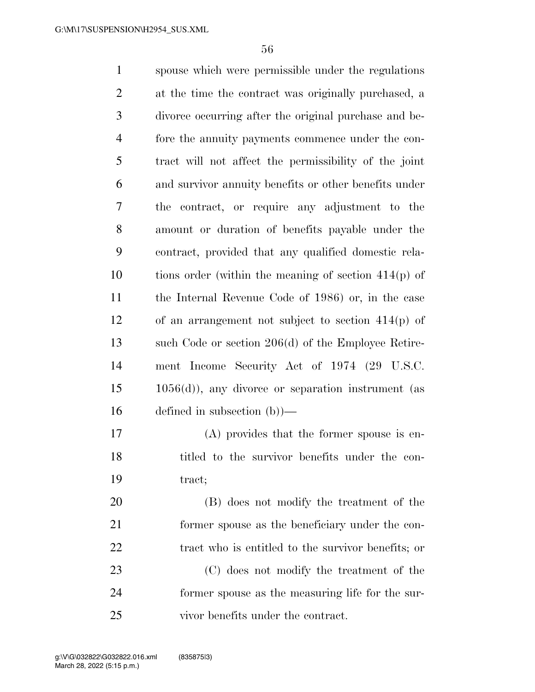spouse which were permissible under the regulations at the time the contract was originally purchased, a divorce occurring after the original purchase and be- fore the annuity payments commence under the con- tract will not affect the permissibility of the joint and survivor annuity benefits or other benefits under the contract, or require any adjustment to the amount or duration of benefits payable under the contract, provided that any qualified domestic rela- tions order (within the meaning of section 414(p) of the Internal Revenue Code of 1986) or, in the case of an arrangement not subject to section 414(p) of such Code or section 206(d) of the Employee Retire- ment Income Security Act of 1974 (29 U.S.C. 1056(d)), any divorce or separation instrument (as defined in subsection (b))— (A) provides that the former spouse is en- titled to the survivor benefits under the con- tract; (B) does not modify the treatment of the former spouse as the beneficiary under the con-22 tract who is entitled to the survivor benefits; or

 (C) does not modify the treatment of the former spouse as the measuring life for the sur-vivor benefits under the contract.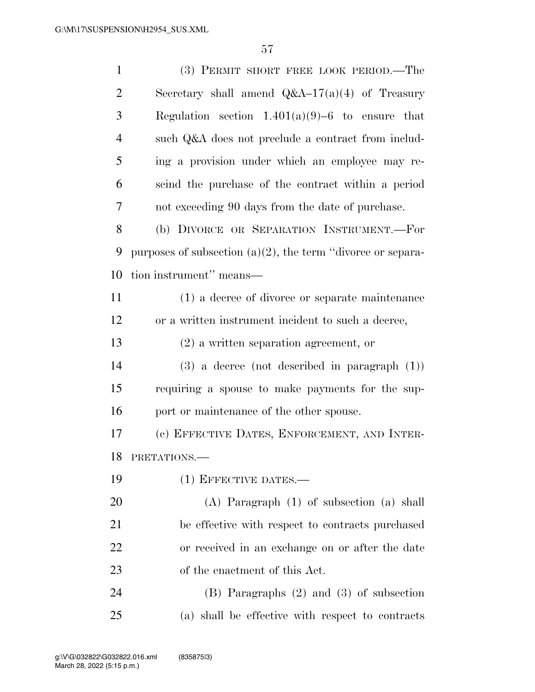| $\mathbf{1}$   | (3) PERMIT SHORT FREE LOOK PERIOD.—The                         |
|----------------|----------------------------------------------------------------|
| $\overline{2}$ | Secretary shall amend $Q&A-17(a)(4)$ of Treasury               |
| 3              | Regulation section $1.401(a)(9)-6$ to ensure that              |
| $\overline{4}$ | such Q&A does not preclude a contract from includ-             |
| 5              | ing a provision under which an employee may re-                |
| 6              | scind the purchase of the contract within a period             |
| 7              | not exceeding 90 days from the date of purchase.               |
| 8              | (b) DIVORCE OR SEPARATION INSTRUMENT.-For                      |
| 9              | purposes of subsection $(a)(2)$ , the term "divorce or separa- |
| 10             | tion instrument" means—                                        |
| 11             | (1) a decree of divorce or separate maintenance                |
| 12             | or a written instrument incident to such a decree,             |
| 13             | $(2)$ a written separation agreement, or                       |
| 14             | $(3)$ a decree (not described in paragraph $(1)$ )             |
| 15             | requiring a spouse to make payments for the sup-               |
| 16             | port or maintenance of the other spouse.                       |
| 17             | (c) EFFECTIVE DATES, ENFORCEMENT, AND INTER-                   |
|                | 18 PRETATIONS.                                                 |
| 19             | (1) EFFECTIVE DATES.—                                          |
| 20             | $(A)$ Paragraph $(1)$ of subsection $(a)$ shall                |
| 21             | be effective with respect to contracts purchased               |
| 22             | or received in an exchange on or after the date                |
| 23             | of the enactment of this Act.                                  |
| 24             | $(B)$ Paragraphs $(2)$ and $(3)$ of subsection                 |
| 25             | (a) shall be effective with respect to contracts               |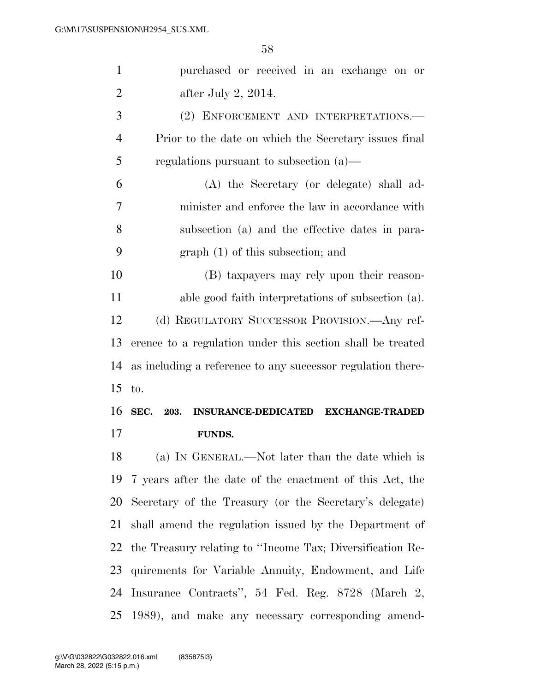| $\mathbf{1}$   | purchased or received in an exchange on or                  |
|----------------|-------------------------------------------------------------|
| $\overline{2}$ | after July 2, $2014$ .                                      |
| 3              | (2) ENFORCEMENT AND INTERPRETATIONS.—                       |
| $\overline{4}$ | Prior to the date on which the Secretary issues final       |
| 5              | regulations pursuant to subsection $(a)$ —                  |
| 6              | (A) the Secretary (or delegate) shall ad-                   |
| 7              | minister and enforce the law in accordance with             |
| 8              | subsection (a) and the effective dates in para-             |
| 9              | $graph(1)$ of this subsection; and                          |
| 10             | (B) taxpayers may rely upon their reason-                   |
| 11             | able good faith interpretations of subsection (a).          |
| 12             | (d) REGULATORY SUCCESSOR PROVISION.—Any ref-                |
|                |                                                             |
| 13             | erence to a regulation under this section shall be treated  |
| 14             | as including a reference to any successor regulation there- |
| 15             | to.                                                         |
| 16             | SEC. 203.<br>INSURANCE-DEDICATED EXCHANGE-TRADED            |
|                | <b>FUNDS.</b>                                               |
| 17<br>18       | (a) IN GENERAL.—Not later than the date which is            |
| 19             | 7 years after the date of the enactment of this Act, the    |
| 20             | Secretary of the Treasury (or the Secretary's delegate)     |
| 21             | shall amend the regulation issued by the Department of      |
| 22             | the Treasury relating to "Income Tax; Diversification Re-   |
| 23             | quirements for Variable Annuity, Endowment, and Life        |
| 24             | Insurance Contracts", 54 Fed. Reg. 8728 (March 2,           |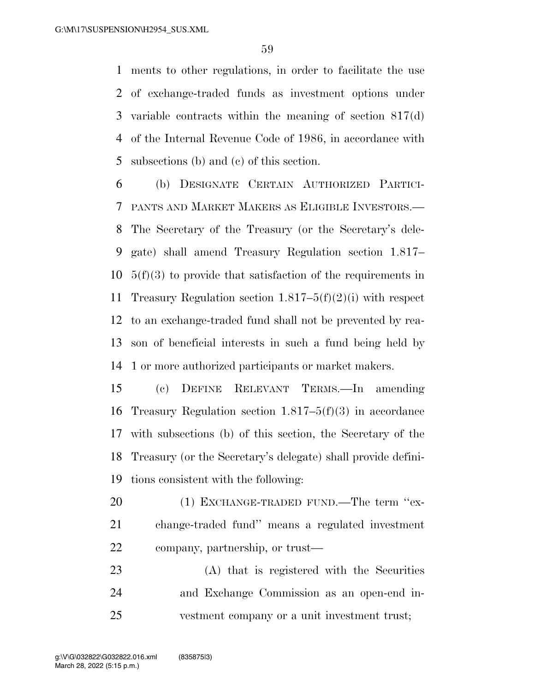ments to other regulations, in order to facilitate the use of exchange-traded funds as investment options under variable contracts within the meaning of section 817(d) of the Internal Revenue Code of 1986, in accordance with subsections (b) and (c) of this section.

 (b) DESIGNATE CERTAIN AUTHORIZED PARTICI- PANTS AND MARKET MAKERS AS ELIGIBLE INVESTORS.— The Secretary of the Treasury (or the Secretary's dele- gate) shall amend Treasury Regulation section 1.817– 5(f)(3) to provide that satisfaction of the requirements in Treasury Regulation section 1.817–5(f)(2)(i) with respect to an exchange-traded fund shall not be prevented by rea- son of beneficial interests in such a fund being held by 1 or more authorized participants or market makers.

 (c) DEFINE RELEVANT TERMS.—In amending Treasury Regulation section 1.817–5(f)(3) in accordance with subsections (b) of this section, the Secretary of the Treasury (or the Secretary's delegate) shall provide defini-tions consistent with the following:

20 (1) EXCHANGE-TRADED FUND.—The term "ex- change-traded fund'' means a regulated investment company, partnership, or trust—

 (A) that is registered with the Securities and Exchange Commission as an open-end in-vestment company or a unit investment trust;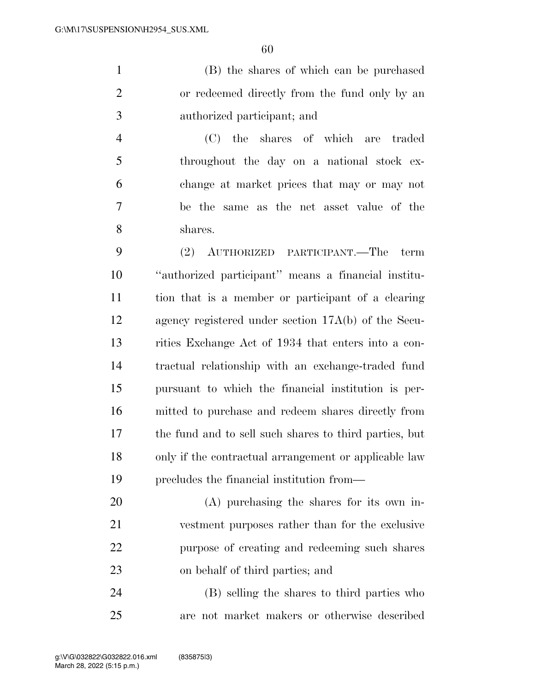(B) the shares of which can be purchased or redeemed directly from the fund only by an authorized participant; and

 (C) the shares of which are traded throughout the day on a national stock ex- change at market prices that may or may not be the same as the net asset value of the shares.

 (2) AUTHORIZED PARTICIPANT.—The term ''authorized participant'' means a financial institu- tion that is a member or participant of a clearing agency registered under section 17A(b) of the Secu- rities Exchange Act of 1934 that enters into a con- tractual relationship with an exchange-traded fund pursuant to which the financial institution is per- mitted to purchase and redeem shares directly from the fund and to sell such shares to third parties, but only if the contractual arrangement or applicable law precludes the financial institution from—

 (A) purchasing the shares for its own in- vestment purposes rather than for the exclusive purpose of creating and redeeming such shares on behalf of third parties; and

 (B) selling the shares to third parties who are not market makers or otherwise described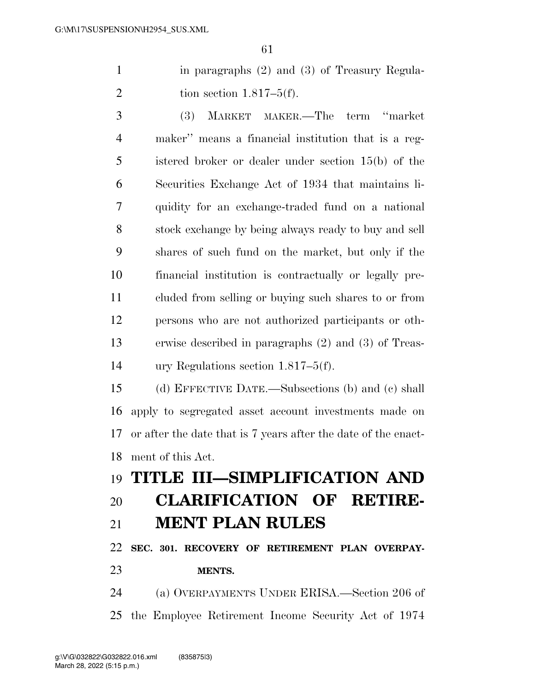in paragraphs (2) and (3) of Treasury Regula-2 tion section  $1.817-5(f)$ .

 (3) MARKET MAKER.—The term ''market maker'' means a financial institution that is a reg- istered broker or dealer under section 15(b) of the Securities Exchange Act of 1934 that maintains li- quidity for an exchange-traded fund on a national stock exchange by being always ready to buy and sell shares of such fund on the market, but only if the financial institution is contractually or legally pre- cluded from selling or buying such shares to or from persons who are not authorized participants or oth- erwise described in paragraphs (2) and (3) of Treas-ury Regulations section 1.817–5(f).

 (d) EFFECTIVE DATE.—Subsections (b) and (c) shall apply to segregated asset account investments made on or after the date that is 7 years after the date of the enact-ment of this Act.

# **TITLE III—SIMPLIFICATION AND CLARIFICATION OF RETIRE-**

#### **MENT PLAN RULES**

 **SEC. 301. RECOVERY OF RETIREMENT PLAN OVERPAY-MENTS.** 

 (a) OVERPAYMENTS UNDER ERISA.—Section 206 of the Employee Retirement Income Security Act of 1974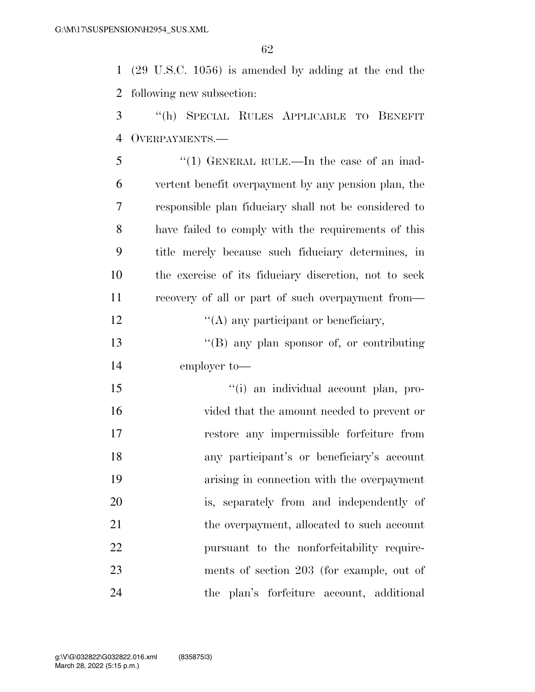(29 U.S.C. 1056) is amended by adding at the end the following new subsection:

 ''(h) SPECIAL RULES APPLICABLE TO BENEFIT OVERPAYMENTS.—

| 5              | "(1) GENERAL RULE.—In the case of an inad-            |
|----------------|-------------------------------------------------------|
| 6              | vertent benefit overpayment by any pension plan, the  |
| $\overline{7}$ | responsible plan fiduciary shall not be considered to |
| 8              | have failed to comply with the requirements of this   |
| 9              | title merely because such fiduciary determines, in    |
| 10             | the exercise of its fiduciary discretion, not to seek |
| 11             | recovery of all or part of such overpayment from—     |
| 12             | $\lq\lq$ any participant or beneficiary,              |
| 13             | $\lq\lq (B)$ any plan sponsor of, or contributing     |
| 14             | employer to-                                          |
| 15             | "(i) an individual account plan, pro-                 |
|                |                                                       |

 vided that the amount needed to prevent or restore any impermissible forfeiture from any participant's or beneficiary's account arising in connection with the overpayment is, separately from and independently of 21 the overpayment, allocated to such account pursuant to the nonforfeitability require- ments of section 203 (for example, out of the plan's forfeiture account, additional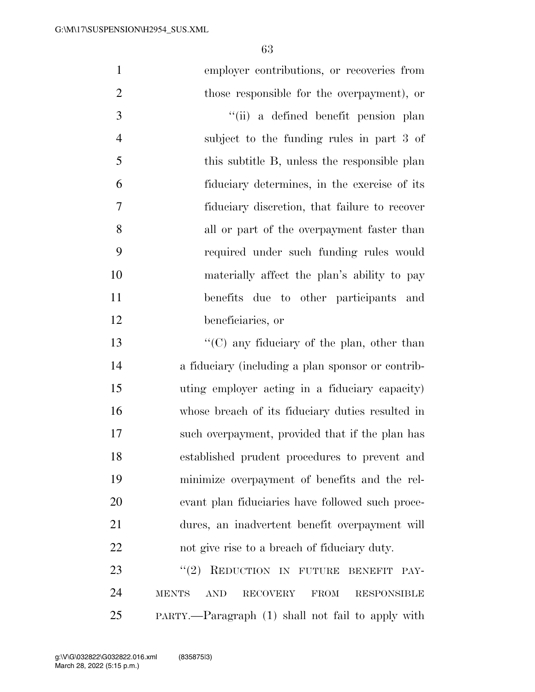| $\mathbf{1}$   | employer contributions, or recoveries from                                         |
|----------------|------------------------------------------------------------------------------------|
| $\overline{2}$ | those responsible for the overpayment), or                                         |
| 3              | "(ii) a defined benefit pension plan                                               |
| $\overline{4}$ | subject to the funding rules in part 3 of                                          |
| 5              | this subtitle B, unless the responsible plan                                       |
| 6              | fiduciary determines, in the exercise of its                                       |
| 7              | fiduciary discretion, that failure to recover                                      |
| 8              | all or part of the overpayment faster than                                         |
| 9              | required under such funding rules would                                            |
| 10             | materially affect the plan's ability to pay                                        |
| 11             | benefits due to other participants and                                             |
| 12             | beneficiaries, or                                                                  |
| 13             | " $(C)$ any fiduciary of the plan, other than                                      |
| 14             | a fiduciary (including a plan sponsor or contrib-                                  |
| 15             | uting employer acting in a fiduciary capacity)                                     |
| 16             | whose breach of its fiduciary duties resulted in                                   |
| 17             | such overpayment, provided that if the plan has                                    |
| 18             | established prudent procedures to prevent and                                      |
| 19             | minimize overpayment of benefits and the rel-                                      |
| 20             | evant plan fiduciaries have followed such proce-                                   |
| 21             | dures, an inadvertent benefit overpayment will                                     |
| 22             | not give rise to a breach of fiduciary duty.                                       |
| 23             | REDUCTION IN FUTURE<br>(2)<br><b>BENEFIT</b><br>PAY-                               |
| 24             | <b>RECOVERY</b><br><b>MENTS</b><br><b>AND</b><br><b>FROM</b><br><b>RESPONSIBLE</b> |
|                |                                                                                    |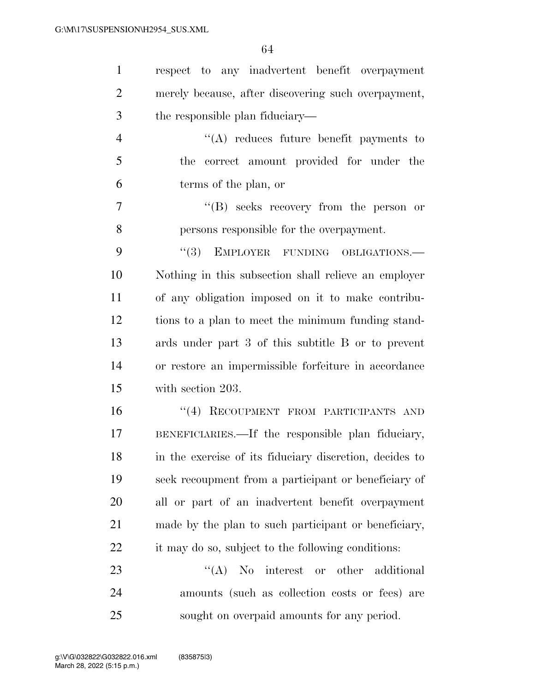| $\mathbf{1}$   | respect to any inadvertent benefit overpayment          |
|----------------|---------------------------------------------------------|
| $\overline{2}$ | merely because, after discovering such overpayment,     |
| 3              | the responsible plan fiduciary—                         |
| $\overline{4}$ | $\lq\lq$ reduces future benefit payments to             |
| 5              | correct amount provided for under the<br>the            |
| 6              | terms of the plan, or                                   |
| 7              | "(B) seeks recovery from the person or                  |
| 8              | persons responsible for the overpayment.                |
| 9              | "(3) EMPLOYER FUNDING OBLIGATIONS.-                     |
| 10             | Nothing in this subsection shall relieve an employer    |
| 11             | of any obligation imposed on it to make contribu-       |
| 12             | tions to a plan to meet the minimum funding stand-      |
| 13             | ards under part 3 of this subtitle B or to prevent      |
| 14             | or restore an impermissible forfeiture in accordance    |
| 15             | with section 203.                                       |
| 16             | "(4) RECOUPMENT FROM PARTICIPANTS AND                   |
| 17             | BENEFICIARIES.—If the responsible plan fiduciary,       |
| 18             | in the exercise of its fiduciary discretion, decides to |
| 19             | seek recoupment from a participant or beneficiary of    |
| 20             | all or part of an inadvertent benefit overpayment       |
| 21             | made by the plan to such participant or beneficiary,    |
| 22             | it may do so, subject to the following conditions:      |
| 23             | $\lq\lq$ No interest or other additional                |
| 24             | amounts (such as collection costs or fees) are          |
| 25             | sought on overpaid amounts for any period.              |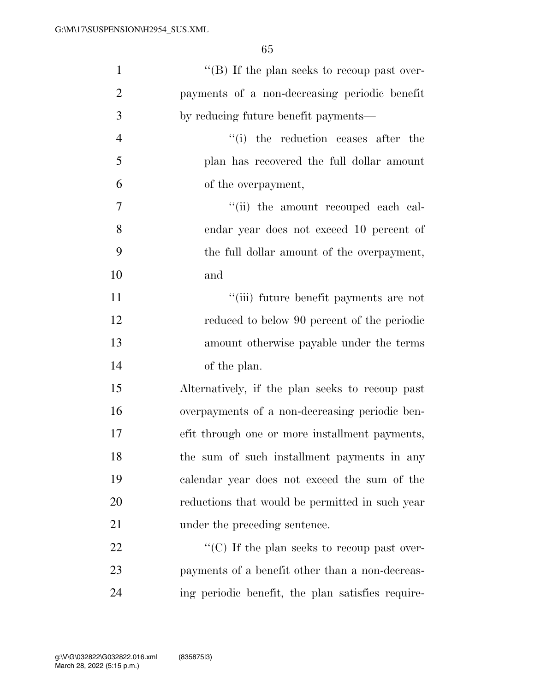| $\mathbf{1}$   | "(B) If the plan seeks to recoup past over-       |
|----------------|---------------------------------------------------|
| $\overline{2}$ | payments of a non-decreasing periodic benefit     |
| 3              | by reducing future benefit payments—              |
| $\overline{4}$ | "(i) the reduction ceases after the               |
| 5              | plan has recovered the full dollar amount         |
| 6              | of the overpayment,                               |
| $\overline{7}$ | "(ii) the amount recouped each cal-               |
| 8              | endar year does not exceed 10 percent of          |
| 9              | the full dollar amount of the overpayment,        |
| 10             | and                                               |
| 11             | "(iii) future benefit payments are not            |
| 12             | reduced to below 90 percent of the periodic       |
| 13             | amount otherwise payable under the terms          |
| 14             | of the plan.                                      |
| 15             | Alternatively, if the plan seeks to recoup past   |
| 16             | overpayments of a non-decreasing periodic ben-    |
| 17             | efit through one or more installment payments,    |
| 18             | the sum of such installment payments in any       |
| 19             | calendar year does not exceed the sum of the      |
| <b>20</b>      | reductions that would be permitted in such year   |
| 21             | under the preceding sentence.                     |
| 22             | "(C) If the plan seeks to recoup past over-       |
| 23             | payments of a benefit other than a non-decreas-   |
| 24             | ing periodic benefit, the plan satisfies require- |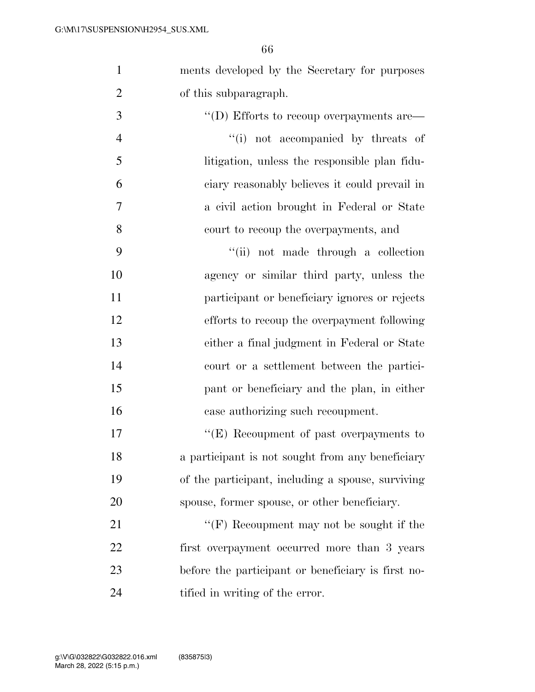ments developed by the Secretary for purposes

| $\overline{2}$ | of this subparagraph.                                 |
|----------------|-------------------------------------------------------|
| 3              | $\lq\lq$ (D) Efforts to recoup overpayments are $\lq$ |
| $\overline{4}$ | "(i) not accompanied by threats of                    |
| 5              | litigation, unless the responsible plan fidu-         |
| 6              | ciary reasonably believes it could prevail in         |
| 7              | a civil action brought in Federal or State            |
| 8              | court to recoup the overpayments, and                 |
| 9              | "(ii) not made through a collection                   |
| 10             | agency or similar third party, unless the             |
| 11             | participant or beneficiary ignores or rejects         |
| 12             | efforts to recoup the overpayment following           |
| 13             | either a final judgment in Federal or State           |
| 14             | court or a settlement between the partici-            |
| 15             | pant or beneficiary and the plan, in either           |
| 16             | case authorizing such recoupment.                     |
| 17             | "(E) Recoupment of past overpayments to               |
| 18             | a participant is not sought from any beneficiary      |
| 19             | of the participant, including a spouse, surviving     |
| 20             | spouse, former spouse, or other beneficiary.          |
| 21             | " $(F)$ Recoupment may not be sought if the           |
| 22             | first overpayment occurred more than 3 years          |
| 23             | before the participant or beneficiary is first no-    |
| 24             | tified in writing of the error.                       |
|                |                                                       |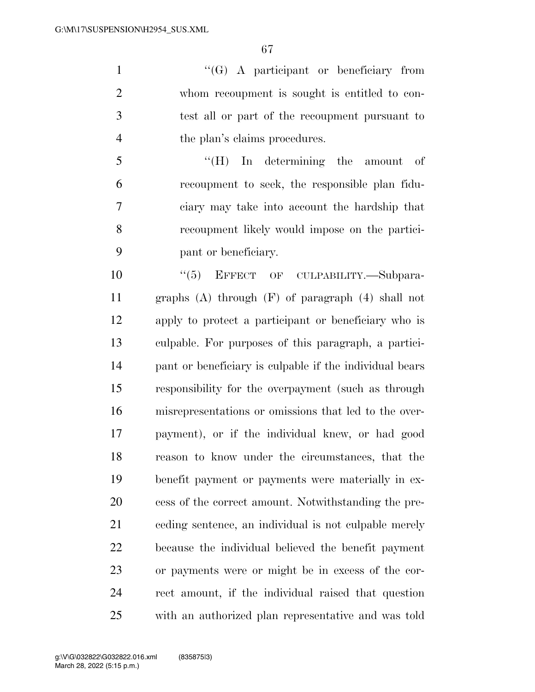''(G) A participant or beneficiary from whom recoupment is sought is entitled to con- test all or part of the recoupment pursuant to 4 the plan's claims procedures.

 ''(H) In determining the amount of recoupment to seek, the responsible plan fidu- ciary may take into account the hardship that recoupment likely would impose on the partici-pant or beneficiary.

 $(5)$  EFFECT OF CULPABILITY. Subpara- graphs (A) through (F) of paragraph (4) shall not apply to protect a participant or beneficiary who is culpable. For purposes of this paragraph, a partici- pant or beneficiary is culpable if the individual bears responsibility for the overpayment (such as through misrepresentations or omissions that led to the over- payment), or if the individual knew, or had good reason to know under the circumstances, that the benefit payment or payments were materially in ex- cess of the correct amount. Notwithstanding the pre- ceding sentence, an individual is not culpable merely because the individual believed the benefit payment or payments were or might be in excess of the cor- rect amount, if the individual raised that question with an authorized plan representative and was told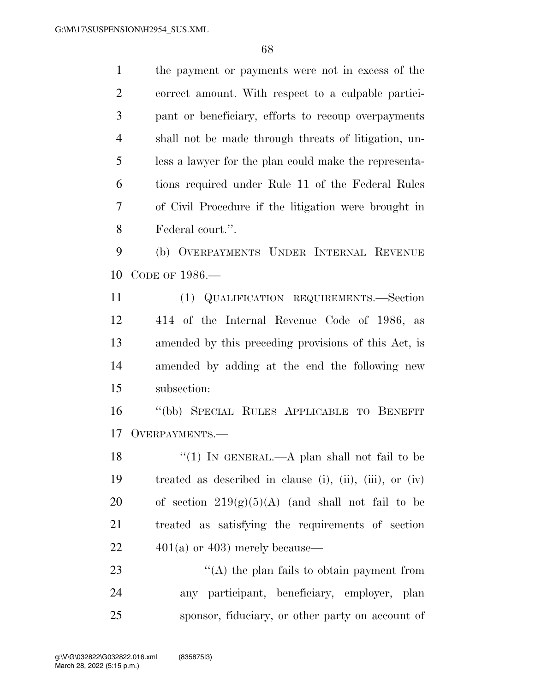the payment or payments were not in excess of the

 correct amount. With respect to a culpable partici- pant or beneficiary, efforts to recoup overpayments shall not be made through threats of litigation, un- less a lawyer for the plan could make the representa- tions required under Rule 11 of the Federal Rules of Civil Procedure if the litigation were brought in Federal court.''. (b) OVERPAYMENTS UNDER INTERNAL REVENUE CODE OF 1986.— (1) QUALIFICATION REQUIREMENTS.—Section 414 of the Internal Revenue Code of 1986, as amended by this preceding provisions of this Act, is amended by adding at the end the following new subsection: ''(bb) SPECIAL RULES APPLICABLE TO BENEFIT OVERPAYMENTS.— 18 "(1) IN GENERAL.—A plan shall not fail to be treated as described in clause (i), (ii), (iii), or (iv) 20 of section  $219(g)(5)(A)$  (and shall not fail to be treated as satisfying the requirements of section  $22 \qquad \qquad 401(a)$  or 403) merely because— 23 ''(A) the plan fails to obtain payment from any participant, beneficiary, employer, plan sponsor, fiduciary, or other party on account of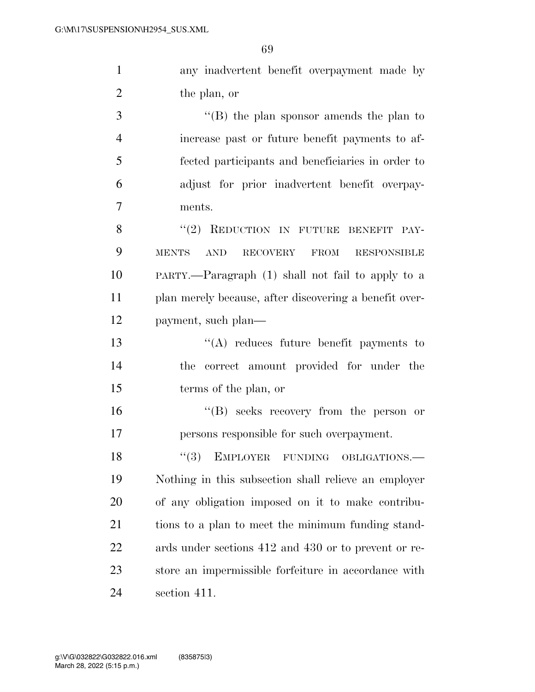any inadvertent benefit overpayment made by the plan, or

 ''(B) the plan sponsor amends the plan to increase past or future benefit payments to af- fected participants and beneficiaries in order to adjust for prior inadvertent benefit overpay-ments.

8 "(2) REDUCTION IN FUTURE BENEFIT PAY- MENTS AND RECOVERY FROM RESPONSIBLE PARTY.—Paragraph (1) shall not fail to apply to a plan merely because, after discovering a benefit over-payment, such plan—

 ''(A) reduces future benefit payments to the correct amount provided for under the terms of the plan, or

 ''(B) seeks recovery from the person or persons responsible for such overpayment.

18 "(3) EMPLOYER FUNDING OBLIGATIONS.— Nothing in this subsection shall relieve an employer of any obligation imposed on it to make contribu- tions to a plan to meet the minimum funding stand- ards under sections 412 and 430 or to prevent or re- store an impermissible forfeiture in accordance with section 411.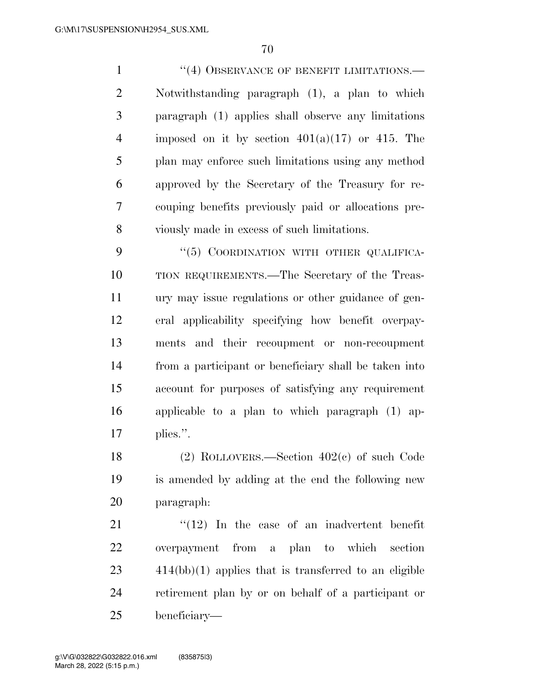1 ''(4) OBSERVANCE OF BENEFIT LIMITATIONS.— Notwithstanding paragraph (1), a plan to which paragraph (1) applies shall observe any limitations 4 imposed on it by section  $401(a)(17)$  or 415. The plan may enforce such limitations using any method approved by the Secretary of the Treasury for re- couping benefits previously paid or allocations pre-viously made in excess of such limitations.

9 "(5) COORDINATION WITH OTHER QUALIFICA- TION REQUIREMENTS.—The Secretary of the Treas- ury may issue regulations or other guidance of gen- eral applicability specifying how benefit overpay- ments and their recoupment or non-recoupment from a participant or beneficiary shall be taken into account for purposes of satisfying any requirement applicable to a plan to which paragraph (1) ap-plies.''.

 (2) ROLLOVERS.—Section 402(c) of such Code is amended by adding at the end the following new paragraph:

 ''(12) In the case of an inadvertent benefit overpayment from a plan to which section 414(bb)(1) applies that is transferred to an eligible retirement plan by or on behalf of a participant or beneficiary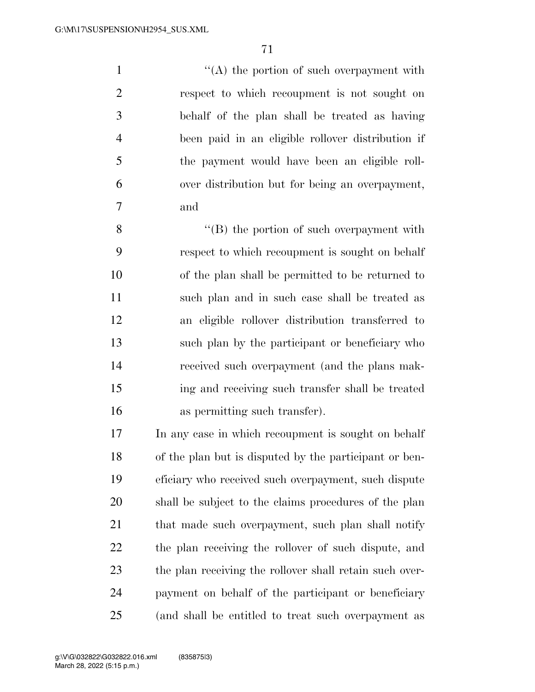1 ''(A) the portion of such overpayment with respect to which recoupment is not sought on behalf of the plan shall be treated as having been paid in an eligible rollover distribution if the payment would have been an eligible roll- over distribution but for being an overpayment, and

 ''(B) the portion of such overpayment with respect to which recoupment is sought on behalf of the plan shall be permitted to be returned to such plan and in such case shall be treated as an eligible rollover distribution transferred to such plan by the participant or beneficiary who received such overpayment (and the plans mak- ing and receiving such transfer shall be treated as permitting such transfer).

 In any case in which recoupment is sought on behalf of the plan but is disputed by the participant or ben- eficiary who received such overpayment, such dispute shall be subject to the claims procedures of the plan 21 that made such overpayment, such plan shall notify the plan receiving the rollover of such dispute, and the plan receiving the rollover shall retain such over- payment on behalf of the participant or beneficiary (and shall be entitled to treat such overpayment as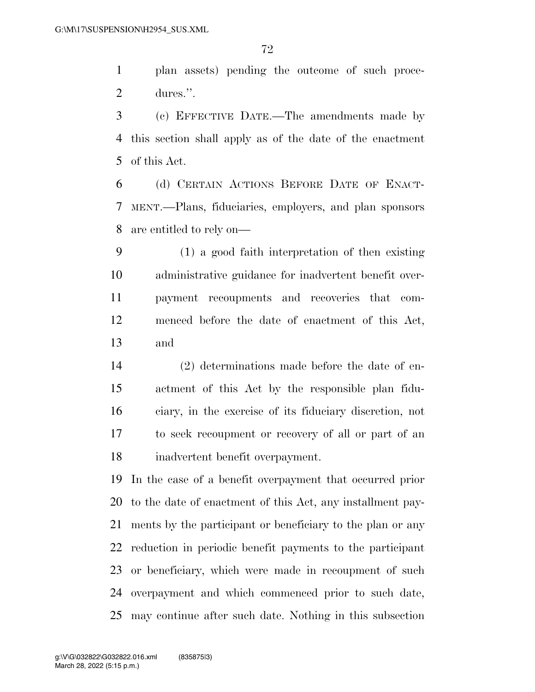plan assets) pending the outcome of such proce-dures.''.

 (c) EFFECTIVE DATE.—The amendments made by this section shall apply as of the date of the enactment of this Act.

 (d) CERTAIN ACTIONS BEFORE DATE OF ENACT- MENT.—Plans, fiduciaries, employers, and plan sponsors are entitled to rely on—

 (1) a good faith interpretation of then existing administrative guidance for inadvertent benefit over- payment recoupments and recoveries that com- menced before the date of enactment of this Act, and

 (2) determinations made before the date of en- actment of this Act by the responsible plan fidu- ciary, in the exercise of its fiduciary discretion, not to seek recoupment or recovery of all or part of an inadvertent benefit overpayment.

 In the case of a benefit overpayment that occurred prior to the date of enactment of this Act, any installment pay- ments by the participant or beneficiary to the plan or any reduction in periodic benefit payments to the participant or beneficiary, which were made in recoupment of such overpayment and which commenced prior to such date, may continue after such date. Nothing in this subsection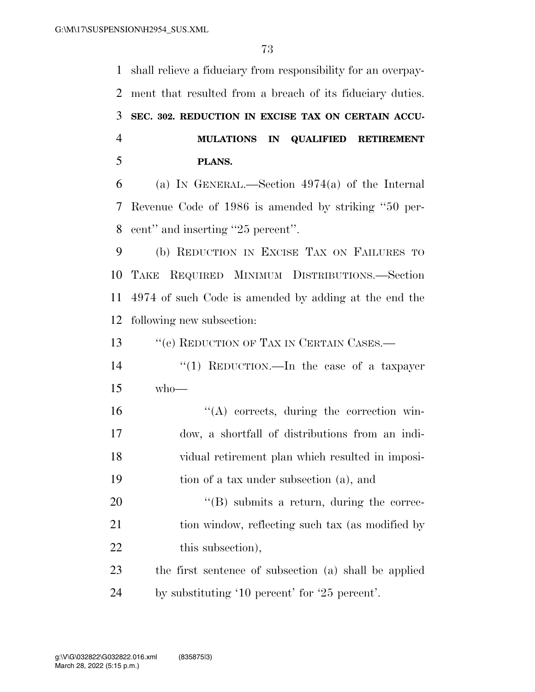shall relieve a fiduciary from responsibility for an overpay- ment that resulted from a breach of its fiduciary duties. **SEC. 302. REDUCTION IN EXCISE TAX ON CERTAIN ACCU- MULATIONS IN QUALIFIED RETIREMENT PLANS.**  (a) IN GENERAL.—Section 4974(a) of the Internal

 Revenue Code of 1986 is amended by striking ''50 per-cent'' and inserting ''25 percent''.

 (b) REDUCTION IN EXCISE TAX ON FAILURES TO TAKE REQUIRED MINIMUM DISTRIBUTIONS.—Section 4974 of such Code is amended by adding at the end the following new subsection:

13 "'(e) REDUCTION OF TAX IN CERTAIN CASES.—

 ''(1) REDUCTION.—In the case of a taxpayer who—

 ''(A) corrects, during the correction win- dow, a shortfall of distributions from an indi- vidual retirement plan which resulted in imposi-tion of a tax under subsection (a), and

20  $\text{``(B)}$  submits a return, during the correc-21 tion window, reflecting such tax (as modified by 22 this subsection),

 the first sentence of subsection (a) shall be applied by substituting '10 percent' for '25 percent'.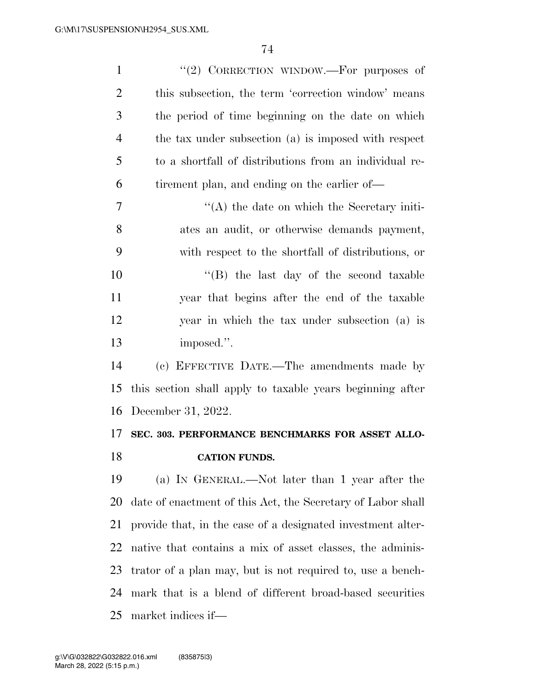| $\mathbf{1}$   | "(2) CORRECTION WINDOW.—For purposes of                     |
|----------------|-------------------------------------------------------------|
| $\overline{2}$ | this subsection, the term 'correction window' means         |
| 3              | the period of time beginning on the date on which           |
| $\overline{4}$ | the tax under subsection (a) is imposed with respect        |
| 5              | to a shortfall of distributions from an individual re-      |
| 6              | tirement plan, and ending on the earlier of—                |
| 7              | $\lq\lq$ the date on which the Secretary initi-             |
| 8              | ates an audit, or otherwise demands payment,                |
| 9              | with respect to the shortfall of distributions, or          |
| 10             | "(B) the last day of the second taxable                     |
| 11             | year that begins after the end of the taxable               |
| 12             | year in which the tax under subsection (a) is               |
| 13             | imposed.".                                                  |
| 14             | (c) EFFECTIVE DATE.—The amendments made by                  |
| 15             | this section shall apply to taxable years beginning after   |
| 16             | December 31, 2022.                                          |
| 17             | SEC. 303. PERFORMANCE BENCHMARKS FOR ASSET ALLO-            |
| 18             | <b>CATION FUNDS.</b>                                        |
| 19             | (a) IN GENERAL.—Not later than 1 year after the             |
| 20             | date of enactment of this Act, the Secretary of Labor shall |
| 21             | provide that, in the case of a designated investment alter- |
| 22             | native that contains a mix of asset classes, the adminis-   |
| 23             | trator of a plan may, but is not required to, use a bench-  |
| 24             | mark that is a blend of different broad-based securities    |
| 25             | market indices if—                                          |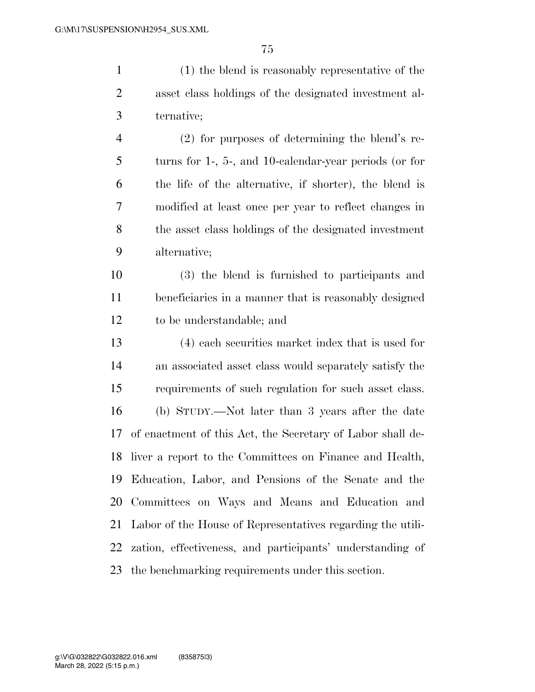(1) the blend is reasonably representative of the asset class holdings of the designated investment al- ternative; (2) for purposes of determining the blend's re-turns for 1-, 5-, and 10-calendar-year periods (or for

 the life of the alternative, if shorter), the blend is modified at least once per year to reflect changes in the asset class holdings of the designated investment alternative;

 (3) the blend is furnished to participants and beneficiaries in a manner that is reasonably designed to be understandable; and

 (4) each securities market index that is used for an associated asset class would separately satisfy the requirements of such regulation for such asset class. (b) STUDY.—Not later than 3 years after the date of enactment of this Act, the Secretary of Labor shall de- liver a report to the Committees on Finance and Health, Education, Labor, and Pensions of the Senate and the Committees on Ways and Means and Education and Labor of the House of Representatives regarding the utili- zation, effectiveness, and participants' understanding of the benchmarking requirements under this section.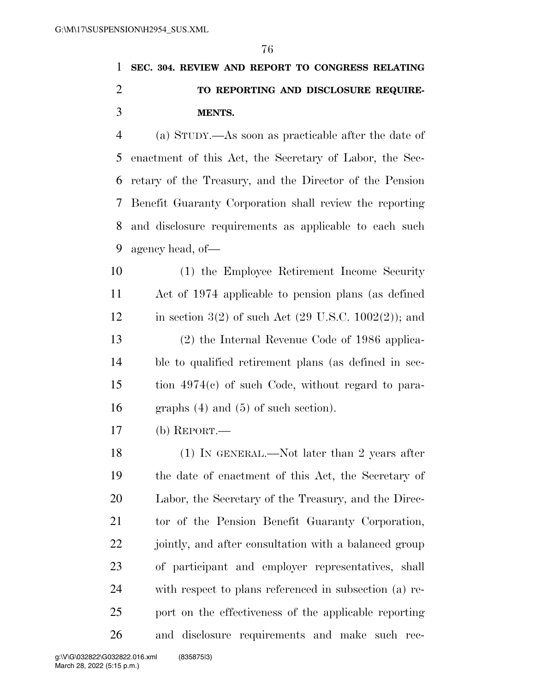### **SEC. 304. REVIEW AND REPORT TO CONGRESS RELATING TO REPORTING AND DISCLOSURE REQUIRE-MENTS.**

 (a) STUDY.—As soon as practicable after the date of enactment of this Act, the Secretary of Labor, the Sec- retary of the Treasury, and the Director of the Pension Benefit Guaranty Corporation shall review the reporting and disclosure requirements as applicable to each such agency head, of—

 (1) the Employee Retirement Income Security Act of 1974 applicable to pension plans (as defined 12 in section 3(2) of such Act (29 U.S.C. 1002(2)); and (2) the Internal Revenue Code of 1986 applica- ble to qualified retirement plans (as defined in sec- tion 4974(c) of such Code, without regard to para-graphs (4) and (5) of such section).

(b) REPORT.—

 (1) IN GENERAL.—Not later than 2 years after the date of enactment of this Act, the Secretary of Labor, the Secretary of the Treasury, and the Direc- tor of the Pension Benefit Guaranty Corporation, 22 jointly, and after consultation with a balanced group of participant and employer representatives, shall with respect to plans referenced in subsection (a) re- port on the effectiveness of the applicable reporting and disclosure requirements and make such rec-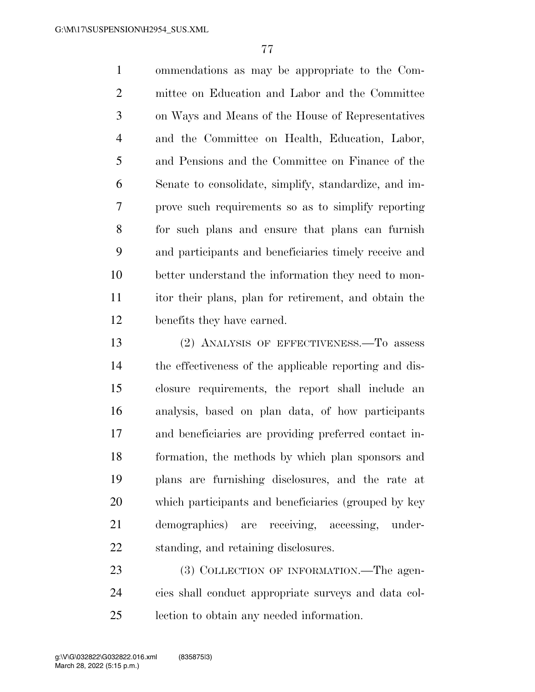ommendations as may be appropriate to the Com- mittee on Education and Labor and the Committee on Ways and Means of the House of Representatives and the Committee on Health, Education, Labor, and Pensions and the Committee on Finance of the Senate to consolidate, simplify, standardize, and im- prove such requirements so as to simplify reporting for such plans and ensure that plans can furnish and participants and beneficiaries timely receive and better understand the information they need to mon- itor their plans, plan for retirement, and obtain the benefits they have earned.

 (2) ANALYSIS OF EFFECTIVENESS.—To assess the effectiveness of the applicable reporting and dis- closure requirements, the report shall include an analysis, based on plan data, of how participants and beneficiaries are providing preferred contact in- formation, the methods by which plan sponsors and plans are furnishing disclosures, and the rate at which participants and beneficiaries (grouped by key demographics) are receiving, accessing, under-standing, and retaining disclosures.

23 (3) COLLECTION OF INFORMATION.—The agen- cies shall conduct appropriate surveys and data col-lection to obtain any needed information.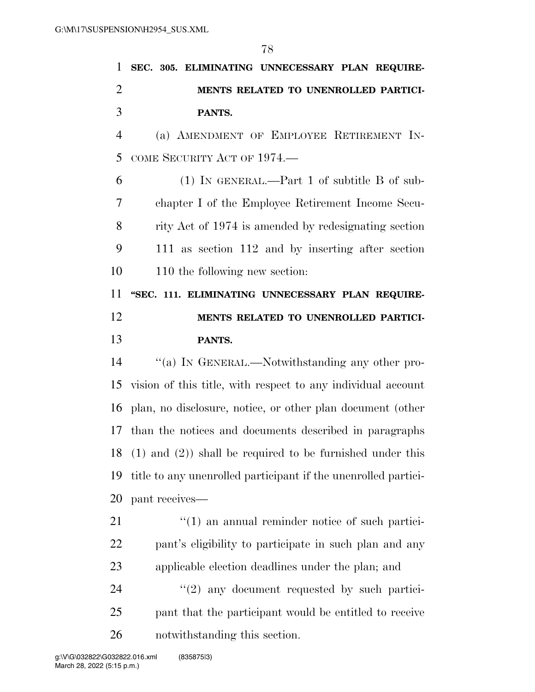|                | 78                                                             |
|----------------|----------------------------------------------------------------|
| 1              | SEC. 305. ELIMINATING UNNECESSARY PLAN REQUIRE-                |
| $\overline{2}$ | MENTS RELATED TO UNENROLLED PARTICI-                           |
| 3              | PANTS.                                                         |
| $\overline{4}$ | (a) AMENDMENT OF EMPLOYEE RETIREMENT IN-                       |
| 5              | COME SECURITY ACT OF 1974.                                     |
| 6              | $(1)$ IN GENERAL.—Part 1 of subtitle B of sub-                 |
| 7              | chapter I of the Employee Retirement Income Secu-              |
| 8              | rity Act of 1974 is amended by redesignating section           |
| 9              | 111 as section 112 and by inserting after section              |
| 10             | 110 the following new section:                                 |
| 11             | "SEC. 111. ELIMINATING UNNECESSARY PLAN REQUIRE-               |
| 12             | MENTS RELATED TO UNENROLLED PARTICI-                           |
| 13             | PANTS.                                                         |
| 14             | "(a) IN GENERAL.—Notwithstanding any other pro-                |
| 15             | vision of this title, with respect to any individual account   |
|                | 16 plan, no disclosure, notice, or other plan document (other  |
|                | 17 than the notices and documents described in paragraphs      |
| 18             | $(1)$ and $(2)$ ) shall be required to be furnished under this |
| 19             | title to any unenrolled participant if the unenrolled partici- |
| 20             | pant receives—                                                 |
| 21             | $\lq(1)$ an annual reminder notice of such partici-            |
| 22             | pant's eligibility to participate in such plan and any         |

applicable election deadlines under the plan; and

24 ''(2) any document requested by such partici- pant that the participant would be entitled to receive notwithstanding this section.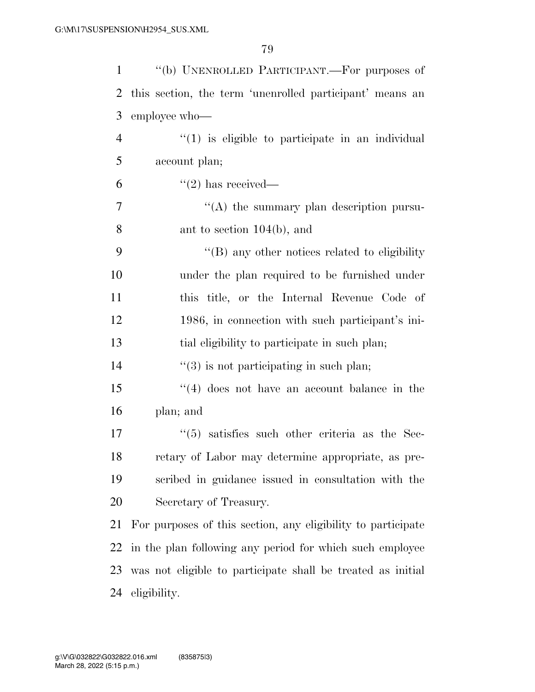| $\mathbf{1}$   | "(b) UNENROLLED PARTICIPANT.—For purposes of                 |
|----------------|--------------------------------------------------------------|
| $\overline{2}$ | this section, the term 'unenrolled participant' means an     |
| 3              | employee who-                                                |
| $\overline{4}$ | $"(1)$ is eligible to participate in an individual           |
| 5              | account plan;                                                |
| 6              | $\lq(2)$ has received—                                       |
| 7              | "(A) the summary plan description pursu-                     |
| 8              | ant to section $104(b)$ , and                                |
| 9              | $\lq\lq (B)$ any other notices related to eligibility        |
| 10             | under the plan required to be furnished under                |
| 11             | this title, or the Internal Revenue Code of                  |
| 12             | 1986, in connection with such participant's ini-             |
| 13             | tial eligibility to participate in such plan;                |
| 14             | $\lq(3)$ is not participating in such plan;                  |
| 15             | $(4)$ does not have an account balance in the                |
| 16             | plan; and                                                    |
| 17             | $(5)$ satisfies such other criteria as the Sec-              |
| 18             | retary of Labor may determine appropriate, as pre-           |
| 19             | scribed in guidance issued in consultation with the          |
| 20             | Secretary of Treasury.                                       |
| 21             | For purposes of this section, any eligibility to participate |
| 22             | in the plan following any period for which such employee     |
| 23             | was not eligible to participate shall be treated as initial  |
| 24             | eligibility.                                                 |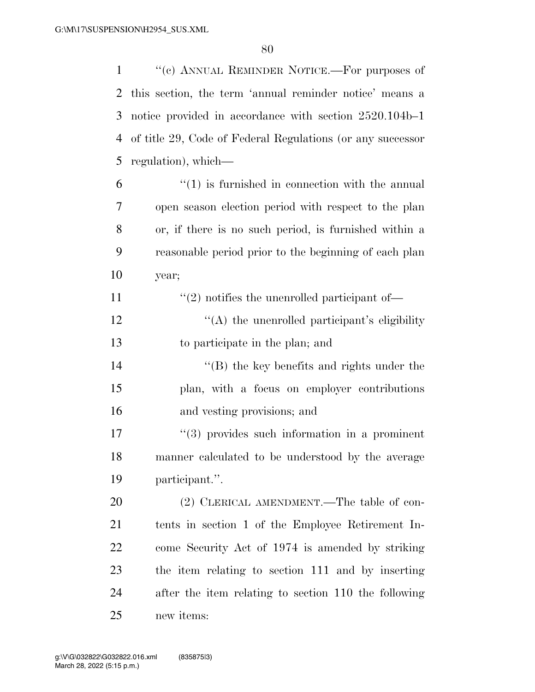''(c) ANNUAL REMINDER NOTICE.—For purposes of this section, the term 'annual reminder notice' means a notice provided in accordance with section 2520.104b–1 of title 29, Code of Federal Regulations (or any successor regulation), which—

- "(1) is furnished in connection with the annual open season election period with respect to the plan or, if there is no such period, is furnished within a reasonable period prior to the beginning of each plan year;
- 11  $\frac{1}{2}$  notifies the unenrolled participant of—
- 12  $\langle (A)$  the unenrolled participant's eligibility to participate in the plan; and
- 14 ''(B) the key benefits and rights under the plan, with a focus on employer contributions and vesting provisions; and
- 17  $\frac{17}{2}$   $\frac{17}{2}$  if the such information in a prominent manner calculated to be understood by the average participant.''.

20 (2) CLERICAL AMENDMENT.—The table of con- tents in section 1 of the Employee Retirement In- come Security Act of 1974 is amended by striking the item relating to section 111 and by inserting after the item relating to section 110 the following new items: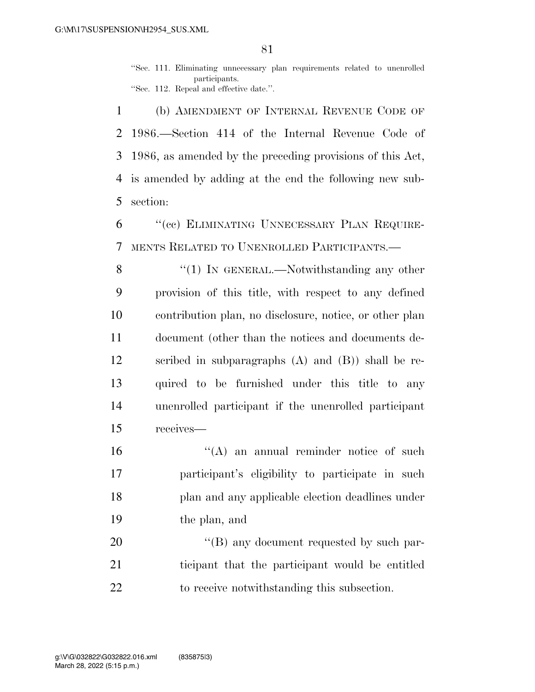''Sec. 111. Eliminating unnecessary plan requirements related to unenrolled participants. ''Sec. 112. Repeal and effective date.''.

 (b) AMENDMENT OF INTERNAL REVENUE CODE OF 1986.—Section 414 of the Internal Revenue Code of 1986, as amended by the preceding provisions of this Act, is amended by adding at the end the following new sub-section:

 ''(cc) ELIMINATING UNNECESSARY PLAN REQUIRE-MENTS RELATED TO UNENROLLED PARTICIPANTS.—

8 "(1) In GENERAL.—Notwithstanding any other provision of this title, with respect to any defined contribution plan, no disclosure, notice, or other plan document (other than the notices and documents de- scribed in subparagraphs (A) and (B)) shall be re- quired to be furnished under this title to any unenrolled participant if the unenrolled participant receives—

16 "(A) an annual reminder notice of such participant's eligibility to participate in such plan and any applicable election deadlines under the plan, and

20 "'(B) any document requested by such par- ticipant that the participant would be entitled to receive notwithstanding this subsection.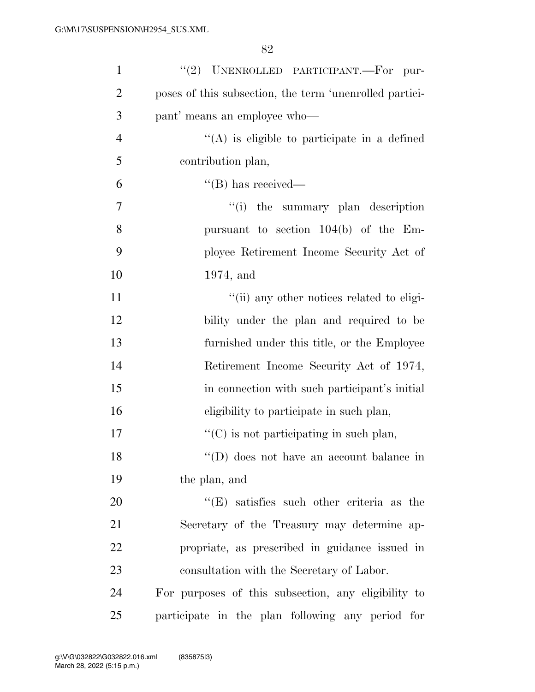| $\mathbf{1}$   | "(2) UNENROLLED PARTICIPANT.-For pur-                   |
|----------------|---------------------------------------------------------|
| $\overline{2}$ | poses of this subsection, the term 'unenrolled partici- |
| 3              | pant' means an employee who—                            |
| $\overline{4}$ | $\lq\lq$ is eligible to participate in a defined        |
| 5              | contribution plan,                                      |
| 6              | $\lq\lq (B)$ has received—                              |
| 7              | "(i) the summary plan description                       |
| 8              | pursuant to section $104(b)$ of the Em-                 |
| 9              | ployee Retirement Income Security Act of                |
| 10             | $1974$ , and                                            |
| 11             | "(ii) any other notices related to eligi-               |
| 12             | bility under the plan and required to be                |
| 13             | furnished under this title, or the Employee             |
| 14             | Retirement Income Security Act of 1974,                 |
| 15             | in connection with such participant's initial           |
| 16             | eligibility to participate in such plan,                |
| 17             | $\lq\lq$ (C) is not participating in such plan,         |
| 18             | $\lq\lq$ (D) does not have an account balance in        |
| 19             | the plan, and                                           |
| 20             | $\lq\lq(E)$ satisfies such other criteria as the        |
| 21             | Secretary of the Treasury may determine ap-             |
| 22             | propriate, as prescribed in guidance issued in          |
| 23             | consultation with the Secretary of Labor.               |
| 24             | For purposes of this subsection, any eligibility to     |
| 25             | participate in the plan following any period for        |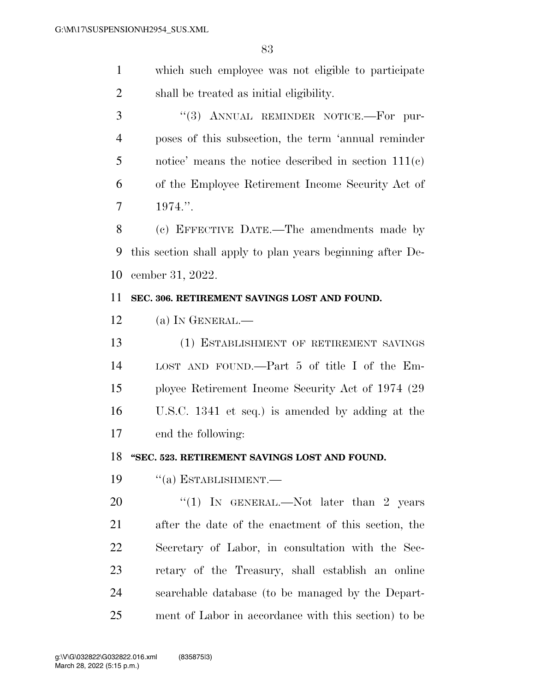which such employee was not eligible to participate shall be treated as initial eligibility.

3 "(3) ANNUAL REMINDER NOTICE.—For pur- poses of this subsection, the term 'annual reminder notice' means the notice described in section 111(c) of the Employee Retirement Income Security Act of 1974.''.

 (c) EFFECTIVE DATE.—The amendments made by this section shall apply to plan years beginning after De-cember 31, 2022.

#### **SEC. 306. RETIREMENT SAVINGS LOST AND FOUND.**

(a) IN GENERAL.—

 (1) ESTABLISHMENT OF RETIREMENT SAVINGS LOST AND FOUND.—Part 5 of title I of the Em- ployee Retirement Income Security Act of 1974 (29 U.S.C. 1341 et seq.) is amended by adding at the end the following:

#### **''SEC. 523. RETIREMENT SAVINGS LOST AND FOUND.**

''(a) ESTABLISHMENT.—

20 "(1) IN GENERAL.—Not later than 2 years after the date of the enactment of this section, the Secretary of Labor, in consultation with the Sec- retary of the Treasury, shall establish an online searchable database (to be managed by the Depart-ment of Labor in accordance with this section) to be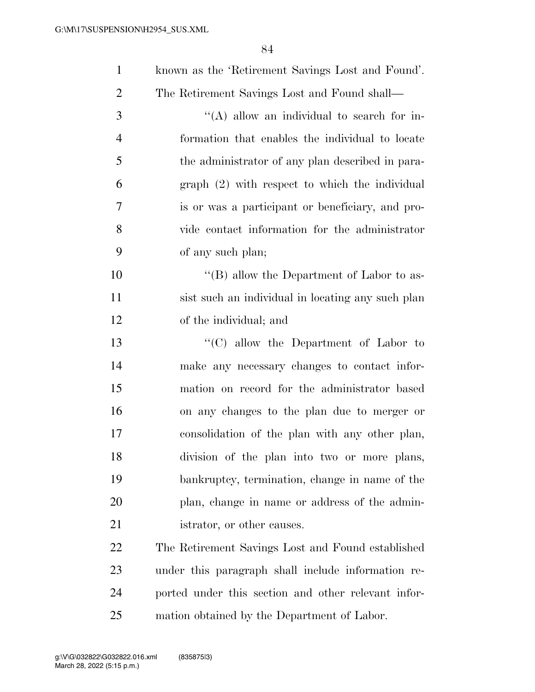| $\mathbf{1}$   | known as the 'Retirement Savings Lost and Found'.   |
|----------------|-----------------------------------------------------|
| $\overline{2}$ | The Retirement Savings Lost and Found shall—        |
| 3              | "(A) allow an individual to search for in-          |
| $\overline{4}$ | formation that enables the individual to locate     |
| 5              | the administrator of any plan described in para-    |
| 6              | $graph (2) with respect to which the individual$    |
| 7              | is or was a participant or beneficiary, and pro-    |
| 8              | vide contact information for the administrator      |
| 9              | of any such plan;                                   |
| 10             | "(B) allow the Department of Labor to as-           |
| 11             | sist such an individual in locating any such plan   |
| 12             | of the individual; and                              |
| 13             | "(C) allow the Department of Labor to               |
| 14             | make any necessary changes to contact infor-        |
| 15             | mation on record for the administrator based        |
| 16             | on any changes to the plan due to merger or         |
| 17             | consolidation of the plan with any other plan,      |
| 18             | division of the plan into two or more plans,        |
| 19             | bankruptcy, termination, change in name of the      |
| 20             | plan, change in name or address of the admin-       |
| 21             | istrator, or other causes.                          |
| 22             | The Retirement Savings Lost and Found established   |
| 23             | under this paragraph shall include information re-  |
| 24             | ported under this section and other relevant infor- |
|                |                                                     |

mation obtained by the Department of Labor.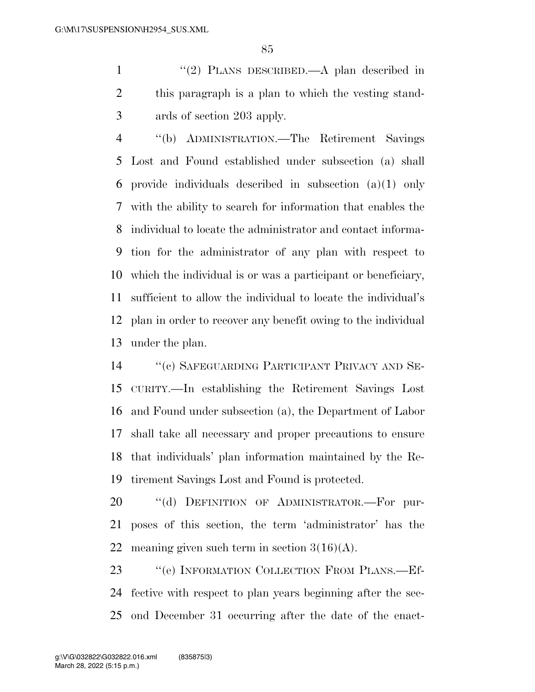1 "(2) PLANS DESCRIBED.—A plan described in this paragraph is a plan to which the vesting stand-ards of section 203 apply.

 ''(b) ADMINISTRATION.—The Retirement Savings Lost and Found established under subsection (a) shall provide individuals described in subsection (a)(1) only with the ability to search for information that enables the individual to locate the administrator and contact informa- tion for the administrator of any plan with respect to which the individual is or was a participant or beneficiary, sufficient to allow the individual to locate the individual's plan in order to recover any benefit owing to the individual under the plan.

 ''(c) SAFEGUARDING PARTICIPANT PRIVACY AND SE- CURITY.—In establishing the Retirement Savings Lost and Found under subsection (a), the Department of Labor shall take all necessary and proper precautions to ensure that individuals' plan information maintained by the Re-tirement Savings Lost and Found is protected.

20 "(d) DEFINITION OF ADMINISTRATOR.-For pur- poses of this section, the term 'administrator' has the 22 meaning given such term in section  $3(16)(A)$ .

23 "(e) INFORMATION COLLECTION FROM PLANS.—Ef- fective with respect to plan years beginning after the sec-ond December 31 occurring after the date of the enact-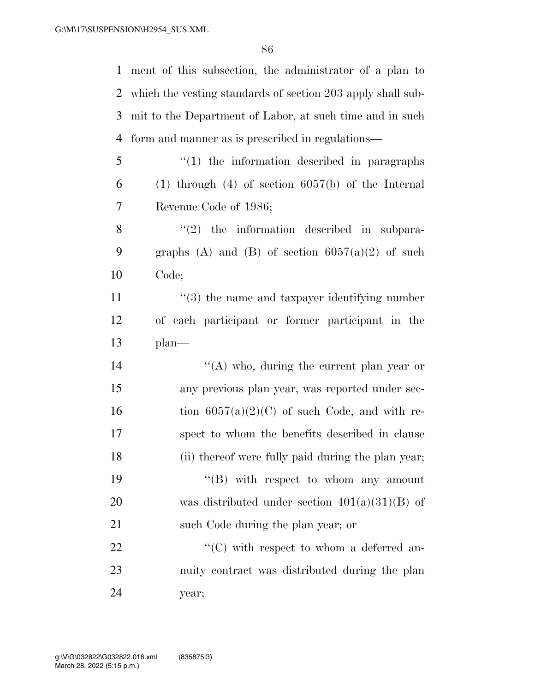ment of this subsection, the administrator of a plan to

 which the vesting standards of section 203 apply shall sub- mit to the Department of Labor, at such time and in such form and manner as is prescribed in regulations— ''(1) the information described in paragraphs (1) through (4) of section  $6057(b)$  of the Internal Revenue Code of 1986; ''(2) the information described in subpara-9 graphs (A) and (B) of section  $6057(a)(2)$  of such Code; 11 ''(3) the name and taxpayer identifying number of each participant or former participant in the plan—  $\langle (A) \rangle$  who, during the current plan year or any previous plan year, was reported under sec-16 tion  $6057(a)(2)(C)$  of such Code, and with re- spect to whom the benefits described in clause (ii) thereof were fully paid during the plan year;  $\langle$  (B) with respect to whom any amount was distributed under section 401(a)(31)(B) of 21 such Code during the plan year; or  $\langle ^{\prime}(C) \rangle$  with respect to whom a deferred an- nuity contract was distributed during the plan year;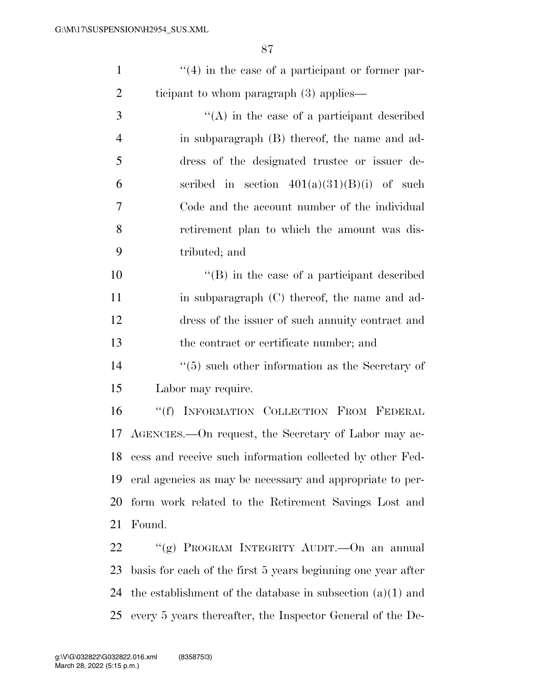| $\lq(4)$ in the case of a participant or former par- |
|------------------------------------------------------|
| ticipant to whom paragraph $(3)$ applies—            |
|                                                      |

 ''(A) in the case of a participant described in subparagraph (B) thereof, the name and ad- dress of the designated trustee or issuer de-6 section  $401(a)(31)(B)(i)$  of such Code and the account number of the individual retirement plan to which the amount was dis-tributed; and

 ''(B) in the case of a participant described 11 in subparagraph (C) thereof, the name and ad- dress of the issuer of such annuity contract and the contract or certificate number; and

14 ''(5) such other information as the Secretary of Labor may require.

 ''(f) INFORMATION COLLECTION FROM FEDERAL AGENCIES.—On request, the Secretary of Labor may ac- cess and receive such information collected by other Fed- eral agencies as may be necessary and appropriate to per- form work related to the Retirement Savings Lost and Found.

 ''(g) PROGRAM INTEGRITY AUDIT.—On an annual basis for each of the first 5 years beginning one year after the establishment of the database in subsection (a)(1) and every 5 years thereafter, the Inspector General of the De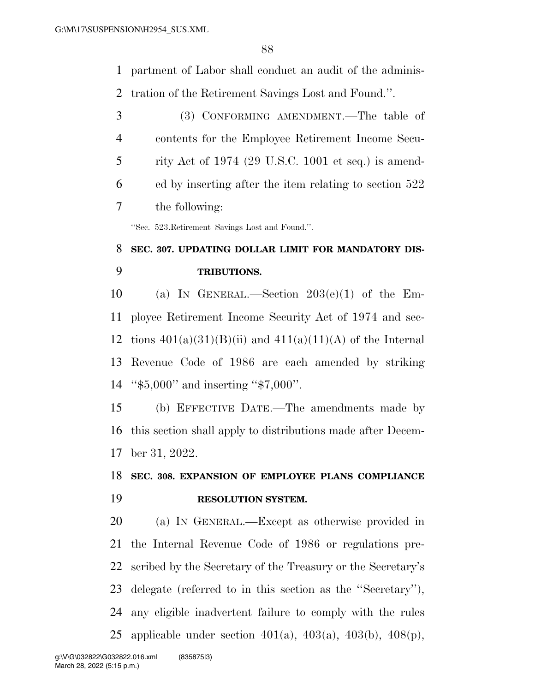partment of Labor shall conduct an audit of the adminis-tration of the Retirement Savings Lost and Found.''.

 (3) CONFORMING AMENDMENT.—The table of contents for the Employee Retirement Income Secu- rity Act of 1974 (29 U.S.C. 1001 et seq.) is amend- ed by inserting after the item relating to section 522 the following:

''Sec. 523.Retirement Savings Lost and Found.''.

# **SEC. 307. UPDATING DOLLAR LIMIT FOR MANDATORY DIS-TRIBUTIONS.**

 (a) IN GENERAL.—Section 203(e)(1) of the Em- ployee Retirement Income Security Act of 1974 and sec-12 tions  $401(a)(31)(B)(ii)$  and  $411(a)(11)(A)$  of the Internal Revenue Code of 1986 are each amended by striking ''\$5,000'' and inserting ''\$7,000''.

 (b) EFFECTIVE DATE.—The amendments made by this section shall apply to distributions made after Decem-ber 31, 2022.

### **SEC. 308. EXPANSION OF EMPLOYEE PLANS COMPLIANCE RESOLUTION SYSTEM.**

 (a) IN GENERAL.—Except as otherwise provided in the Internal Revenue Code of 1986 or regulations pre- scribed by the Secretary of the Treasury or the Secretary's delegate (referred to in this section as the ''Secretary''), any eligible inadvertent failure to comply with the rules applicable under section 401(a), 403(a), 403(b), 408(p),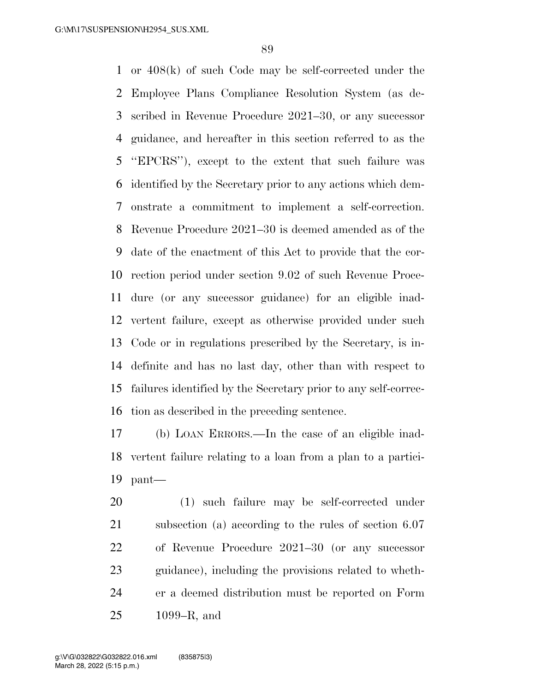or 408(k) of such Code may be self-corrected under the Employee Plans Compliance Resolution System (as de- scribed in Revenue Procedure 2021–30, or any successor guidance, and hereafter in this section referred to as the ''EPCRS''), except to the extent that such failure was identified by the Secretary prior to any actions which dem- onstrate a commitment to implement a self-correction. Revenue Procedure 2021–30 is deemed amended as of the date of the enactment of this Act to provide that the cor- rection period under section 9.02 of such Revenue Proce- dure (or any successor guidance) for an eligible inad- vertent failure, except as otherwise provided under such Code or in regulations prescribed by the Secretary, is in- definite and has no last day, other than with respect to failures identified by the Secretary prior to any self-correc-tion as described in the preceding sentence.

 (b) LOAN ERRORS.—In the case of an eligible inad- vertent failure relating to a loan from a plan to a partici-pant—

 (1) such failure may be self-corrected under subsection (a) according to the rules of section 6.07 of Revenue Procedure 2021–30 (or any successor guidance), including the provisions related to wheth- er a deemed distribution must be reported on Form 1099–R, and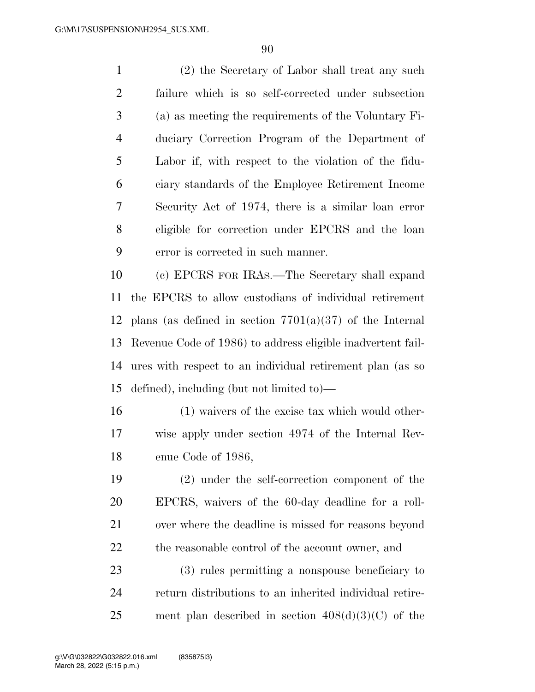(2) the Secretary of Labor shall treat any such failure which is so self-corrected under subsection (a) as meeting the requirements of the Voluntary Fi- duciary Correction Program of the Department of Labor if, with respect to the violation of the fidu- ciary standards of the Employee Retirement Income Security Act of 1974, there is a similar loan error eligible for correction under EPCRS and the loan error is corrected in such manner.

 (c) EPCRS FOR IRAS.—The Secretary shall expand the EPCRS to allow custodians of individual retirement 12 plans (as defined in section  $7701(a)(37)$  of the Internal Revenue Code of 1986) to address eligible inadvertent fail- ures with respect to an individual retirement plan (as so defined), including (but not limited to)—

 (1) waivers of the excise tax which would other- wise apply under section 4974 of the Internal Rev-enue Code of 1986,

 (2) under the self-correction component of the EPCRS, waivers of the 60-day deadline for a roll- over where the deadline is missed for reasons beyond 22 the reasonable control of the account owner, and

 (3) rules permitting a nonspouse beneficiary to return distributions to an inherited individual retire-25 ment plan described in section  $408(d)(3)(C)$  of the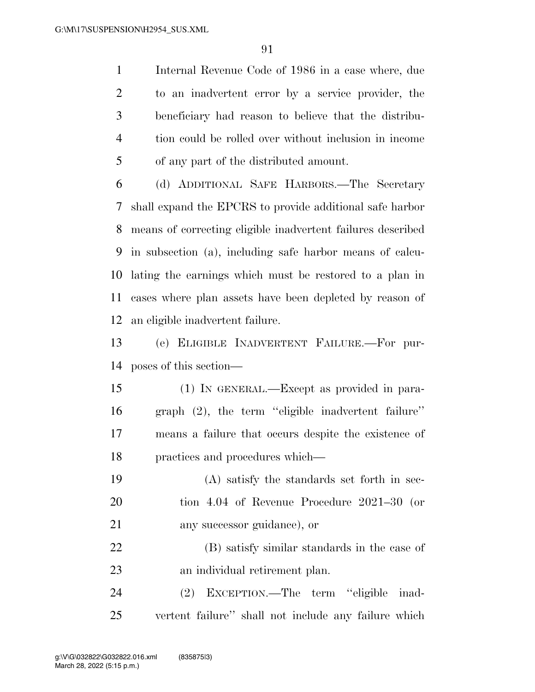Internal Revenue Code of 1986 in a case where, due to an inadvertent error by a service provider, the beneficiary had reason to believe that the distribu- tion could be rolled over without inclusion in income of any part of the distributed amount.

 (d) ADDITIONAL SAFE HARBORS.—The Secretary shall expand the EPCRS to provide additional safe harbor means of correcting eligible inadvertent failures described in subsection (a), including safe harbor means of calcu- lating the earnings which must be restored to a plan in cases where plan assets have been depleted by reason of an eligible inadvertent failure.

 (e) ELIGIBLE INADVERTENT FAILURE.—For pur-poses of this section—

 (1) IN GENERAL.—Except as provided in para- graph (2), the term ''eligible inadvertent failure'' means a failure that occurs despite the existence of practices and procedures which—

 (A) satisfy the standards set forth in sec- tion 4.04 of Revenue Procedure 2021–30 (or any successor guidance), or

 (B) satisfy similar standards in the case of an individual retirement plan.

 (2) EXCEPTION.—The term ''eligible inad-vertent failure'' shall not include any failure which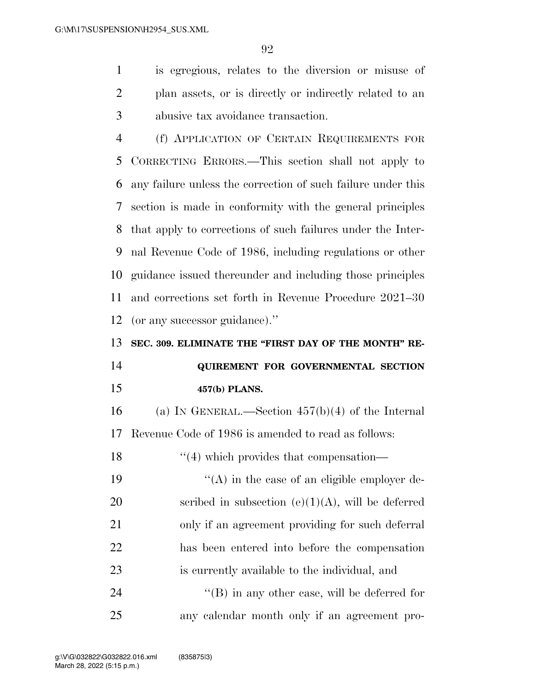is egregious, relates to the diversion or misuse of plan assets, or is directly or indirectly related to an abusive tax avoidance transaction.

 (f) APPLICATION OF CERTAIN REQUIREMENTS FOR CORRECTING ERRORS.—This section shall not apply to any failure unless the correction of such failure under this section is made in conformity with the general principles that apply to corrections of such failures under the Inter- nal Revenue Code of 1986, including regulations or other guidance issued thereunder and including those principles and corrections set forth in Revenue Procedure 2021–30 (or any successor guidance).''

**SEC. 309. ELIMINATE THE "FIRST DAY OF THE MONTH" RE-**

# **QUIREMENT FOR GOVERNMENTAL SECTION 457(b) PLANS.**

 (a) IN GENERAL.—Section 457(b)(4) of the Internal Revenue Code of 1986 is amended to read as follows:

18 ''(4) which provides that compensation-

 $((A)$  in the case of an eligible employer de-20 scribed in subsection  $(e)(1)(A)$ , will be deferred only if an agreement providing for such deferral has been entered into before the compensation is currently available to the individual, and

24  $\langle$  (B) in any other case, will be deferred for any calendar month only if an agreement pro-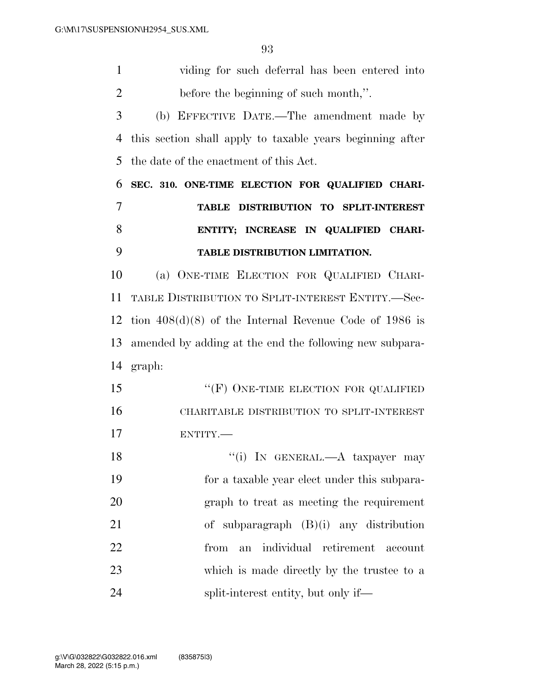| $\mathbf{1}$   | viding for such deferral has been entered into            |
|----------------|-----------------------------------------------------------|
| $\overline{2}$ | before the beginning of such month,".                     |
| 3              | (b) EFFECTIVE DATE.—The amendment made by                 |
| 4              | this section shall apply to taxable years beginning after |
| 5              | the date of the enactment of this Act.                    |
| 6              | SEC. 310. ONE-TIME ELECTION FOR QUALIFIED CHARI-          |
| 7              | TABLE DISTRIBUTION TO SPLIT-INTEREST                      |
| 8              | ENTITY; INCREASE IN QUALIFIED CHARI-                      |
| 9              | TABLE DISTRIBUTION LIMITATION.                            |
| 10             | (a) ONE-TIME ELECTION FOR QUALIFIED CHARI-                |
| 11             | TABLE DISTRIBUTION TO SPLIT-INTEREST ENTITY.-Sec-         |
| 12             | tion $408(d)(8)$ of the Internal Revenue Code of 1986 is  |
| 13             | amended by adding at the end the following new subpara-   |
|                | 14 graph:                                                 |
| 15             | " $(F)$ ONE-TIME ELECTION FOR QUALIFIED                   |
| 16             | CHARITABLE DISTRIBUTION TO SPLIT-INTEREST                 |
| 17             | ENTITY.                                                   |
| 18             | "(i) IN GENERAL.—A taxpayer may                           |
| 19             | for a taxable year elect under this subpara-              |
| 20             | graph to treat as meeting the requirement                 |
| 21             | of subparagraph $(B)(i)$ any distribution                 |
| 22             | individual retirement<br>from<br>an<br>account            |
| 23             | which is made directly by the trustee to a                |
| 24             | split-interest entity, but only if—                       |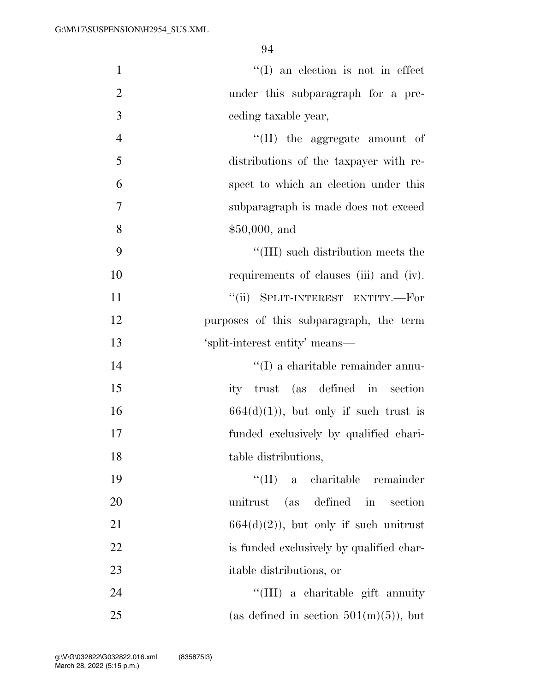| $\mathbf{1}$   | $\lq\lq$ (I) an election is not in effect |
|----------------|-------------------------------------------|
| $\overline{2}$ | under this subparagraph for a pre-        |
| 3              | ceding taxable year,                      |
| $\overline{4}$ | $\lq\lq$ (II) the aggregate amount of     |
| 5              | distributions of the taxpayer with re-    |
| 6              | spect to which an election under this     |
| 7              | subparagraph is made does not exceed      |
| 8              | \$50,000, and                             |
| 9              | "(III) such distribution meets the        |
| 10             | requirements of clauses (iii) and (iv).   |
| 11             | "(ii) SPLIT-INTEREST ENTITY.-For          |
| 12             | purposes of this subparagraph, the term   |
| 13             | 'split-interest entity' means—            |
| 14             | $\lq\lq$ (I) a charitable remainder annu- |
| 15             | ity trust (as defined in section          |
| 16             | $664(d)(1)$ , but only if such trust is   |
| 17             | funded exclusively by qualified chari-    |
| 18             | table distributions,                      |
| 19             | "(II) a charitable remainder              |
| 20             | unitrust (as defined in<br>section        |
| 21             | $664(d)(2)$ , but only if such unitrust   |
| 22             | is funded exclusively by qualified char-  |
| 23             | itable distributions, or                  |
| 24             | "(III) a charitable gift annuity          |
| 25             | (as defined in section $501(m)(5)$ ), but |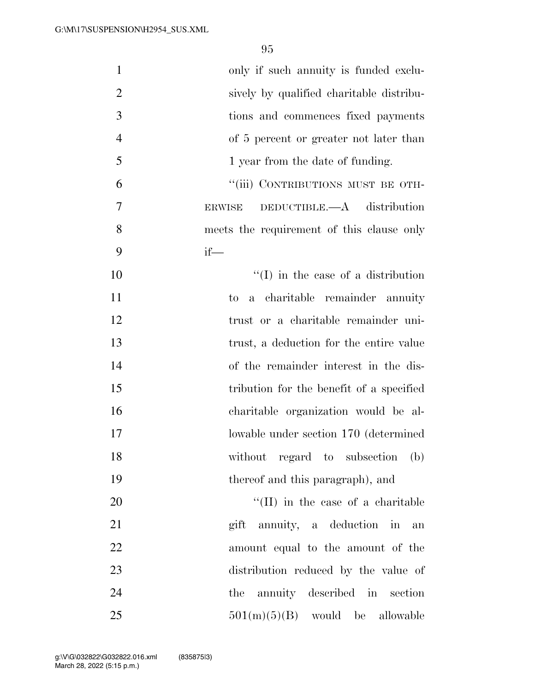| only if such annuity is funded exclu-          | $\mathbf{1}$   |
|------------------------------------------------|----------------|
| sively by qualified charitable distribu-       | $\overline{2}$ |
| tions and commences fixed payments             | 3              |
| of 5 percent or greater not later than         | $\overline{4}$ |
| 1 year from the date of funding.               | 5              |
| "(iii) CONTRIBUTIONS MUST BE OTH-              | 6              |
| DEDUCTIBLE. $-A$ distribution<br><b>ERWISE</b> | 7              |
| meets the requirement of this clause only      | 8              |
| $if$ —                                         | 9              |
| $\lq (I)$ in the case of a distribution        | 10             |
| a charitable remainder annuity<br>to           | 11             |
| trust or a charitable remainder uni-           | 12             |
| trust, a deduction for the entire value        | 13             |
| of the remainder interest in the dis-          | 14             |
| tribution for the benefit of a specified       | 15             |
| charitable organization would be al-           | 16             |
| lowable under section 170 (determined          | 17             |
| without regard to subsection<br>(b)            | 18             |
| thereof and this paragraph), and               | 19             |
| $\lq\lq$ (II) in the case of a charitable      | 20             |
| gift annuity, a deduction in<br>an             | 21             |
| amount equal to the amount of the              | 22             |
| distribution reduced by the value of           | 23             |
| the annuity described in section               | 24             |
| $501(m)(5)(B)$ would be allowable              | 25             |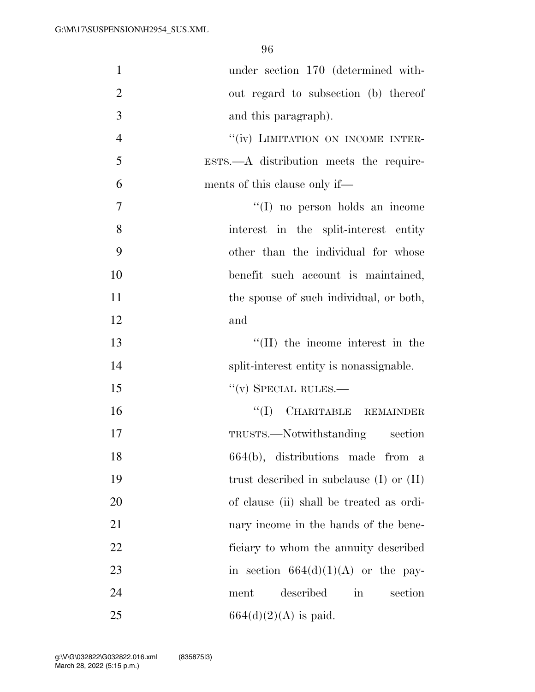| $\mathbf{1}$   | under section 170 (determined with-          |
|----------------|----------------------------------------------|
| $\overline{2}$ | out regard to subsection (b) thereof         |
| 3              | and this paragraph).                         |
| $\overline{4}$ | "(iv) LIMITATION ON INCOME INTER-            |
| 5              | $ESTS. - A$ distribution meets the require-  |
| 6              | ments of this clause only if—                |
| 7              | $\lq\lq$ (I) no person holds an income       |
| 8              | interest in the split-interest entity        |
| 9              | other than the individual for whose          |
| 10             | benefit such account is maintained,          |
| 11             | the spouse of such individual, or both,      |
| 12             | and                                          |
| 13             | $\lq\lq$ (II) the income interest in the     |
| 14             | split-interest entity is nonassignable.      |
| 15             | $``(v)$ SPECIAL RULES.—                      |
| 16             | "(I) CHARITABLE REMAINDER                    |
| 17             | TRUSTS.—Notwithstanding section              |
| 18             | 664(b), distributions made from a            |
| 19             | trust described in subclause $(I)$ or $(II)$ |
| 20             | of clause (ii) shall be treated as ordi-     |
| 21             | nary income in the hands of the bene-        |
| 22             | ficiary to whom the annuity described        |
| 23             | in section $664(d)(1)(A)$ or the pay-        |
| 24             | described<br>in<br>section<br>ment           |
| 25             | $664(d)(2)(A)$ is paid.                      |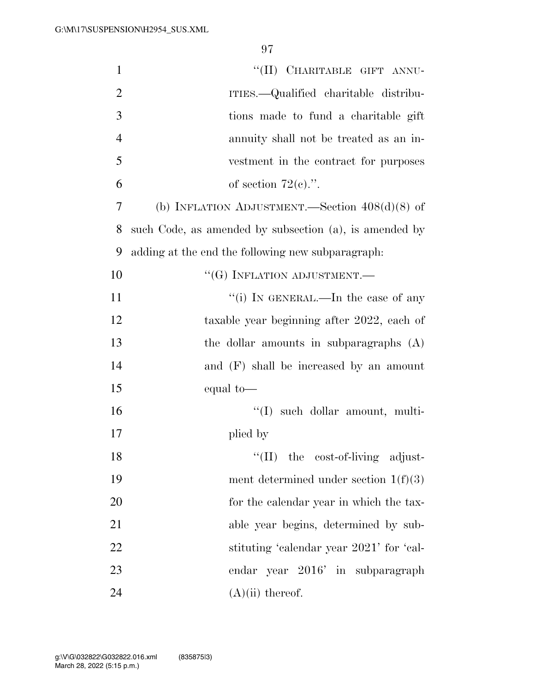| $\mathbf{1}$   | "(II) CHARITABLE GIFT ANNU-                            |
|----------------|--------------------------------------------------------|
| $\overline{2}$ | ITIES.—Qualified charitable distribu-                  |
| 3              | tions made to fund a charitable gift                   |
|                |                                                        |
| $\overline{4}$ | annuity shall not be treated as an in-                 |
| 5              | vestment in the contract for purposes                  |
| 6              | of section $72(e)$ .".                                 |
| 7              | (b) INFLATION ADJUSTMENT.—Section $408(d)(8)$ of       |
| 8              | such Code, as amended by subsection (a), is amended by |
| 9              | adding at the end the following new subparagraph:      |
| 10             | $``(G)$ INFLATION ADJUSTMENT.—                         |
| 11             | "(i) IN GENERAL.—In the case of any                    |
| 12             | taxable year beginning after 2022, each of             |
| 13             | the dollar amounts in subparagraphs $(A)$              |
| 14             | and $(F)$ shall be increased by an amount              |
| 15             | equal to-                                              |
| 16             | "(I) such dollar amount, multi-                        |
| 17             | plied by                                               |
| 18             | "(II) the cost-of-living adjust-                       |
| 19             | ment determined under section $1(f)(3)$                |
| 20             | for the calendar year in which the tax-                |
| 21             | able year begins, determined by sub-                   |
| 22             | stituting 'calendar year 2021' for 'cal-               |
| 23             | endar year 2016' in subparagraph                       |
| 24             | $(A)(ii)$ thereof.                                     |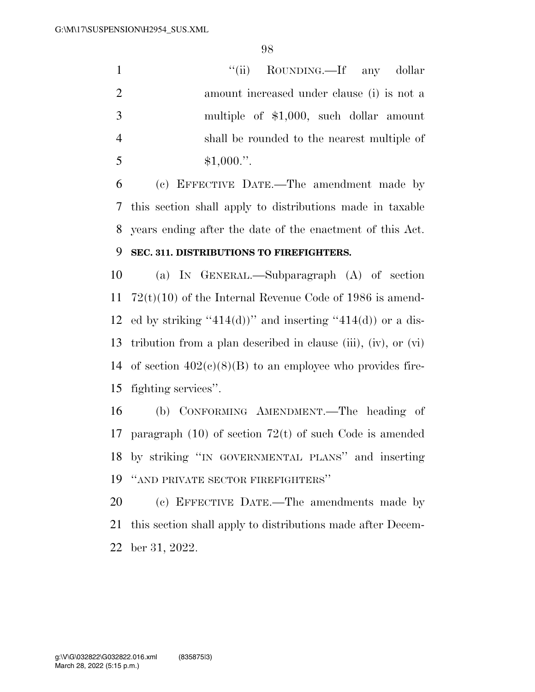1 ''(ii) ROUNDING.—If any dollar amount increased under clause (i) is not a multiple of \$1,000, such dollar amount shall be rounded to the nearest multiple of  $5 \qquad \qquad $1,000."$ 

 (c) EFFECTIVE DATE.—The amendment made by this section shall apply to distributions made in taxable years ending after the date of the enactment of this Act.

### **SEC. 311. DISTRIBUTIONS TO FIREFIGHTERS.**

 (a) IN GENERAL.—Subparagraph (A) of section 72(t)(10) of the Internal Revenue Code of 1986 is amend-12 ed by striking "414(d))" and inserting "414(d)) or a dis- tribution from a plan described in clause (iii), (iv), or (vi) 14 of section  $402(c)(8)(B)$  to an employee who provides fire-fighting services''.

 (b) CONFORMING AMENDMENT.—The heading of paragraph (10) of section 72(t) of such Code is amended by striking ''IN GOVERNMENTAL PLANS'' and inserting ''AND PRIVATE SECTOR FIREFIGHTERS''

 (c) EFFECTIVE DATE.—The amendments made by this section shall apply to distributions made after Decem-ber 31, 2022.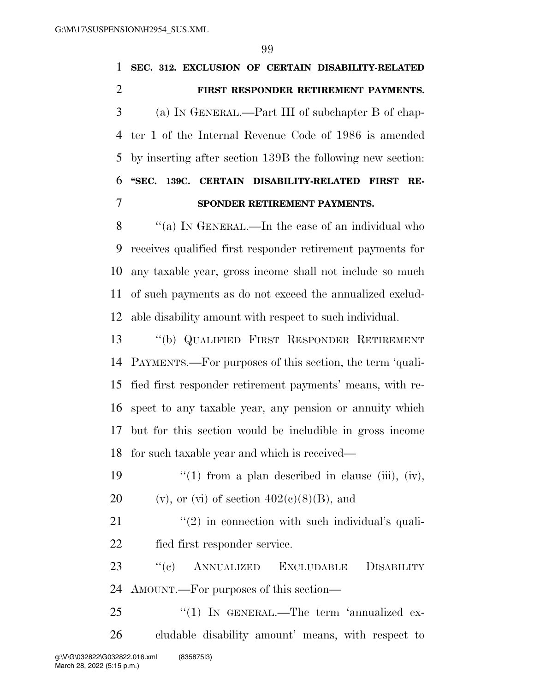|                | 99                                                         |
|----------------|------------------------------------------------------------|
| $\mathbf{1}$   | SEC. 312. EXCLUSION OF CERTAIN DISABILITY-RELATED          |
| $\overline{2}$ | FIRST RESPONDER RETIREMENT PAYMENTS.                       |
| 3              | (a) IN GENERAL.—Part III of subchapter B of chap-          |
| $\overline{4}$ | ter 1 of the Internal Revenue Code of 1986 is amended      |
| 5              | by inserting after section 139B the following new section. |
| 6              | "SEC. 139C. CERTAIN DISABILITY-RELATED FIRST<br>RE-        |
| 7              | SPONDER RETIREMENT PAYMENTS.                               |
| 8              | "(a) IN GENERAL.—In the case of an individual who          |
| 9              | receives qualified first responder retirement payments for |
| 10             | any taxable year, gross income shall not include so much   |
| 11             | of such payments as do not exceed the annualized exclud-   |
| 12             | able disability amount with respect to such individual.    |
| 13             | "(b) QUALIFIED FIRST RESPONDER RETIREMENT                  |
| 14             | PAYMENTS.—For purposes of this section, the term 'quali-   |
| 15             | fied first responder retirement payments' means, with re-  |
| 16             | spect to any taxable year, any pension or annuity which    |
| 17             | but for this section would be includible in gross income   |
| 18             | for such taxable year and which is received—               |
|                |                                                            |

19  $\frac{1}{2}$   $\frac{1}{2}$  from a plan described in clause (iii), (iv), 20 (v), or (vi) of section  $402(c)(8)(B)$ , and

21 ''(2) in connection with such individual's quali-fied first responder service.

 ''(c) ANNUALIZED EXCLUDABLE DISABILITY AMOUNT.—For purposes of this section—

25 "(1) IN GENERAL.—The term 'annualized ex- cludable disability amount' means, with respect to g:\V\G\032822\G032822.016.xml (835875|3)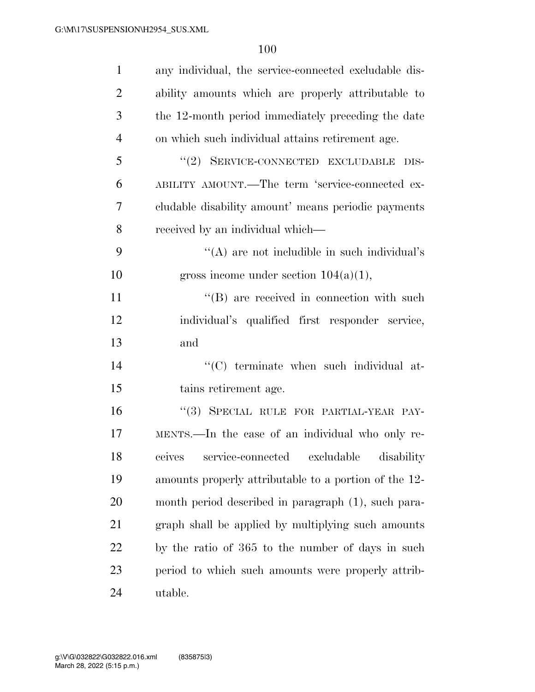| $\mathbf{1}$   | any individual, the service-connected excludable dis- |
|----------------|-------------------------------------------------------|
| $\overline{2}$ | ability amounts which are properly attributable to    |
| 3              | the 12-month period immediately preceding the date    |
| $\overline{4}$ | on which such individual attains retirement age.      |
| 5              | "(2) SERVICE-CONNECTED EXCLUDABLE DIS-                |
| 6              | ABILITY AMOUNT.—The term 'service-connected ex-       |
| 7              | cludable disability amount' means periodic payments   |
| 8              | received by an individual which—                      |
| 9              | "(A) are not includible in such individual's          |
| 10             | gross income under section $104(a)(1)$ ,              |
| 11             | "(B) are received in connection with such             |
| 12             | individual's qualified first responder service,       |
| 13             | and                                                   |
| 14             | "(C) terminate when such individual at-               |
| 15             | tains retirement age.                                 |
| 16             | "(3) SPECIAL RULE FOR PARTIAL-YEAR PAY-               |
| 17             | MENTS.—In the case of an individual who only re-      |
| 18             | ceives service-connected excludable disability        |
| 19             | amounts properly attributable to a portion of the 12- |
| 20             | month period described in paragraph (1), such para-   |
| 21             | graph shall be applied by multiplying such amounts    |
| 22             | by the ratio of 365 to the number of days in such     |
| 23             | period to which such amounts were properly attrib-    |
| 24             | utable.                                               |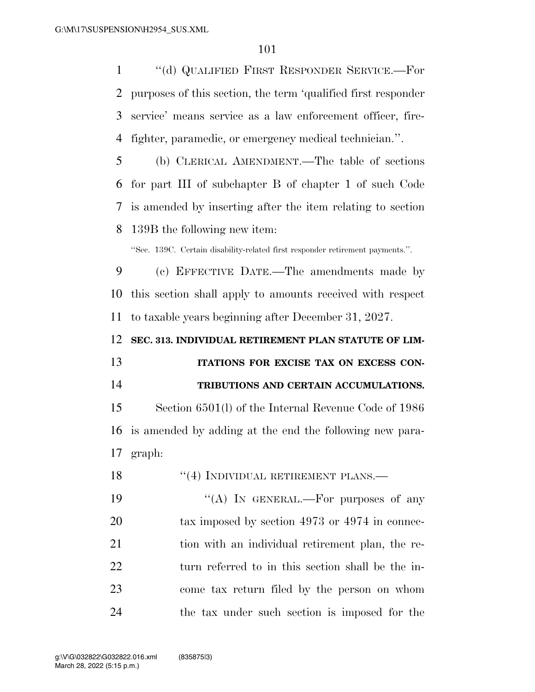''(d) QUALIFIED FIRST RESPONDER SERVICE.—For purposes of this section, the term 'qualified first responder service' means service as a law enforcement officer, fire-fighter, paramedic, or emergency medical technician.''.

 (b) CLERICAL AMENDMENT.—The table of sections for part III of subchapter B of chapter 1 of such Code is amended by inserting after the item relating to section 139B the following new item:

''Sec. 139C. Certain disability-related first responder retirement payments.''.

 (c) EFFECTIVE DATE.—The amendments made by this section shall apply to amounts received with respect to taxable years beginning after December 31, 2027.

**SEC. 313. INDIVIDUAL RETIREMENT PLAN STATUTE OF LIM-**

 **ITATIONS FOR EXCISE TAX ON EXCESS CON-TRIBUTIONS AND CERTAIN ACCUMULATIONS.** 

 Section 6501(l) of the Internal Revenue Code of 1986 is amended by adding at the end the following new para-graph:

18 "(4) INDIVIDUAL RETIREMENT PLANS.—

 $((A)$  In GENERAL.—For purposes of any 20 tax imposed by section 4973 or 4974 in connec-21 tion with an individual retirement plan, the re- turn referred to in this section shall be the in- come tax return filed by the person on whom the tax under such section is imposed for the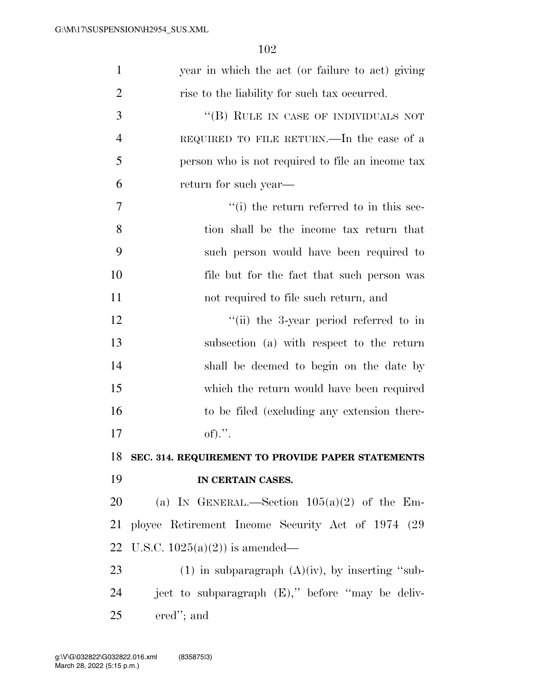| 1              | year in which the act (or failure to act) giving     |
|----------------|------------------------------------------------------|
| $\overline{2}$ | rise to the liability for such tax occurred.         |
| 3              | "(B) RULE IN CASE OF INDIVIDUALS NOT                 |
| $\overline{4}$ | REQUIRED TO FILE RETURN.—In the case of a            |
| 5              | person who is not required to file an income tax     |
| 6              | return for such year—                                |
| 7              | "(i) the return referred to in this sec-             |
| 8              | tion shall be the income tax return that             |
| 9              | such person would have been required to              |
| 10             | file but for the fact that such person was           |
| 11             | not required to file such return, and                |
| 12             | "(ii) the 3-year period referred to in               |
| 13             | subsection (a) with respect to the return            |
| 14             | shall be deemed to begin on the date by              |
| 15             | which the return would have been required            |
| 16             | to be filed (excluding any extension there-          |
| 17             | of).".                                               |
| 18             | SEC. 314. REQUIREMENT TO PROVIDE PAPER STATEMENTS    |
| 19             | IN CERTAIN CASES.                                    |
| 20             | (a) IN GENERAL.—Section $105(a)(2)$ of the Em-       |
| 21             | ployee Retirement Income Security Act of 1974 (29)   |
| 22             | U.S.C. $1025(a)(2)$ is amended—                      |
| 23             | $(1)$ in subparagraph $(A)(iv)$ , by inserting "sub- |
| 24             | ject to subparagraph (E)," before "may be deliv-     |
| 25             | ered"; and                                           |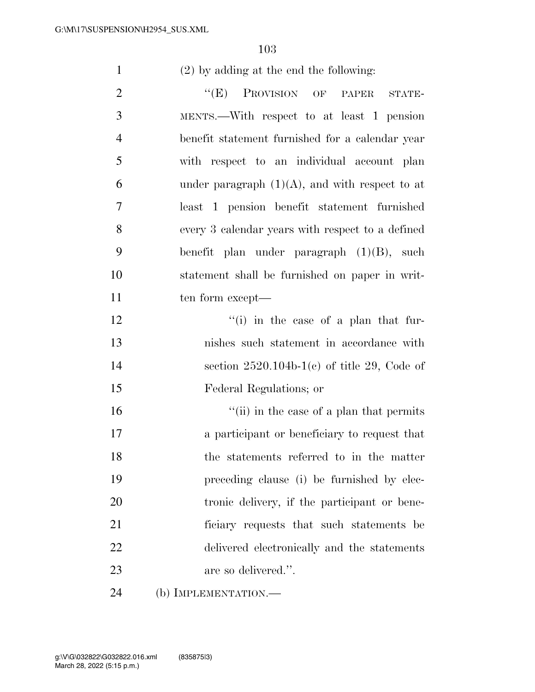(2) by adding at the end the following:

2 "(E) PROVISION OF PAPER STATE- MENTS.—With respect to at least 1 pension benefit statement furnished for a calendar year with respect to an individual account plan 6 under paragraph  $(1)(A)$ , and with respect to at least 1 pension benefit statement furnished every 3 calendar years with respect to a defined benefit plan under paragraph (1)(B), such statement shall be furnished on paper in writ-11 ten form except— 12 ''(i) in the case of a plan that fur- nishes such statement in accordance with section 2520.104b-1(c) of title 29, Code of Federal Regulations; or 16 ''(ii) in the case of a plan that permits a participant or beneficiary to request that the statements referred to in the matter preceding clause (i) be furnished by elec- tronic delivery, if the participant or bene- ficiary requests that such statements be delivered electronically and the statements

- are so delivered.''.
- (b) IMPLEMENTATION.—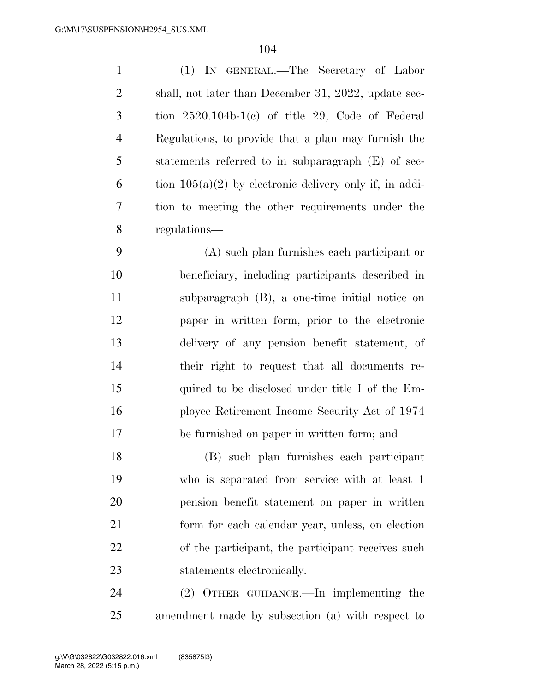| $\mathbf{1}$   | (1) IN GENERAL.—The Secretary of Labor                    |
|----------------|-----------------------------------------------------------|
| 2              | shall, not later than December 31, 2022, update sec-      |
| 3              | tion $2520.104b-1(c)$ of title 29, Code of Federal        |
| $\overline{4}$ | Regulations, to provide that a plan may furnish the       |
| 5              | statements referred to in subparagraph (E) of sec-        |
| 6              | tion $105(a)(2)$ by electronic delivery only if, in addi- |
| 7              | tion to meeting the other requirements under the          |
| 8              | regulations—                                              |
|                |                                                           |

 (A) such plan furnishes each participant or beneficiary, including participants described in subparagraph (B), a one-time initial notice on paper in written form, prior to the electronic delivery of any pension benefit statement, of their right to request that all documents re- quired to be disclosed under title I of the Em- ployee Retirement Income Security Act of 1974 be furnished on paper in written form; and

 (B) such plan furnishes each participant who is separated from service with at least 1 pension benefit statement on paper in written form for each calendar year, unless, on election of the participant, the participant receives such statements electronically.

 (2) OTHER GUIDANCE.—In implementing the amendment made by subsection (a) with respect to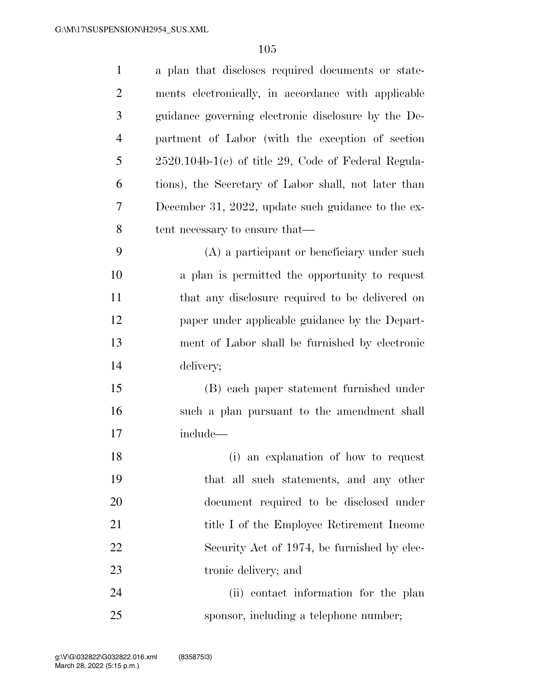| $\mathbf{1}$   | a plan that discloses required documents or state-    |
|----------------|-------------------------------------------------------|
| $\overline{2}$ | ments electronically, in accordance with applicable   |
| 3              | guidance governing electronic disclosure by the De-   |
| $\overline{4}$ | partment of Labor (with the exception of section      |
| 5              | $2520.104b-1(c)$ of title 29, Code of Federal Regula- |
| 6              | tions), the Secretary of Labor shall, not later than  |
| 7              | December 31, 2022, update such guidance to the ex-    |
| 8              | tent necessary to ensure that—                        |
| 9              | (A) a participant or beneficiary under such           |
| 10             | a plan is permitted the opportunity to request        |
| 11             | that any disclosure required to be delivered on       |
| 12             | paper under applicable guidance by the Depart-        |
| 13             | ment of Labor shall be furnished by electronic        |
| 14             | delivery;                                             |
| 15             | (B) each paper statement furnished under              |
| 16             | such a plan pursuant to the amendment shall           |
| 17             | include—                                              |
| 18             | (i) an explanation of how to request                  |
| 19             | that all such statements, and any other               |
| 20             | document required to be disclosed under               |
| 21             | title I of the Employee Retirement Income             |
| 22             | Security Act of 1974, be furnished by elec-           |
| 23             | tronic delivery; and                                  |
| 24             | (ii) contact information for the plan                 |
| 25             | sponsor, including a telephone number;                |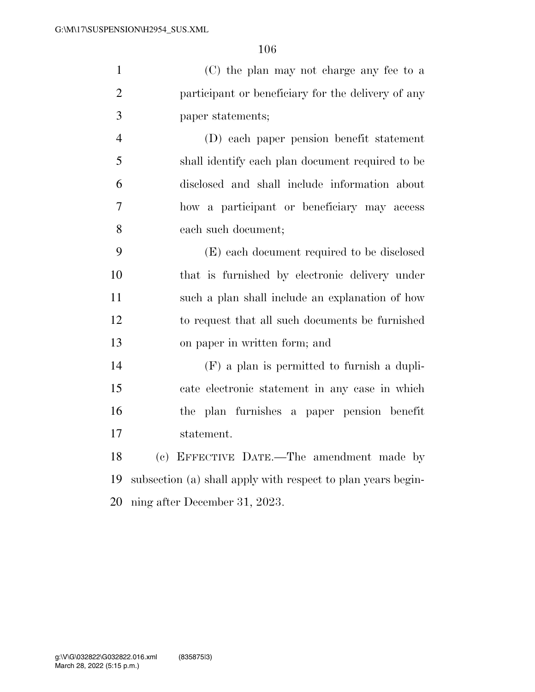|               | (C) the plan may not charge any fee to a           |
|---------------|----------------------------------------------------|
|               | participant or beneficiary for the delivery of any |
| $\mathcal{R}$ | paper statements;                                  |

 (D) each paper pension benefit statement shall identify each plan document required to be disclosed and shall include information about how a participant or beneficiary may access each such document;

 (E) each document required to be disclosed that is furnished by electronic delivery under such a plan shall include an explanation of how to request that all such documents be furnished on paper in written form; and

 (F) a plan is permitted to furnish a dupli- cate electronic statement in any case in which the plan furnishes a paper pension benefit statement.

 (c) EFFECTIVE DATE.—The amendment made by subsection (a) shall apply with respect to plan years begin-ning after December 31, 2023.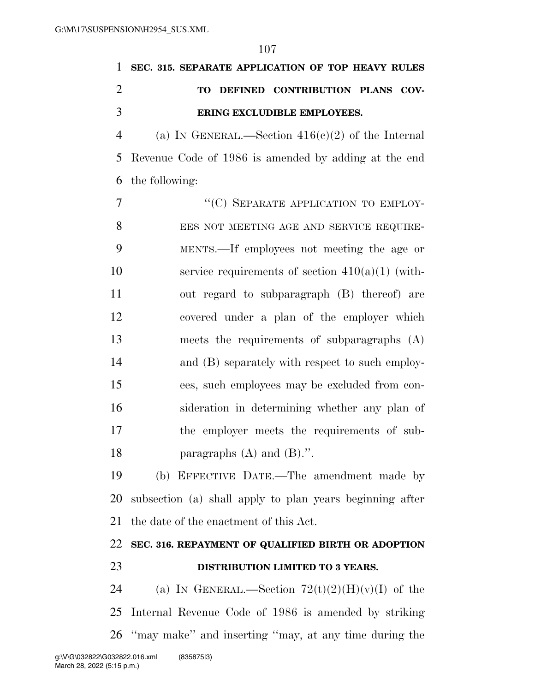| 1              | SEC. 315. SEPARATE APPLICATION OF TOP HEAVY RULES        |
|----------------|----------------------------------------------------------|
| $\overline{2}$ | TO DEFINED CONTRIBUTION PLANS COV-                       |
| 3              | ERING EXCLUDIBLE EMPLOYEES.                              |
| $\overline{4}$ | (a) IN GENERAL.—Section $416(c)(2)$ of the Internal      |
| 5              | Revenue Code of 1986 is amended by adding at the end     |
| 6              | the following:                                           |
| 7              | "(C) SEPARATE APPLICATION TO EMPLOY-                     |
| 8              | EES NOT MEETING AGE AND SERVICE REQUIRE-                 |
| 9              | MENTS.—If employees not meeting the age or               |
| 10             | service requirements of section $410(a)(1)$ (with-       |
| 11             | out regard to subparagraph (B) thereof) are              |
| 12             | covered under a plan of the employer which               |
| 13             | meets the requirements of subparagraphs $(A)$            |
| 14             | and (B) separately with respect to such employ-          |
| 15             | ees, such employees may be excluded from con-            |
| 16             | sideration in determining whether any plan of            |
| 17             | the employer meets the requirements of sub-              |
| 18             | paragraphs $(A)$ and $(B)$ .".                           |
| 19             | (b) EFFECTIVE DATE.—The amendment made by                |
| 20             | subsection (a) shall apply to plan years beginning after |
| 21             | the date of the enactment of this Act.                   |
| 22             | SEC. 316. REPAYMENT OF QUALIFIED BIRTH OR ADOPTION       |
| 23             | DISTRIBUTION LIMITED TO 3 YEARS.                         |
| 24             | (a) IN GENERAL.—Section $72(t)(2)(H)(v)(I)$ of the       |
| 25             | Internal Revenue Code of 1986 is amended by striking     |
| 26             | "may make" and inserting "may, at any time during the    |
|                |                                                          |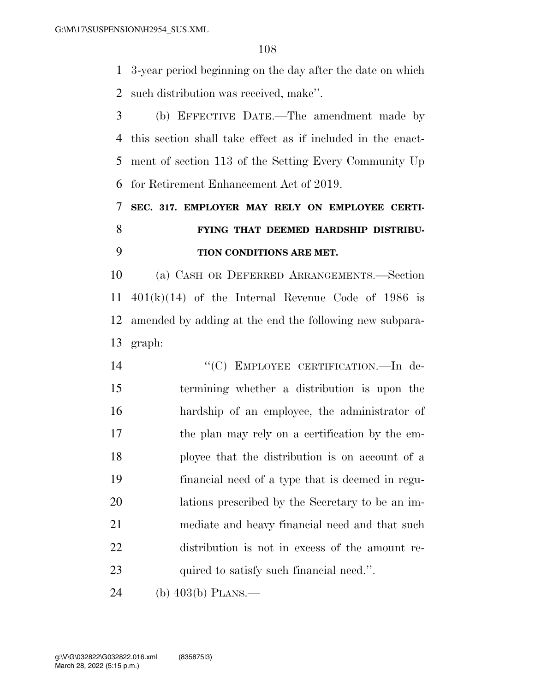3-year period beginning on the day after the date on which such distribution was received, make''.

 (b) EFFECTIVE DATE.—The amendment made by this section shall take effect as if included in the enact- ment of section 113 of the Setting Every Community Up for Retirement Enhancement Act of 2019.

 **SEC. 317. EMPLOYER MAY RELY ON EMPLOYEE CERTI- FYING THAT DEEMED HARDSHIP DISTRIBU-TION CONDITIONS ARE MET.** 

 (a) CASH OR DEFERRED ARRANGEMENTS.—Section  $401(k)(14)$  of the Internal Revenue Code of 1986 is amended by adding at the end the following new subpara-graph:

14 "(C) EMPLOYEE CERTIFICATION.—In de- termining whether a distribution is upon the hardship of an employee, the administrator of the plan may rely on a certification by the em- ployee that the distribution is on account of a financial need of a type that is deemed in regu- lations prescribed by the Secretary to be an im- mediate and heavy financial need and that such distribution is not in excess of the amount re-23 quired to satisfy such financial need.".

(b) 403(b) PLANS.—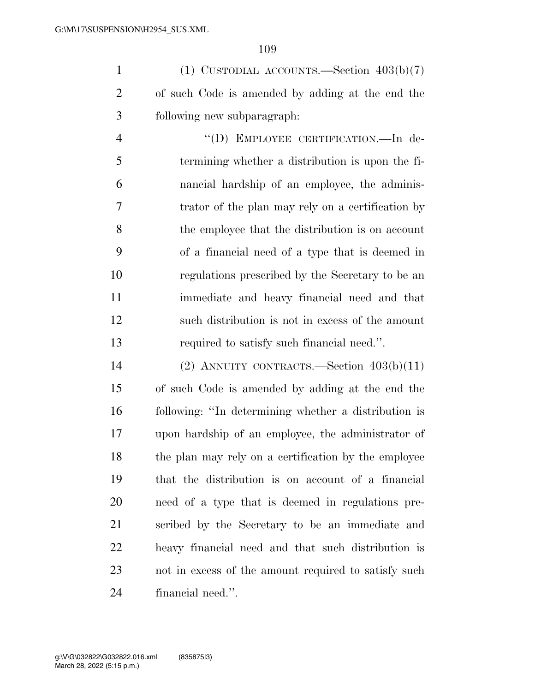1 (1) CUSTODIAL ACCOUNTS.—Section  $403(b)(7)$  of such Code is amended by adding at the end the following new subparagraph:

 ''(D) EMPLOYEE CERTIFICATION.—In de- termining whether a distribution is upon the fi- nancial hardship of an employee, the adminis- trator of the plan may rely on a certification by the employee that the distribution is on account of a financial need of a type that is deemed in regulations prescribed by the Secretary to be an immediate and heavy financial need and that such distribution is not in excess of the amount required to satisfy such financial need.''.

 (2) ANNUITY CONTRACTS.—Section 403(b)(11) of such Code is amended by adding at the end the following: ''In determining whether a distribution is upon hardship of an employee, the administrator of the plan may rely on a certification by the employee that the distribution is on account of a financial need of a type that is deemed in regulations pre- scribed by the Secretary to be an immediate and heavy financial need and that such distribution is not in excess of the amount required to satisfy such financial need.''.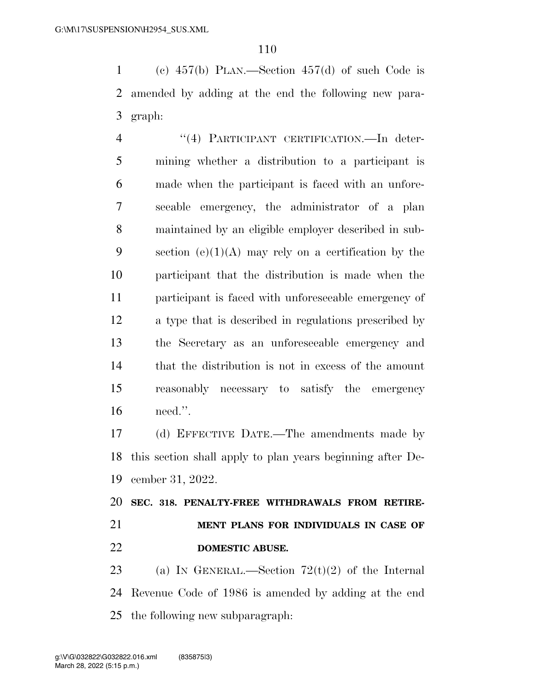(c) 457(b) PLAN.—Section 457(d) of such Code is amended by adding at the end the following new para-graph:

4 "(4) PARTICIPANT CERTIFICATION.—In deter- mining whether a distribution to a participant is made when the participant is faced with an unfore- seeable emergency, the administrator of a plan maintained by an eligible employer described in sub-9 section  $(e)(1)(A)$  may rely on a certification by the participant that the distribution is made when the participant is faced with unforeseeable emergency of a type that is described in regulations prescribed by the Secretary as an unforeseeable emergency and that the distribution is not in excess of the amount reasonably necessary to satisfy the emergency need.''.

 (d) EFFECTIVE DATE.—The amendments made by this section shall apply to plan years beginning after De-cember 31, 2022.

 **SEC. 318. PENALTY-FREE WITHDRAWALS FROM RETIRE- MENT PLANS FOR INDIVIDUALS IN CASE OF DOMESTIC ABUSE.** 

23 (a) IN GENERAL.—Section  $72(t)(2)$  of the Internal Revenue Code of 1986 is amended by adding at the end the following new subparagraph: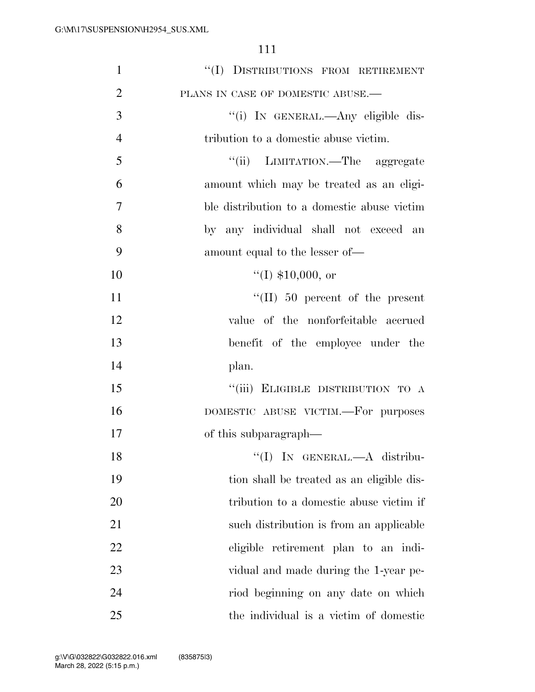| $\mathbf{1}$   | "(I) DISTRIBUTIONS FROM RETIREMENT          |
|----------------|---------------------------------------------|
| $\overline{2}$ | PLANS IN CASE OF DOMESTIC ABUSE.-           |
| 3              | "(i) IN GENERAL.—Any eligible dis-          |
| $\overline{4}$ | tribution to a domestic abuse victim.       |
| 5              | "(ii) LIMITATION.—The aggregate             |
| 6              | amount which may be treated as an eligi-    |
| 7              | ble distribution to a domestic abuse victim |
| 8              | by any individual shall not exceed an       |
| 9              | amount equal to the lesser of—              |
| 10             | $(1)$ \$10,000, or                          |
| 11             | $\lq\lq$ (II) 50 percent of the present     |
| 12             | value of the nonforfeitable accrued         |
| 13             | benefit of the employee under the           |
| 14             | plan.                                       |
| 15             | "(iii) ELIGIBLE DISTRIBUTION TO A           |
| 16             | DOMESTIC ABUSE VICTIM.—For purposes         |
| 17             | of this subparagraph—                       |
| 18             | "(I) IN GENERAL.-A distribu-                |
| 19             | tion shall be treated as an eligible dis-   |
| 20             | tribution to a domestic abuse victim if     |
| 21             | such distribution is from an applicable     |
| 22             | eligible retirement plan to an indi-        |
| 23             | vidual and made during the 1-year pe-       |
| 24             | riod beginning on any date on which         |
| 25             | the individual is a victim of domestic      |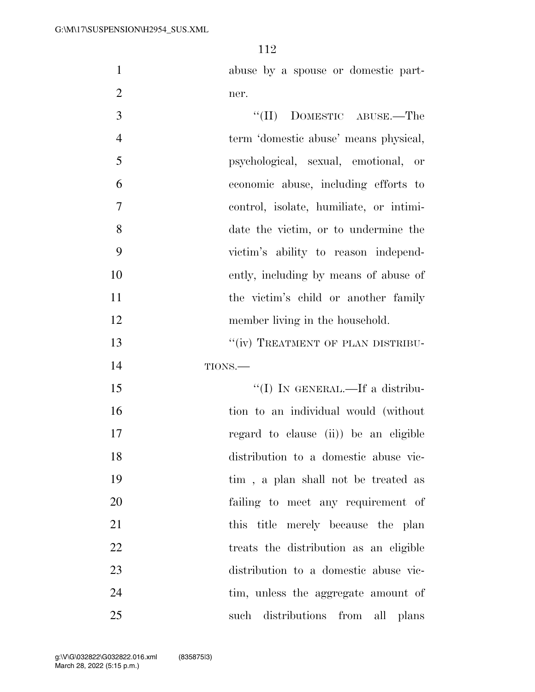abuse by a spouse or domestic part-ner.

| 3              | $``(II)$ DOMESTIC ABUSE.—The            |
|----------------|-----------------------------------------|
| $\overline{4}$ | term 'domestic abuse' means physical,   |
| 5              | psychological, sexual, emotional, or    |
| 6              | economic abuse, including efforts to    |
| 7              | control, isolate, humiliate, or intimi- |
| 8              | date the victim, or to undermine the    |
| 9              | victim's ability to reason independ-    |
| 10             | ently, including by means of abuse of   |
| 11             | the victim's child or another family    |
| 12             | member living in the household.         |
| 13             | "(iv) TREATMENT OF PLAN DISTRIBU-       |
| 14             | TIONS.                                  |
| 15             | "(I) IN GENERAL.—If a distribu-         |
| 16             | tion to an individual would (without    |
| 17             | regard to clause (ii)) be an eligible   |
| 18             | distribution to a domestic abuse vic-   |
| 19             | tim, a plan shall not be treated as     |
| 20             | failing to meet any requirement of      |
| 21             | this title merely because the plan      |
| 22             | treats the distribution as an eligible  |
| 23             | distribution to a domestic abuse vic-   |
| 24             | tim, unless the aggregate amount of     |
| 25             | distributions from<br>such<br>all plans |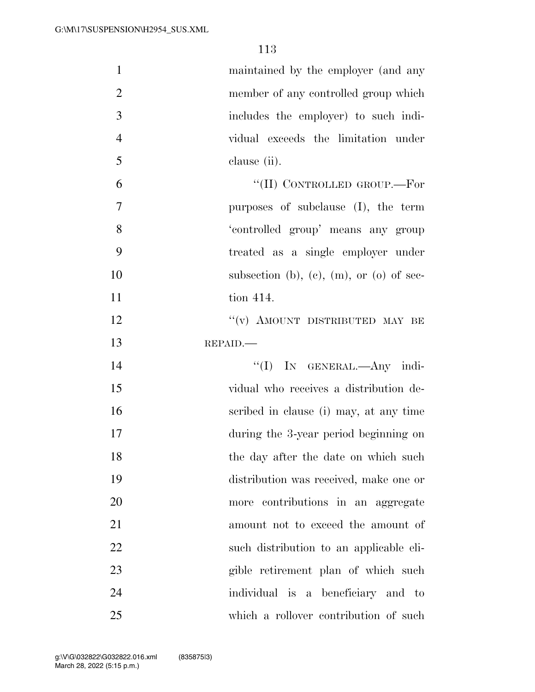| $\mathbf{1}$   | maintained by the employer (and any      |
|----------------|------------------------------------------|
| $\overline{2}$ | member of any controlled group which     |
| 3              | includes the employer) to such indi-     |
| $\overline{4}$ | vidual exceeds the limitation under      |
| 5              | clause (ii).                             |
| 6              | "(II) CONTROLLED GROUP.—For              |
| 7              | purposes of subclause (I), the term      |
| 8              | 'controlled group' means any group       |
| 9              | treated as a single employer under       |
| 10             | subsection (b), (c), (m), or (o) of sec- |
| 11             | tion 414.                                |
| 12             | "(v) AMOUNT DISTRIBUTED MAY BE           |
| 13             | REPAID.                                  |
| 14             | "(I) IN GENERAL.—Any indi-               |
| 15             | vidual who receives a distribution de-   |
| 16             | scribed in clause (i) may, at any time   |
| 17             | during the 3-year period beginning on    |
| 18             | the day after the date on which such     |
| 19             | distribution was received, make one or   |
| 20             | more contributions in an aggregate       |
| 21             | amount not to exceed the amount of       |
| 22             | such distribution to an applicable eli-  |
| 23             | gible retirement plan of which such      |
| 24             | individual is a beneficiary and to       |
| 25             | which a rollover contribution of such    |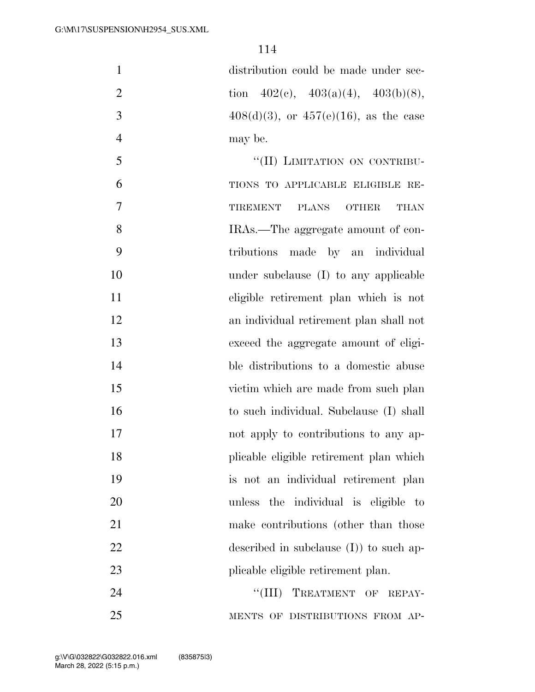| $\mathbf{1}$   | distribution could be made under sec-       |
|----------------|---------------------------------------------|
| $\overline{2}$ | tion $402(c)$ , $403(a)(4)$ , $403(b)(8)$ , |
| 3              | $408(d)(3)$ , or $457(e)(16)$ , as the case |
| $\overline{4}$ | may be.                                     |
| 5              | "(II) LIMITATION ON CONTRIBU-               |
| 6              | TIONS TO APPLICABLE ELIGIBLE RE-            |
| 7              | TIREMENT PLANS OTHER<br><b>THAN</b>         |
| 8              | IRAs.—The aggregate amount of con-          |
| 9              | tributions made by an individual            |
| 10             | under subclause $(I)$ to any applicable     |
| 11             | eligible retirement plan which is not       |
| 12             | an individual retirement plan shall not     |
| 13             | exceed the aggregate amount of eligi-       |
| 14             | ble distributions to a domestic abuse       |
| 15             | victim which are made from such plan        |
| 16             | to such individual. Subclause (I) shall     |
| 17             | not apply to contributions to any ap-       |
| 18             | plicable eligible retirement plan which     |
| 19             | is not an individual retirement plan        |
| 20             | unless the individual is eligible to        |
| 21             | make contributions (other than those        |
| 22             | described in subclause $(I)$ to such ap-    |
| 23             | plicable eligible retirement plan.          |
| 24             | "(III) TREATMENT OF REPAY-                  |
| 25             | MENTS OF DISTRIBUTIONS FROM AP-             |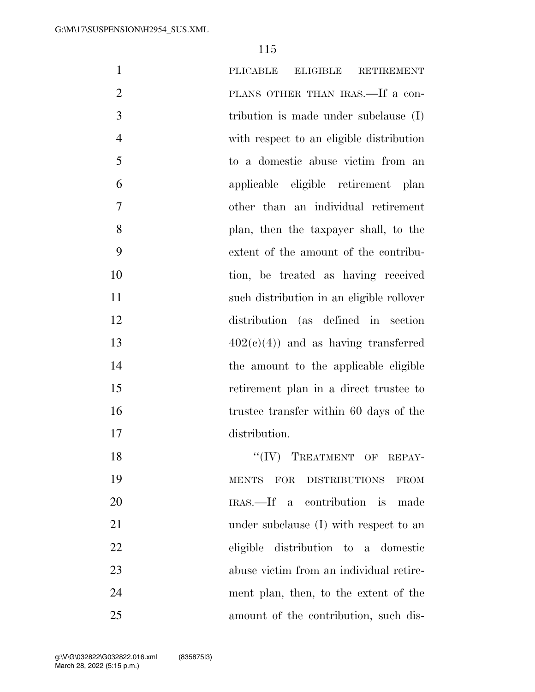| $\mathbf{1}$   | PLICABLE<br><b>ELIGIBLE</b><br><b>RETIREMENT</b>                            |
|----------------|-----------------------------------------------------------------------------|
| $\overline{2}$ | PLANS OTHER THAN IRAS.—If a con-                                            |
| 3              | tribution is made under subclause $(I)$                                     |
| $\overline{4}$ | with respect to an eligible distribution                                    |
| 5              | to a domestic abuse victim from an                                          |
| 6              | applicable eligible retirement plan                                         |
| 7              | other than an individual retirement                                         |
| 8              | plan, then the taxpayer shall, to the                                       |
| 9              | extent of the amount of the contribu-                                       |
| 10             | tion, be treated as having received                                         |
| 11             | such distribution in an eligible rollover                                   |
| 12             | distribution (as defined in section                                         |
| 13             | $402(c)(4)$ and as having transferred                                       |
| 14             | the amount to the applicable eligible                                       |
| 15             | retirement plan in a direct trustee to                                      |
| 16             | trustee transfer within 60 days of the                                      |
| 17             | distribution.                                                               |
| 18             | $``(IV)$ TREATMENT OF REPAY-                                                |
| 19             | <b>DISTRIBUTIONS</b><br>$\operatorname{MENTS}$<br><b>FOR</b><br><b>FROM</b> |
| 20             | IRAS.—If a contribution is made                                             |
| 21             | under subclause (I) with respect to an                                      |
| 22             | eligible distribution to a domestic                                         |
| 23             | abuse victim from an individual retire-                                     |
| 24             | ment plan, then, to the extent of the                                       |
| 25             | amount of the contribution, such dis-                                       |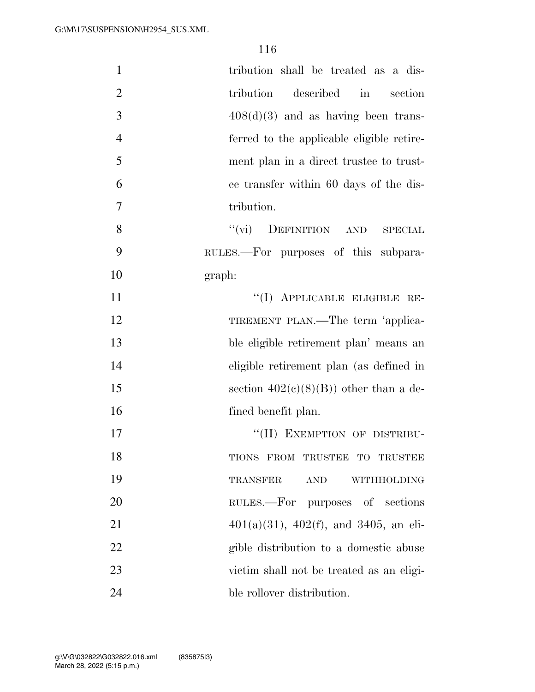| $\mathbf{1}$   | tribution shall be treated as a dis-           |
|----------------|------------------------------------------------|
| $\overline{2}$ | described in<br>tribution<br>section           |
| 3              | $408(d)(3)$ and as having been trans-          |
| $\overline{4}$ | ferred to the applicable eligible retire-      |
| 5              | ment plan in a direct trustee to trust-        |
| 6              | ee transfer within 60 days of the dis-         |
| 7              | tribution.                                     |
| 8              | ``(vi)<br>DEFINITION AND<br><b>SPECIAL</b>     |
| 9              | RULES.—For purposes of this subpara-           |
| 10             | graph:                                         |
| 11             | "(I) APPLICABLE ELIGIBLE RE-                   |
| 12             | TIREMENT PLAN.—The term 'applica-              |
| 13             | ble eligible retirement plan' means an         |
| 14             | eligible retirement plan (as defined in        |
| 15             | section $402(c)(8)(B)$ other than a de-        |
| 16             | fined benefit plan.                            |
| 17             | "(II) EXEMPTION OF DISTRIBU-                   |
| 18             | TIONS FROM TRUSTEE TO TRUSTEE                  |
| 19             | <b>TRANSFER</b><br><b>AND</b><br>WITHHOLDING   |
| 20             | RULES.—For purposes of sections                |
| 21             | $401(a)(31)$ , $402(f)$ , and $3405$ , an eli- |
| 22             | gible distribution to a domestic abuse         |
| 23             | victim shall not be treated as an eligi-       |
| 24             | ble rollover distribution.                     |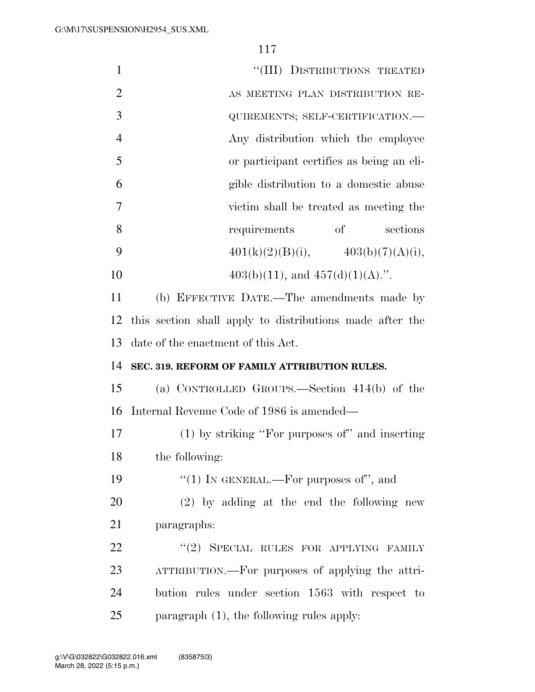| $\mathbf{1}$   | "(III) DISTRIBUTIONS TREATED                             |
|----------------|----------------------------------------------------------|
| $\overline{2}$ | AS MEETING PLAN DISTRIBUTION RE-                         |
| 3              | QUIREMENTS; SELF-CERTIFICATION.-                         |
| $\overline{4}$ | Any distribution which the employee                      |
| 5              | or participant certifies as being an eli-                |
| 6              | gible distribution to a domestic abuse                   |
| $\overline{7}$ | victim shall be treated as meeting the                   |
| 8              | <sub>of</sub><br>requirements<br>sections                |
| 9              | $401(k)(2)(B)(i),$ $403(b)(7)(A)(i),$                    |
| 10             | $403(b)(11)$ , and $457(d)(1)(A)$ .".                    |
| 11             | (b) EFFECTIVE DATE.—The amendments made by               |
| 12             | this section shall apply to distributions made after the |
| 13             | date of the enactment of this Act.                       |
| 14             | SEC. 319. REFORM OF FAMILY ATTRIBUTION RULES.            |
| 15             | (a) CONTROLLED GROUPS.—Section $414(b)$ of the           |
| 16             | Internal Revenue Code of 1986 is amended—                |
| 17             | $(1)$ by striking "For purposes of" and inserting        |
| 18             | the following:                                           |
| 19             | "(1) IN GENERAL.—For purposes of", and                   |
| 20             | $(2)$ by adding at the end the following new             |
| 21             | paragraphs:                                              |
| 22             | "(2) SPECIAL RULES FOR APPLYING FAMILY                   |
| 23             | ATTRIBUTION.—For purposes of applying the attri-         |
| 24             | bution rules under section 1563 with respect to          |
| 25             | paragraph $(1)$ , the following rules apply:             |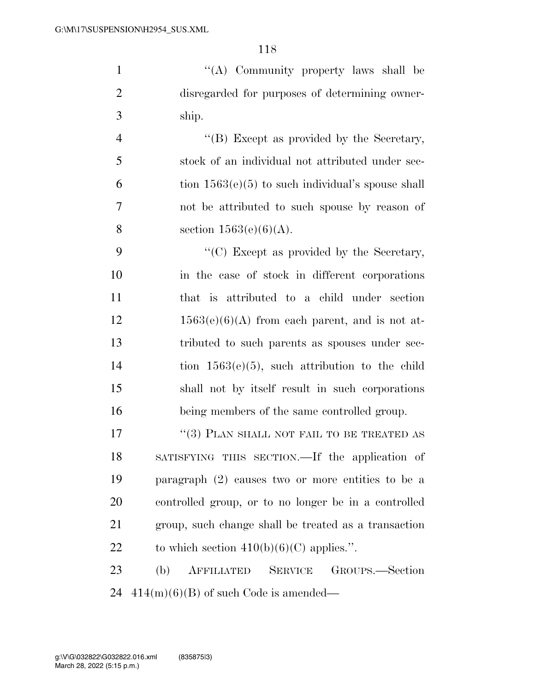''(A) Community property laws shall be disregarded for purposes of determining owner-ship.

4 ''(B) Except as provided by the Secretary, stock of an individual not attributed under sec- $6 \t{ion} 1563(e)(5)$  to such individual's spouse shall not be attributed to such spouse by reason of 8 section  $1563(e)(6)(A)$ .

9 ''(C) Except as provided by the Secretary, in the case of stock in different corporations that is attributed to a child under section  $12 \t 1563(e)(6)(A)$  from each parent, and is not at- tributed to such parents as spouses under sec- tion 1563(e)(5), such attribution to the child shall not by itself result in such corporations being members of the same controlled group.

17 ''(3) PLAN SHALL NOT FAIL TO BE TREATED AS SATISFYING THIS SECTION.—If the application of paragraph (2) causes two or more entities to be a controlled group, or to no longer be in a controlled group, such change shall be treated as a transaction 22 to which section  $410(b)(6)(C)$  applies.".

 (b) AFFILIATED SERVICE GROUPS.—Section 24  $414(m)(6)(B)$  of such Code is amended—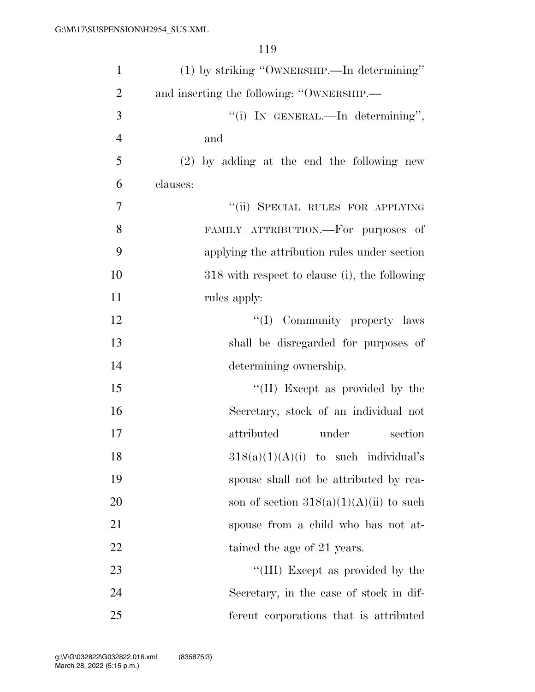| $\mathbf{1}$   | (1) by striking "OWNERSHIP.—In determining"   |
|----------------|-----------------------------------------------|
| $\overline{2}$ | and inserting the following: "OWNERSHIP.—     |
| 3              | "(i) IN GENERAL.—In determining",             |
| $\overline{4}$ | and                                           |
| 5              | $(2)$ by adding at the end the following new  |
| 6              | clauses:                                      |
| 7              | "(ii) SPECIAL RULES FOR APPLYING              |
| 8              | FAMILY ATTRIBUTION.—For purposes of           |
| 9              | applying the attribution rules under section  |
| 10             | 318 with respect to clause (i), the following |
| 11             | rules apply:                                  |
| 12             | "(I) Community property laws                  |
| 13             | shall be disregarded for purposes of          |
| 14             | determining ownership.                        |
| 15             | "(II) Except as provided by the               |
| 16             | Secretary, stock of an individual not         |
| 17             | attributed<br>under<br>section                |
| 18             | $318(a)(1)(A)(i)$ to such individual's        |
| 19             | spouse shall not be attributed by rea-        |
| 20             | son of section $318(a)(1)(A)(ii)$ to such     |
| 21             | spouse from a child who has not at-           |
| 22             | tained the age of 21 years.                   |
| 23             | "(III) Except as provided by the              |
| 24             | Secretary, in the case of stock in dif-       |
| 25             | ferent corporations that is attributed        |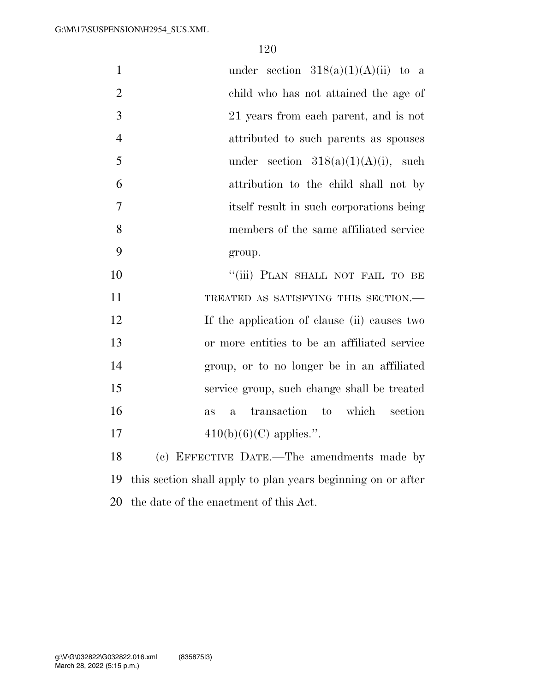| $\mathbf{1}$   | under section $318(a)(1)(A)(ii)$ to a                        |
|----------------|--------------------------------------------------------------|
| $\overline{2}$ | child who has not attained the age of                        |
| 3              | 21 years from each parent, and is not                        |
| $\overline{4}$ | attributed to such parents as spouses                        |
| 5              | under section $318(a)(1)(A)(i)$ , such                       |
| 6              | attribution to the child shall not by                        |
| 7              | itself result in such corporations being                     |
| 8              | members of the same affiliated service                       |
| 9              | group.                                                       |
| 10             | "(iii) PLAN SHALL NOT FAIL TO BE                             |
| 11             | TREATED AS SATISFYING THIS SECTION.-                         |
| 12             | If the application of clause (ii) causes two                 |
| 13             | or more entities to be an affiliated service                 |
| 14             | group, or to no longer be in an affiliated                   |
| 15             | service group, such change shall be treated                  |
| 16             | transaction to which<br>section<br>as<br>$\mathbf{a}$        |
| 17             | $410(b)(6)(C)$ applies.".                                    |
| 18             | (c) EFFECTIVE DATE.—The amendments made by                   |
| 19             | this section shall apply to plan years beginning on or after |

the date of the enactment of this Act.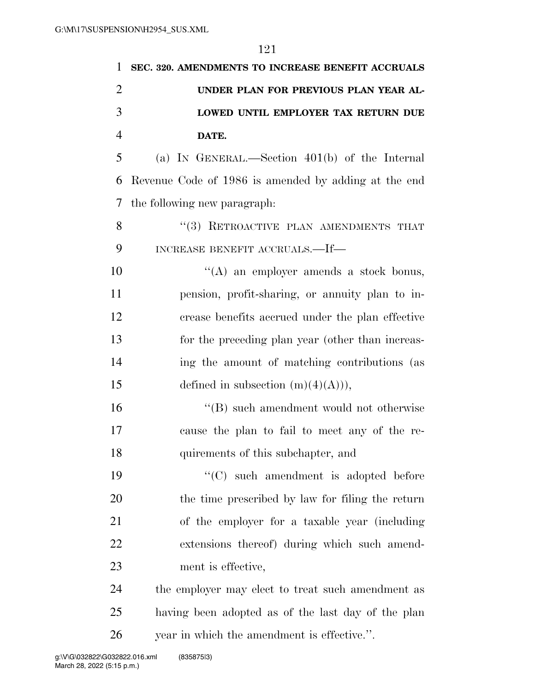| 1              | SEC. 320. AMENDMENTS TO INCREASE BENEFIT ACCRUALS    |
|----------------|------------------------------------------------------|
| $\overline{2}$ | UNDER PLAN FOR PREVIOUS PLAN YEAR AL-                |
| 3              | LOWED UNTIL EMPLOYER TAX RETURN DUE                  |
| $\overline{4}$ | DATE.                                                |
| 5              | (a) IN GENERAL.—Section $401(b)$ of the Internal     |
| 6              | Revenue Code of 1986 is amended by adding at the end |
| 7              | the following new paragraph.                         |
| 8              | "(3) RETROACTIVE PLAN AMENDMENTS THAT                |
| 9              | INCREASE BENEFIT ACCRUALS.—If—                       |
| 10             | "(A) an employer amends a stock bonus,               |
| 11             | pension, profit-sharing, or annuity plan to in-      |
| 12             | crease benefits accrued under the plan effective     |
| 13             | for the preceding plan year (other than increas-     |
| 14             | ing the amount of matching contributions (as         |
| 15             | defined in subsection $(m)(4)(A)),$                  |
| 16             | "(B) such amendment would not otherwise              |
| 17             | cause the plan to fail to meet any of the re-        |
| 18             | quirements of this subchapter, and                   |
| 19             | "(C) such amendment is adopted before                |
| 20             | the time prescribed by law for filing the return     |
| 21             | of the employer for a taxable year (including        |
| 22             | extensions thereof) during which such amend-         |
| 23             | ment is effective,                                   |
| 24             | the employer may elect to treat such amendment as    |
| 25             | having been adopted as of the last day of the plan   |
| 26             | year in which the amendment is effective.".          |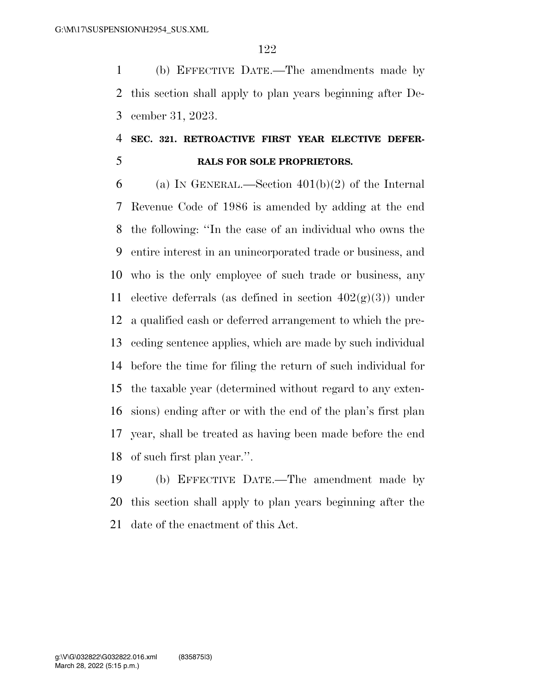(b) EFFECTIVE DATE.—The amendments made by this section shall apply to plan years beginning after De-cember 31, 2023.

## **SEC. 321. RETROACTIVE FIRST YEAR ELECTIVE DEFER-RALS FOR SOLE PROPRIETORS.**

6 (a) IN GENERAL.—Section  $401(b)(2)$  of the Internal Revenue Code of 1986 is amended by adding at the end the following: ''In the case of an individual who owns the entire interest in an unincorporated trade or business, and who is the only employee of such trade or business, any 11 elective deferrals (as defined in section  $402(g)(3)$ ) under a qualified cash or deferred arrangement to which the pre- ceding sentence applies, which are made by such individual before the time for filing the return of such individual for the taxable year (determined without regard to any exten- sions) ending after or with the end of the plan's first plan year, shall be treated as having been made before the end of such first plan year.''.

 (b) EFFECTIVE DATE.—The amendment made by this section shall apply to plan years beginning after the date of the enactment of this Act.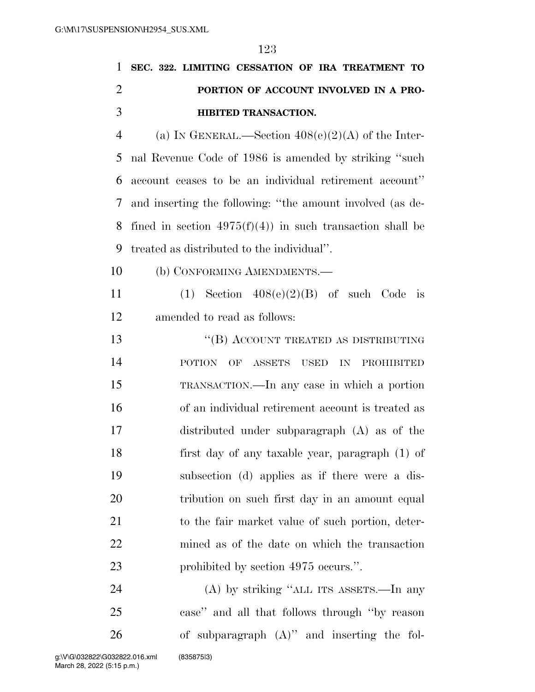|                | 1 SEC. 322. LIMITING CESSATION OF IRA TREATMENT TO      |
|----------------|---------------------------------------------------------|
| 2              | PORTION OF ACCOUNT INVOLVED IN A PRO-                   |
| -3             | <b>HIBITED TRANSACTION.</b>                             |
| $\overline{4}$ | (a) IN GENERAL.—Section $408(e)(2)(A)$ of the Inter-    |
|                | 5 nal Revenue Code of 1986 is amended by striking "such |

 account ceases to be an individual retirement account'' and inserting the following: ''the amount involved (as de-8 fined in section  $4975(f)(4)$  in such transaction shall be treated as distributed to the individual''.

(b) CONFORMING AMENDMENTS.—

11 (1) Section  $408(e)(2)(B)$  of such Code is amended to read as follows:

13 "(B) ACCOUNT TREATED AS DISTRIBUTING POTION OF ASSETS USED IN PROHIBITED TRANSACTION.—In any case in which a portion of an individual retirement account is treated as distributed under subparagraph (A) as of the first day of any taxable year, paragraph (1) of subsection (d) applies as if there were a dis-20 tribution on such first day in an amount equal to the fair market value of such portion, deter- mined as of the date on which the transaction 23 prohibited by section 4975 occurs.".

 (A) by striking ''ALL ITS ASSETS.—In any case'' and all that follows through ''by reason of subparagraph (A)'' and inserting the fol-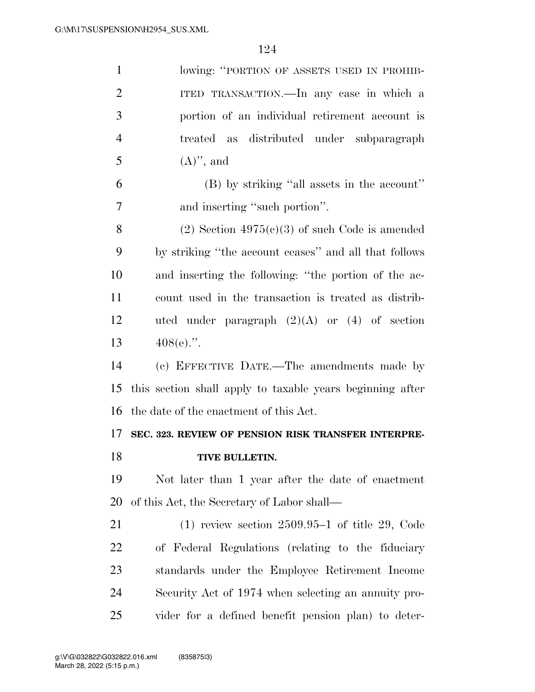| $\mathbf{1}$   | lowing: "PORTION OF ASSETS USED IN PROHIB-                |
|----------------|-----------------------------------------------------------|
| $\overline{2}$ | ITED TRANSACTION.—In any case in which a                  |
| 3              | portion of an individual retirement account is            |
| $\overline{4}$ | treated as distributed under subparagraph                 |
| 5              | $(A)$ , and                                               |
| 6              | (B) by striking "all assets in the account"               |
| 7              | and inserting "such portion".                             |
| 8              | $(2)$ Section 4975 $(e)(3)$ of such Code is amended       |
| 9              | by striking "the account ceases" and all that follows     |
| 10             | and inserting the following: "the portion of the ac-      |
| 11             | count used in the transaction is treated as distrib-      |
| 12             | uted under paragraph $(2)(A)$ or $(4)$ of section         |
| 13             | $408(e)$ .".                                              |
|                |                                                           |
| 14             | (c) EFFECTIVE DATE.—The amendments made by                |
| 15             | this section shall apply to taxable years beginning after |
| 16             | the date of the enactment of this Act.                    |
| 17             | SEC. 323. REVIEW OF PENSION RISK TRANSFER INTERPRE-       |
| 18             | TIVE BULLETIN.                                            |
| 19             | Not later than 1 year after the date of enactment         |
| 20             | of this Act, the Secretary of Labor shall—                |
| 21             | $(1)$ review section 2509.95–1 of title 29, Code          |
| 22             | of Federal Regulations (relating to the fiduciary         |
| 23             | standards under the Employee Retirement Income            |
| 24             | Security Act of 1974 when selecting an annuity pro-       |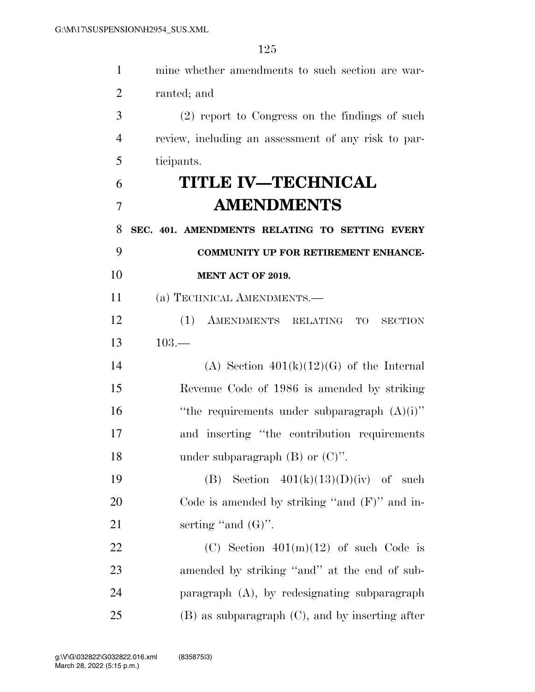| $\mathbf{1}$ | mine whether amendments to such section are war-     |
|--------------|------------------------------------------------------|
| 2            | ranted; and                                          |
| 3            | (2) report to Congress on the findings of such       |
| 4            | review, including an assessment of any risk to par-  |
| 5            | ticipants.                                           |
| 6            | <b>TITLE IV—TECHNICAL</b>                            |
| 7            | <b>AMENDMENTS</b>                                    |
| 8            | SEC. 401. AMENDMENTS RELATING TO SETTING EVERY       |
| 9            | <b>COMMUNITY UP FOR RETIREMENT ENHANCE-</b>          |
| 10           | MENT ACT OF 2019.                                    |
| 11           | (a) TECHNICAL AMENDMENTS.—                           |
| 12           | (1)<br>AMENDMENTS RELATING<br>TO<br><b>SECTION</b>   |
| 13           | $103 -$                                              |
| 14           | (A) Section $401(k)(12)(G)$ of the Internal          |
| 15           | Revenue Code of 1986 is amended by striking          |
| 16           | "the requirements under subparagraph $(A)(i)$ "      |
| 17           | and inserting "the contribution requirements"        |
| 18           | under subparagraph $(B)$ or $(C)$ ".                 |
| 19           | Section $401(k)(13)(D)(iv)$ of such<br>(B)           |
| 20           | Code is amended by striking "and $(F)$ " and in-     |
| 21           | serting "and $(G)$ ".                                |
| 22           | (C) Section $401(m)(12)$ of such Code is             |
| 23           | amended by striking "and" at the end of sub-         |
| 24           | paragraph (A), by redesignating subparagraph         |
| 25           | $(B)$ as subparagraph $(C)$ , and by inserting after |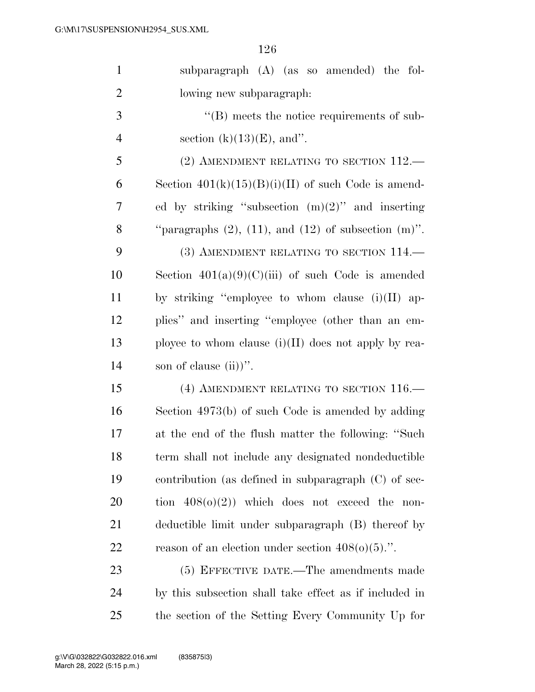| $\mathbf{1}$   | subparagraph (A) (as so amended) the fol-                      |
|----------------|----------------------------------------------------------------|
| $\overline{2}$ | lowing new subparagraph:                                       |
| 3              | $\lq\lq (B)$ meets the notice requirements of sub-             |
| $\overline{4}$ | section $(k)(13)(E)$ , and".                                   |
| 5              | (2) AMENDMENT RELATING TO SECTION $112$ .                      |
| 6              | Section $401(k)(15)(B)(i)(II)$ of such Code is amend-          |
| 7              | ed by striking "subsection $(m)(2)$ " and inserting            |
| 8              | "paragraphs $(2)$ , $(11)$ , and $(12)$ of subsection $(m)$ ". |
| 9              | (3) AMENDMENT RELATING TO SECTION 114.                         |
| 10             | Section $401(a)(9)(C)(iii)$ of such Code is amended            |
| 11             | by striking "employee to whom clause $(i)(II)$ ap-             |
| 12             | plies" and inserting "employee (other than an em-              |
| 13             | ployee to whom clause $(i)(II)$ does not apply by rea-         |
| 14             | son of clause $(ii)$ .                                         |
| 15             | (4) AMENDMENT RELATING TO SECTION 116.                         |
| 16             | Section 4973(b) of such Code is amended by adding              |
| 17             | at the end of the flush matter the following: "Such            |
| 18             | term shall not include any designated nondeductible            |
| 19             | contribution (as defined in subparagraph $(C)$ of sec-         |
| 20             | tion $408(0)(2)$ ) which does not exceed the<br>non-           |
| 21             | deductible limit under subparagraph (B) thereof by             |
| 22             | reason of an election under section $408(0)(5)$ .".            |
| 23             | (5) EFFECTIVE DATE.—The amendments made                        |
| 24             | by this subsection shall take effect as if included in         |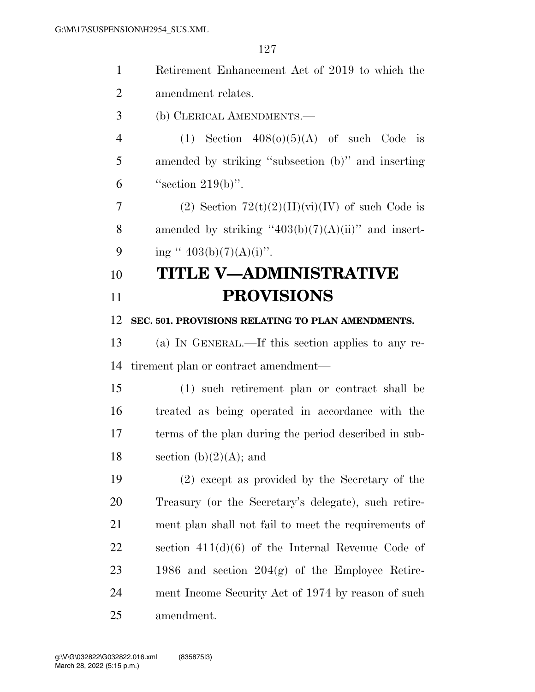| $\mathbf{1}$   | Retirement Enhancement Act of 2019 to which the       |
|----------------|-------------------------------------------------------|
| $\overline{2}$ | amendment relates.                                    |
| 3              | (b) CLERICAL AMENDMENTS.                              |
| $\overline{4}$ | (1) Section $408(0)(5)(A)$ of such Code is            |
| 5              | amended by striking "subsection (b)" and inserting    |
| 6              | "section $219(b)$ ".                                  |
| 7              | (2) Section $72(t)(2)(H)(vi)(IV)$ of such Code is     |
| 8              | amended by striking "403(b)(7)(A)(ii)" and insert-    |
| 9              | ing " $403(b)(7)(A)(i)$ ".                            |
| 10             | TITLE V—ADMINISTRATIVE                                |
| 11             | <b>PROVISIONS</b>                                     |
| 12             | SEC. 501. PROVISIONS RELATING TO PLAN AMENDMENTS.     |
| 13             | (a) IN GENERAL.—If this section applies to any re-    |
| 14             | tirement plan or contract amendment—                  |
| 15             | (1) such retirement plan or contract shall be         |
| 16             | treated as being operated in accordance with the      |
| 17             | terms of the plan during the period described in sub- |
| 18             | section (b) $(2)(A)$ ; and                            |
| 19             | (2) except as provided by the Secretary of the        |
| 20             | Treasury (or the Secretary's delegate), such retire-  |
| 21             | ment plan shall not fail to meet the requirements of  |
| 22             | section $411(d)(6)$ of the Internal Revenue Code of   |
| 23             | 1986 and section $204(g)$ of the Employee Retire-     |
| 24             | ment Income Security Act of 1974 by reason of such    |
| 25             | amendment.                                            |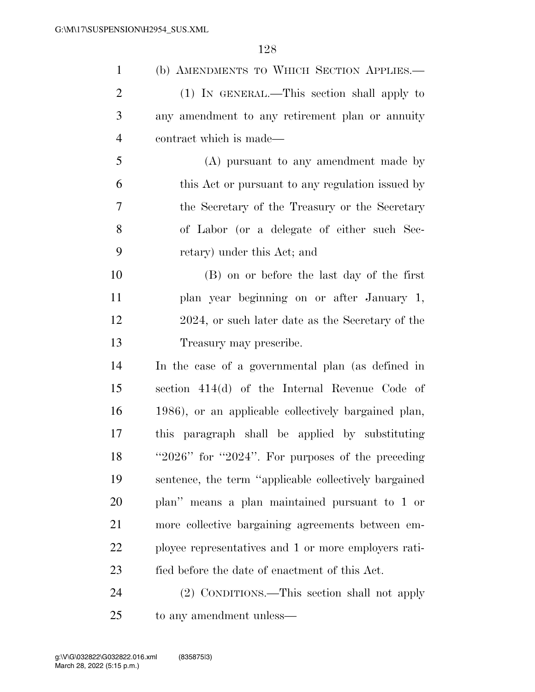| $\mathbf{1}$   | (b) AMENDMENTS TO WHICH SECTION APPLIES.-                |
|----------------|----------------------------------------------------------|
| $\overline{2}$ | (1) IN GENERAL.—This section shall apply to              |
| 3              | any amendment to any retirement plan or annuity          |
| $\overline{4}$ | contract which is made—                                  |
| 5              | (A) pursuant to any amendment made by                    |
| 6              | this Act or pursuant to any regulation issued by         |
| 7              | the Secretary of the Treasury or the Secretary           |
| 8              | of Labor (or a delegate of either such Sec-              |
| 9              | retary) under this Act; and                              |
| 10             | (B) on or before the last day of the first               |
| 11             | plan year beginning on or after January 1,               |
| 12             | 2024, or such later date as the Secretary of the         |
| 13             | Treasury may prescribe.                                  |
| 14             | In the case of a governmental plan (as defined in        |
| 15             | section 414(d) of the Internal Revenue Code of           |
| 16             | 1986), or an applicable collectively bargained plan,     |
| 17             | this paragraph shall be applied by substituting          |
| 18             | " $2026$ " for " $2024$ ". For purposes of the preceding |
| 19             | sentence, the term "applicable collectively bargained    |
| 20             | plan" means a plan maintained pursuant to 1 or           |
| 21             | more collective bargaining agreements between em-        |
| 22             | ployee representatives and 1 or more employers rati-     |
| 23             | fied before the date of enactment of this Act.           |
| 24             | (2) CONDITIONS.—This section shall not apply             |
|                |                                                          |

to any amendment unless—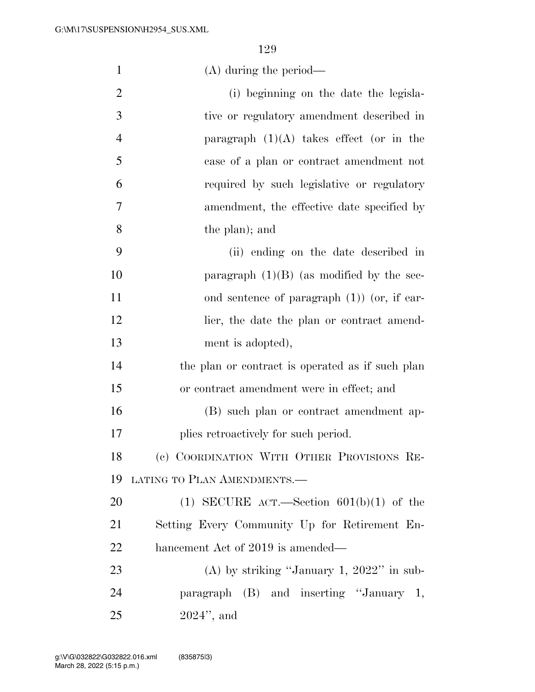| $\mathbf{1}$   | $(A)$ during the period—                         |
|----------------|--------------------------------------------------|
| $\overline{2}$ | (i) beginning on the date the legisla-           |
| 3              | tive or regulatory amendment described in        |
| $\overline{4}$ | paragraph $(1)(A)$ takes effect (or in the       |
| 5              | case of a plan or contract amendment not         |
| 6              | required by such legislative or regulatory       |
| 7              | amendment, the effective date specified by       |
| 8              | the plan); and                                   |
| 9              | (ii) ending on the date described in             |
| 10             | paragraph $(1)(B)$ (as modified by the sec-      |
| 11             | ond sentence of paragraph $(1)$ (or, if ear-     |
| 12             | lier, the date the plan or contract amend-       |
| 13             | ment is adopted),                                |
| 14             | the plan or contract is operated as if such plan |
| 15             | or contract amendment were in effect; and        |
| 16             | (B) such plan or contract amendment ap-          |
| 17             | plies retroactively for such period.             |
| 18             | (c) COORDINATION WITH OTHER PROVISIONS RE-       |
| 19             | LATING TO PLAN AMENDMENTS.-                      |
| 20             | (1) SECURE ACT.—Section $601(b)(1)$ of the       |
| 21             | Setting Every Community Up for Retirement En-    |
| <u>22</u>      | hancement Act of 2019 is amended—                |
| 23             | (A) by striking "January 1, $2022$ " in sub-     |
| 24             | paragraph (B) and inserting "January 1,          |
| 25             | $2024$ ", and                                    |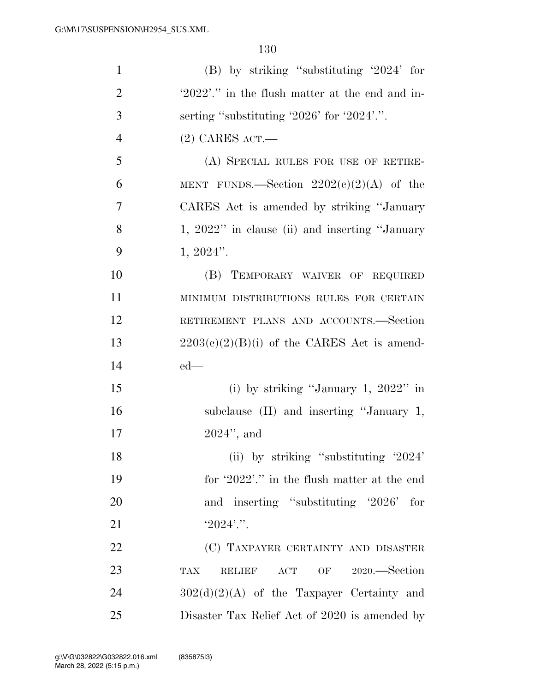| $\mathbf{1}$   | $(B)$ by striking "substituting '2024' for             |
|----------------|--------------------------------------------------------|
| $\overline{2}$ | '2022'." in the flush matter at the end and in-        |
| 3              | serting "substituting $2026$ " for $2024$ ".".         |
| $\overline{4}$ | $(2)$ CARES ACT.—                                      |
| 5              | (A) SPECIAL RULES FOR USE OF RETIRE-                   |
| 6              | MENT FUNDS.—Section $2202(e)(2)(A)$ of the             |
| 7              | CARES Act is amended by striking "January"             |
| 8              | 1, 2022" in clause (ii) and inserting "January         |
| 9              | $1, 2024$ ".                                           |
| 10             | (B) TEMPORARY WAIVER OF REQUIRED                       |
| 11             | MINIMUM DISTRIBUTIONS RULES FOR CERTAIN                |
| 12             | RETIREMENT PLANS AND ACCOUNTS.-Section                 |
| 13             | $2203(e)(2)(B)(i)$ of the CARES Act is amend-          |
| 14             | $ed$ —                                                 |
| 15             | (i) by striking "January 1, $2022$ " in                |
| 16             | subclause (II) and inserting "January 1,               |
| 17             | $2024$ ", and                                          |
| 18             | (ii) by striking "substituting '2024'                  |
| 19             | for '2022'." in the flush matter at the end            |
| 20             | and inserting "substituting '2026' for                 |
| 21             | $'2024'$ .".                                           |
| 22             | (C) TAXPAYER CERTAINTY AND DISASTER                    |
| 23             | OF 2020.—Section<br><b>TAX</b><br><b>RELIEF</b><br>ACT |
| 24             | $302(d)(2)(A)$ of the Taxpayer Certainty and           |
| 25             | Disaster Tax Relief Act of 2020 is amended by          |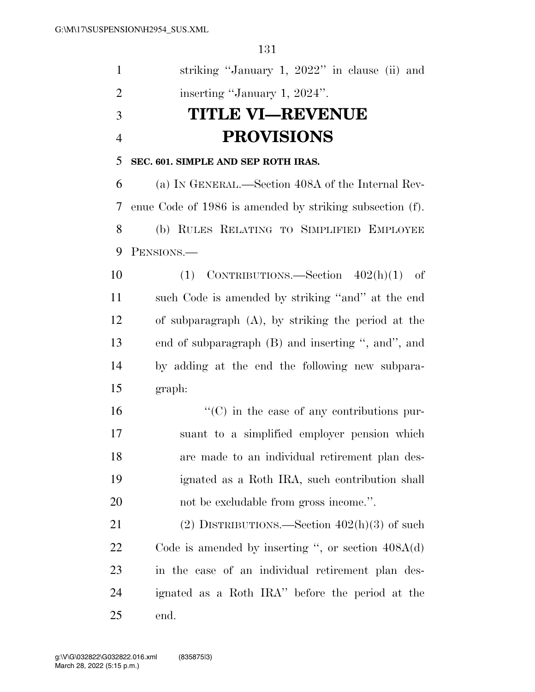| $\mathbf{1}$   | striking "January 1, 2022" in clause (ii) and            |
|----------------|----------------------------------------------------------|
| $\overline{2}$ | inserting "January 1, 2024".                             |
| 3              | <b>TITLE VI—REVENUE</b>                                  |
| $\overline{4}$ | <b>PROVISIONS</b>                                        |
| 5              | SEC. 601. SIMPLE AND SEP ROTH IRAS.                      |
| 6              | (a) IN GENERAL.—Section 408A of the Internal Rev-        |
| 7              | enue Code of 1986 is amended by striking subsection (f). |
| 8              | (b) RULES RELATING TO SIMPLIFIED EMPLOYEE                |
| 9              | PENSIONS.-                                               |
| 10             | $(1)$ CONTRIBUTIONS.—Section $402(h)(1)$ of              |
| 11             | such Code is amended by striking "and" at the end        |
| 12             | of subparagraph $(A)$ , by striking the period at the    |
| 13             | end of subparagraph (B) and inserting ", and", and       |
| 14             | by adding at the end the following new subpara-          |
| 15             | graph:                                                   |
| 16             | $\lq\lq$ (C) in the case of any contributions pur-       |
| 17             | suant to a simplified employer pension which             |
| 18             | are made to an individual retirement plan des-           |
| 19             | ignated as a Roth IRA, such contribution shall           |
| 20             | not be excludable from gross income.".                   |
| 21             | (2) DISTRIBUTIONS.—Section $402(h)(3)$ of such           |
| <u>22</u>      | Code is amended by inserting ", or section $408A(d)$     |
| 23             | in the case of an individual retirement plan des-        |
| 24             | ignated as a Roth IRA" before the period at the          |
| 25             | end.                                                     |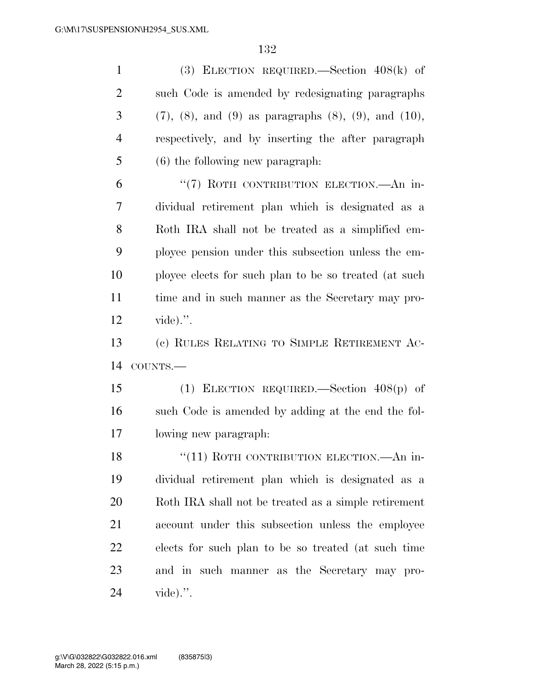(3) ELECTION REQUIRED.—Section 408(k) of such Code is amended by redesignating paragraphs (7), (8), and (9) as paragraphs (8), (9), and (10), respectively, and by inserting the after paragraph (6) the following new paragraph: 6 "(7) ROTH CONTRIBUTION ELECTION.—An in- dividual retirement plan which is designated as a Roth IRA shall not be treated as a simplified em- ployee pension under this subsection unless the em- ployee elects for such plan to be so treated (at such time and in such manner as the Secretary may pro- vide).''. (c) RULES RELATING TO SIMPLE RETIREMENT AC- COUNTS.— (1) ELECTION REQUIRED.—Section 408(p) of such Code is amended by adding at the end the fol- lowing new paragraph: 18 "(11) ROTH CONTRIBUTION ELECTION.—An in- dividual retirement plan which is designated as a Roth IRA shall not be treated as a simple retirement

 account under this subsection unless the employee elects for such plan to be so treated (at such time and in such manner as the Secretary may pro-vide).''.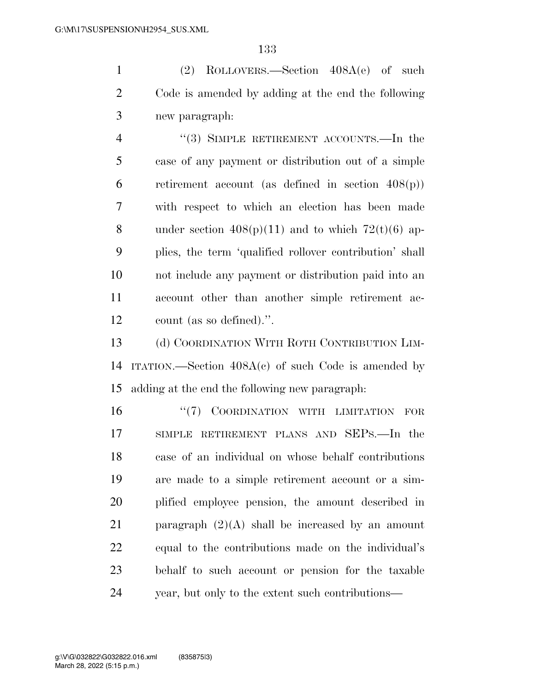(2) ROLLOVERS.—Section 408A(e) of such Code is amended by adding at the end the following new paragraph:

4 "(3) SIMPLE RETIREMENT ACCOUNTS.—In the case of any payment or distribution out of a simple 6 retirement account (as defined in section  $408(p)$ ) with respect to which an election has been made 8 under section  $408(p)(11)$  and to which  $72(t)(6)$  ap- plies, the term 'qualified rollover contribution' shall not include any payment or distribution paid into an account other than another simple retirement ac-count (as so defined).''.

13 (d) COORDINATION WITH ROTH CONTRIBUTION LIM- ITATION.—Section 408A(c) of such Code is amended by adding at the end the following new paragraph:

16 "(7) COORDINATION WITH LIMITATION FOR SIMPLE RETIREMENT PLANS AND SEPS.—In the case of an individual on whose behalf contributions are made to a simple retirement account or a sim- plified employee pension, the amount described in 21 paragraph  $(2)(A)$  shall be increased by an amount equal to the contributions made on the individual's behalf to such account or pension for the taxable year, but only to the extent such contributions—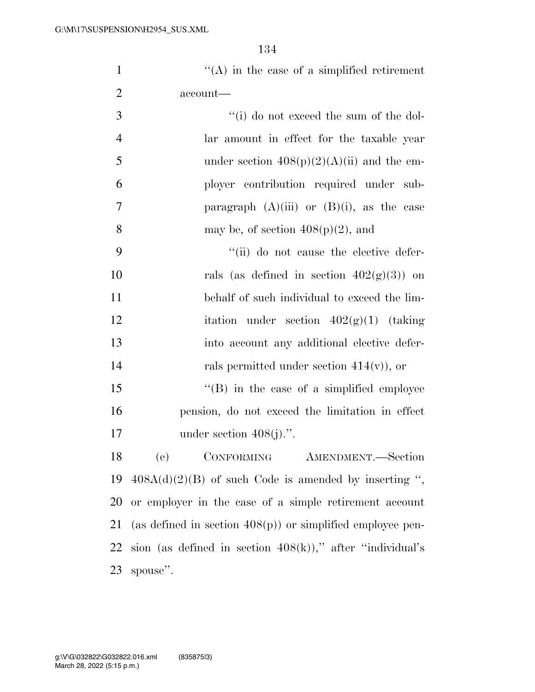1  $"({\rm A})$  in the case of a simplified retirement account—

| 3 | $f'(i)$ do not exceed the sum of the dol-      |
|---|------------------------------------------------|
| 4 | lar amount in effect for the taxable year      |
| 5 | under section $408(p)(2)(A)(ii)$ and the em-   |
| 6 | ployer contribution required under sub-        |
| 7 | paragraph $(A)(iii)$ or $(B)(i)$ , as the case |
| 8 | may be, of section $408(p)(2)$ , and           |

 ''(ii) do not cause the elective defer-10 rals (as defined in section  $402(g)(3)$ ) on behalf of such individual to exceed the lim-12 itation under section  $402(g)(1)$  (taking into account any additional elective defer-rals permitted under section 414(v)), or

15 "(B) in the case of a simplified employee pension, do not exceed the limitation in effect 17 under section  $408(i)$ .".

 (e) CONFORMING AMENDMENT.—Section  $408A(d)(2)(B)$  of such Code is amended by inserting ", or employer in the case of a simple retirement account (as defined in section 408(p)) or simplified employee pen-22 sion (as defined in section  $408(k)$ )," after "individual's spouse''.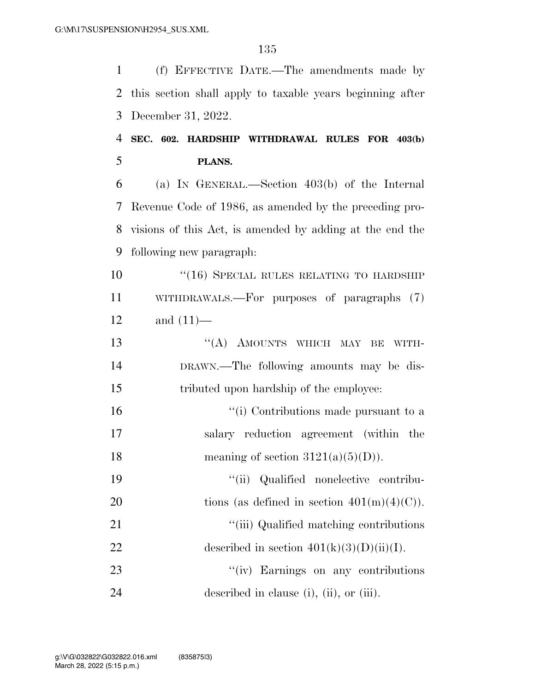(f) EFFECTIVE DATE.—The amendments made by this section shall apply to taxable years beginning after December 31, 2022.

### **SEC. 602. HARDSHIP WITHDRAWAL RULES FOR 403(b) PLANS.**

 (a) IN GENERAL.—Section 403(b) of the Internal Revenue Code of 1986, as amended by the preceding pro- visions of this Act, is amended by adding at the end the following new paragraph:

10 "(16) SPECIAL RULES RELATING TO HARDSHIP WITHDRAWALS.—For purposes of paragraphs (7) and (11)—

13 "(A) AMOUNTS WHICH MAY BE WITH- DRAWN.—The following amounts may be dis-tributed upon hardship of the employee:

16  $\frac{1}{10}$  Contributions made pursuant to a salary reduction agreement (within the 18 meaning of section  $3121(a)(5)(D)$ .

 ''(ii) Qualified nonelective contribu-20 tions (as defined in section  $401(m)(4)(C)$ ).

21 ''(iii) Qualified matching contributions 22 described in section  $401(k)(3)(D)(ii)(I)$ .

23 "(iv) Earnings on any contributions described in clause (i), (ii), or (iii).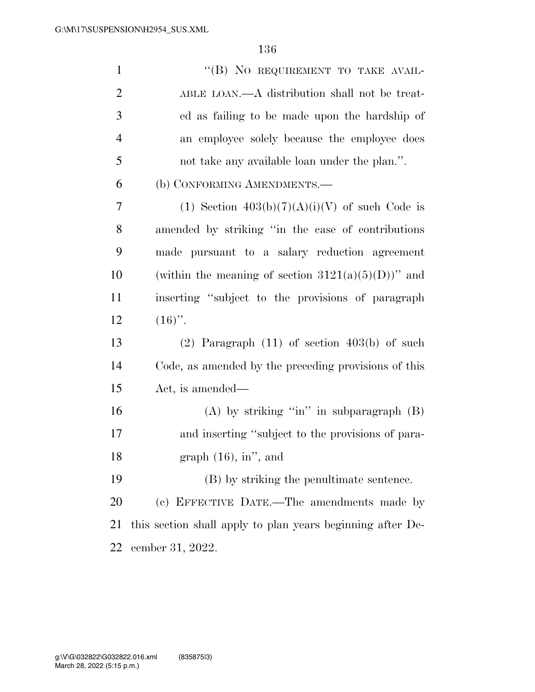| $\mathbf{1}$   | "(B) NO REQUIREMENT TO TAKE AVAIL-                         |
|----------------|------------------------------------------------------------|
| $\overline{2}$ | ABLE LOAN.—A distribution shall not be treat-              |
| 3              | ed as failing to be made upon the hardship of              |
| 4              | an employee solely because the employee does               |
| 5              | not take any available loan under the plan.".              |
| 6              | (b) CONFORMING AMENDMENTS.—                                |
| 7              | (1) Section $403(b)(7)(A)(i)(V)$ of such Code is           |
| 8              | amended by striking "in the case of contributions"         |
| 9              | made pursuant to a salary reduction agreement              |
| 10             | (within the meaning of section $3121(a)(5)(D)$ )" and      |
| 11             | inserting "subject to the provisions of paragraph          |
| 12             | $(16)$ ".                                                  |
| 13             | $(2)$ Paragraph $(11)$ of section $403(b)$ of such         |
| 14             | Code, as amended by the preceding provisions of this       |
| 15             | Act, is amended—                                           |
| 16             | (A) by striking "in" in subparagraph $(B)$                 |
| 17             | and inserting "subject to the provisions of para-          |
| 18             | graph $(16)$ , in", and                                    |
| 19             | (B) by striking the penultimate sentence.                  |
| 20             | (c) EFFECTIVE DATE.—The amendments made by                 |
| 21             | this section shall apply to plan years beginning after De- |
| 22             | cember 31, 2022.                                           |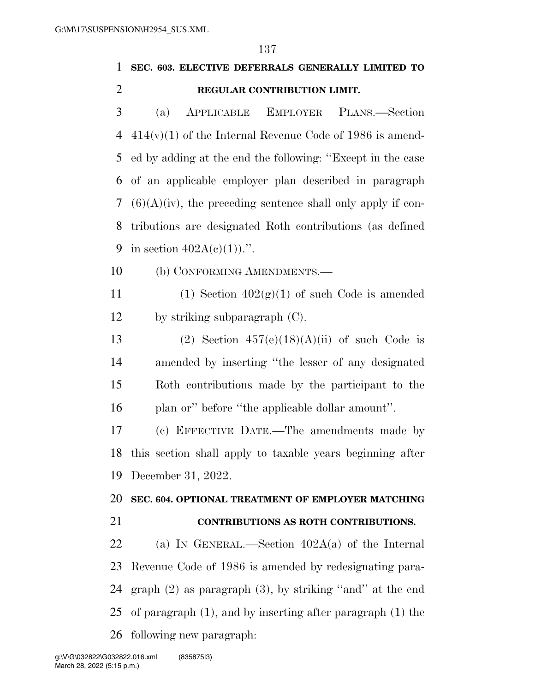# **SEC. 603. ELECTIVE DEFERRALS GENERALLY LIMITED TO REGULAR CONTRIBUTION LIMIT.**

 (a) APPLICABLE EMPLOYER PLANS.—Section 414(v)(1) of the Internal Revenue Code of 1986 is amend- ed by adding at the end the following: ''Except in the case of an applicable employer plan described in paragraph  $(6)(A)(iv)$ , the preceding sentence shall only apply if con- tributions are designated Roth contributions (as defined 9 in section  $402A(c)(1)$ .".

(b) CONFORMING AMENDMENTS.—

11 (1) Section  $402(g)(1)$  of such Code is amended by striking subparagraph (C).

13 (2) Section  $457(e)(18)(A)(ii)$  of such Code is amended by inserting ''the lesser of any designated Roth contributions made by the participant to the 16 plan or'' before "the applicable dollar amount".

 (c) EFFECTIVE DATE.—The amendments made by this section shall apply to taxable years beginning after December 31, 2022.

### **SEC. 604. OPTIONAL TREATMENT OF EMPLOYER MATCHING**

### **CONTRIBUTIONS AS ROTH CONTRIBUTIONS.**

 (a) IN GENERAL.—Section 402A(a) of the Internal Revenue Code of 1986 is amended by redesignating para- graph (2) as paragraph (3), by striking ''and'' at the end of paragraph (1), and by inserting after paragraph (1) the following new paragraph: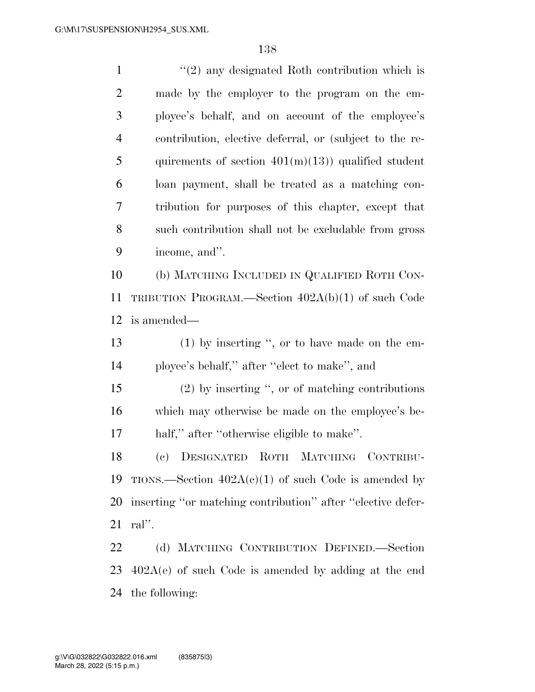1 ''(2) any designated Roth contribution which is made by the employer to the program on the em- ployee's behalf, and on account of the employee's contribution, elective deferral, or (subject to the re-5 quirements of section  $401(m)(13)$  qualified student loan payment, shall be treated as a matching con- tribution for purposes of this chapter, except that such contribution shall not be excludable from gross income, and''. (b) MATCHING INCLUDED IN QUALIFIED ROTH CON- TRIBUTION PROGRAM.—Section 402A(b)(1) of such Code is amended— (1) by inserting '', or to have made on the em- ployee's behalf,'' after ''elect to make'', and (2) by inserting '', or of matching contributions which may otherwise be made on the employee's be- half,'' after ''otherwise eligible to make''. (c) DESIGNATED ROTH MATCHING CONTRIBU-19 TIONS.—Section  $402A(c)(1)$  of such Code is amended by inserting ''or matching contribution'' after ''elective defer- ral''. (d) MATCHING CONTRIBUTION DEFINED.—Section 402A(e) of such Code is amended by adding at the end

the following: